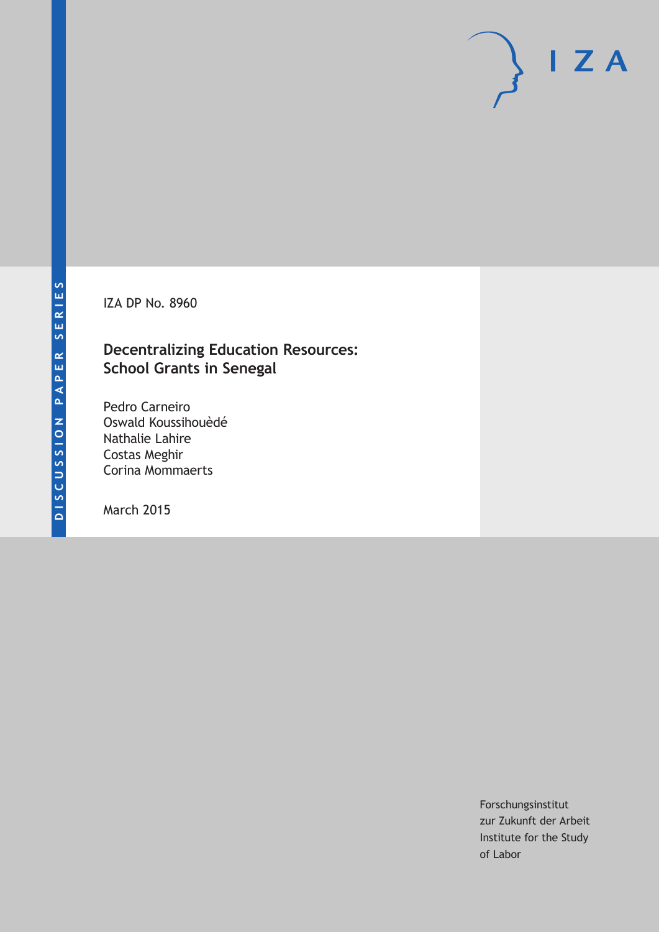IZA DP No. 8960

## **Decentralizing Education Resources: School Grants in Senegal**

Pedro Carneiro Oswald Koussihouèdé Nathalie Lahire Costas Meghir Corina Mommaerts

March 2015

Forschungsinstitut zur Zukunft der Arbeit Institute for the Study of Labor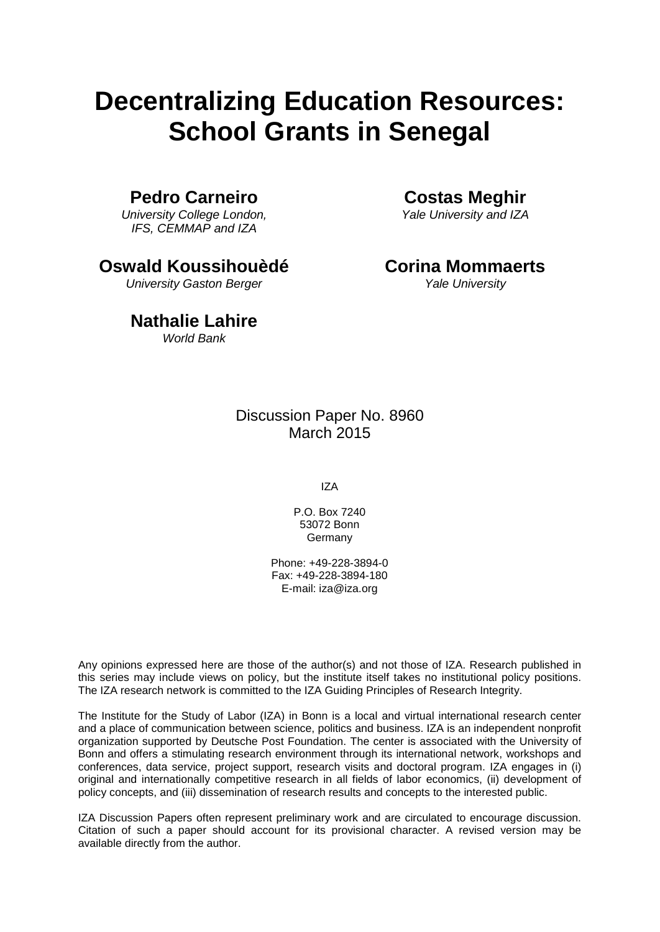# **Decentralizing Education Resources: School Grants in Senegal**

## **Pedro Carneiro**

*University College London, IFS, CEMMAP and IZA*

**Oswald Koussihouèdé**

*University Gaston Berger*

## **Nathalie Lahire**

*World Bank*

**Costas Meghir**

*Yale University and IZA*

## **Corina Mommaerts**

*Yale University*

## Discussion Paper No. 8960 March 2015

IZA

P.O. Box 7240 53072 Bonn **Germany** 

Phone: +49-228-3894-0 Fax: +49-228-3894-180 E-mail: iza@iza.org

Any opinions expressed here are those of the author(s) and not those of IZA. Research published in this series may include views on policy, but the institute itself takes no institutional policy positions. The IZA research network is committed to the IZA Guiding Principles of Research Integrity.

The Institute for the Study of Labor (IZA) in Bonn is a local and virtual international research center and a place of communication between science, politics and business. IZA is an independent nonprofit organization supported by Deutsche Post Foundation. The center is associated with the University of Bonn and offers a stimulating research environment through its international network, workshops and conferences, data service, project support, research visits and doctoral program. IZA engages in (i) original and internationally competitive research in all fields of labor economics, (ii) development of policy concepts, and (iii) dissemination of research results and concepts to the interested public.

<span id="page-1-0"></span>IZA Discussion Papers often represent preliminary work and are circulated to encourage discussion. Citation of such a paper should account for its provisional character. A revised version may be available directly from the author.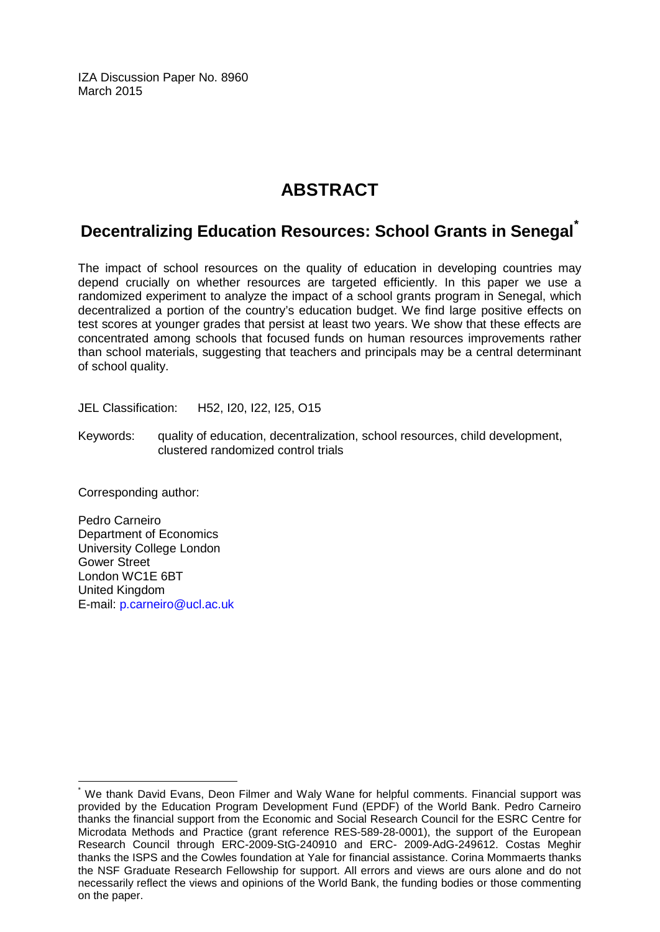IZA Discussion Paper No. 8960 March 2015

## **ABSTRACT**

## **Decentralizing Education Resources: School Grants in Senegal[\\*](#page-1-0)**

The impact of school resources on the quality of education in developing countries may depend crucially on whether resources are targeted efficiently. In this paper we use a randomized experiment to analyze the impact of a school grants program in Senegal, which decentralized a portion of the country's education budget. We find large positive effects on test scores at younger grades that persist at least two years. We show that these effects are concentrated among schools that focused funds on human resources improvements rather than school materials, suggesting that teachers and principals may be a central determinant of school quality.

JEL Classification: H52, I20, I22, I25, O15

Keywords: quality of education, decentralization, school resources, child development, clustered randomized control trials

Corresponding author:

Pedro Carneiro Department of Economics University College London Gower Street London WC1E 6BT United Kingdom E-mail: [p.carneiro@ucl.ac.uk](mailto:p.carneiro@ucl.ac.uk)

We thank David Evans, Deon Filmer and Waly Wane for helpful comments. Financial support was provided by the Education Program Development Fund (EPDF) of the World Bank. Pedro Carneiro thanks the financial support from the Economic and Social Research Council for the ESRC Centre for Microdata Methods and Practice (grant reference RES-589-28-0001), the support of the European Research Council through ERC-2009-StG-240910 and ERC- 2009-AdG-249612. Costas Meghir thanks the ISPS and the Cowles foundation at Yale for financial assistance. Corina Mommaerts thanks the NSF Graduate Research Fellowship for support. All errors and views are ours alone and do not necessarily reflect the views and opinions of the World Bank, the funding bodies or those commenting on the paper.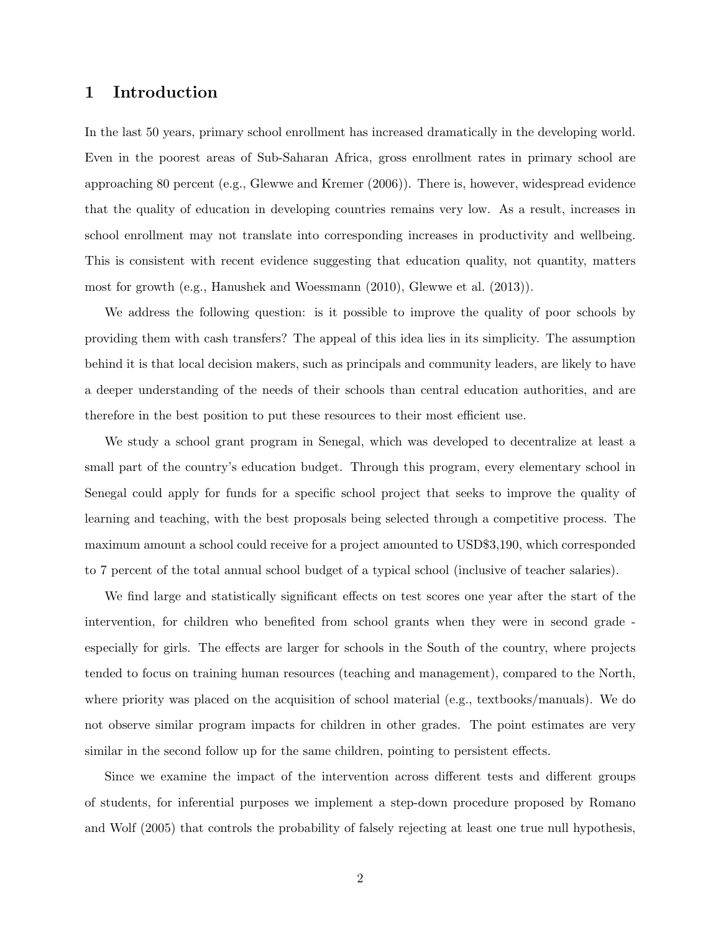### 1 Introduction

In the last 50 years, primary school enrollment has increased dramatically in the developing world. Even in the poorest areas of Sub-Saharan Africa, gross enrollment rates in primary school are approaching 80 percent (e.g., Glewwe and Kremer (2006)). There is, however, widespread evidence that the quality of education in developing countries remains very low. As a result, increases in school enrollment may not translate into corresponding increases in productivity and wellbeing. This is consistent with recent evidence suggesting that education quality, not quantity, matters most for growth (e.g., Hanushek and Woessmann (2010), Glewwe et al. (2013)).

We address the following question: is it possible to improve the quality of poor schools by providing them with cash transfers? The appeal of this idea lies in its simplicity. The assumption behind it is that local decision makers, such as principals and community leaders, are likely to have a deeper understanding of the needs of their schools than central education authorities, and are therefore in the best position to put these resources to their most efficient use.

We study a school grant program in Senegal, which was developed to decentralize at least a small part of the country's education budget. Through this program, every elementary school in Senegal could apply for funds for a specific school project that seeks to improve the quality of learning and teaching, with the best proposals being selected through a competitive process. The maximum amount a school could receive for a project amounted to USD\$3,190, which corresponded to 7 percent of the total annual school budget of a typical school (inclusive of teacher salaries).

We find large and statistically significant effects on test scores one year after the start of the intervention, for children who benefited from school grants when they were in second grade especially for girls. The effects are larger for schools in the South of the country, where projects tended to focus on training human resources (teaching and management), compared to the North, where priority was placed on the acquisition of school material (e.g., textbooks/manuals). We do not observe similar program impacts for children in other grades. The point estimates are very similar in the second follow up for the same children, pointing to persistent effects.

Since we examine the impact of the intervention across different tests and different groups of students, for inferential purposes we implement a step-down procedure proposed by Romano and Wolf (2005) that controls the probability of falsely rejecting at least one true null hypothesis,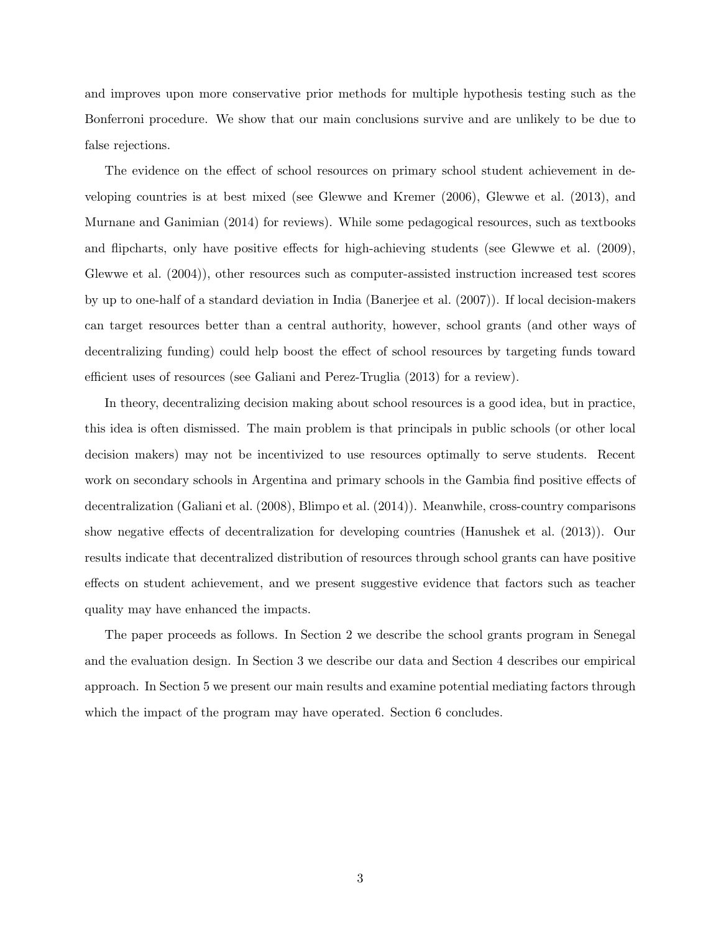and improves upon more conservative prior methods for multiple hypothesis testing such as the Bonferroni procedure. We show that our main conclusions survive and are unlikely to be due to false rejections.

The evidence on the effect of school resources on primary school student achievement in developing countries is at best mixed (see Glewwe and Kremer (2006), Glewwe et al. (2013), and Murnane and Ganimian (2014) for reviews). While some pedagogical resources, such as textbooks and flipcharts, only have positive effects for high-achieving students (see Glewwe et al. (2009), Glewwe et al. (2004)), other resources such as computer-assisted instruction increased test scores by up to one-half of a standard deviation in India (Banerjee et al. (2007)). If local decision-makers can target resources better than a central authority, however, school grants (and other ways of decentralizing funding) could help boost the effect of school resources by targeting funds toward efficient uses of resources (see Galiani and Perez-Truglia (2013) for a review).

In theory, decentralizing decision making about school resources is a good idea, but in practice, this idea is often dismissed. The main problem is that principals in public schools (or other local decision makers) may not be incentivized to use resources optimally to serve students. Recent work on secondary schools in Argentina and primary schools in the Gambia find positive effects of decentralization (Galiani et al. (2008), Blimpo et al. (2014)). Meanwhile, cross-country comparisons show negative effects of decentralization for developing countries (Hanushek et al. (2013)). Our results indicate that decentralized distribution of resources through school grants can have positive effects on student achievement, and we present suggestive evidence that factors such as teacher quality may have enhanced the impacts.

The paper proceeds as follows. In Section 2 we describe the school grants program in Senegal and the evaluation design. In Section 3 we describe our data and Section 4 describes our empirical approach. In Section 5 we present our main results and examine potential mediating factors through which the impact of the program may have operated. Section 6 concludes.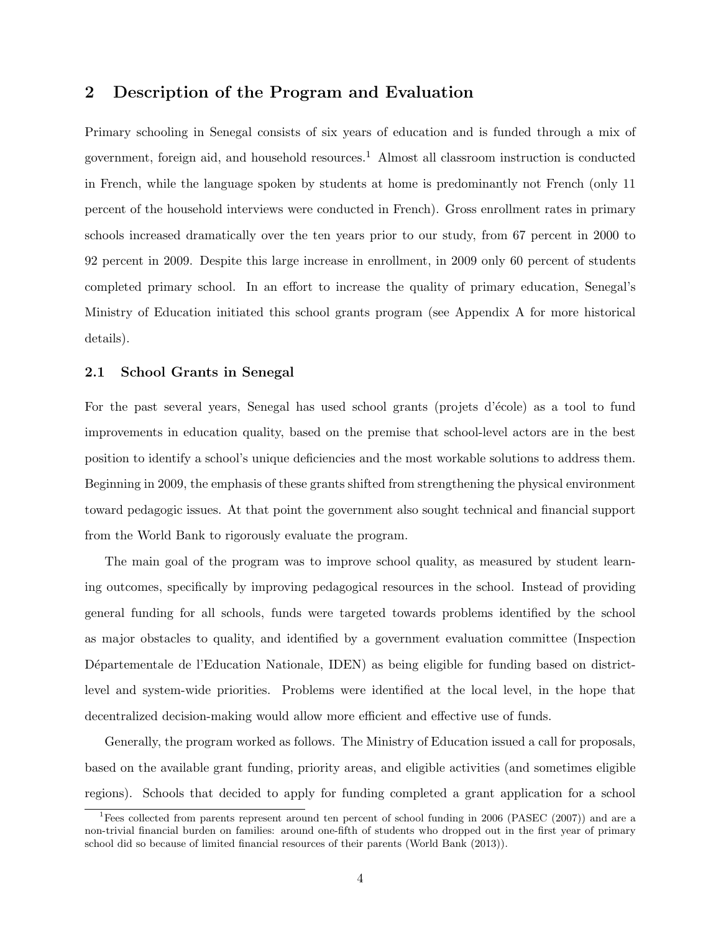### 2 Description of the Program and Evaluation

Primary schooling in Senegal consists of six years of education and is funded through a mix of government, foreign aid, and household resources.<sup>1</sup> Almost all classroom instruction is conducted in French, while the language spoken by students at home is predominantly not French (only 11 percent of the household interviews were conducted in French). Gross enrollment rates in primary schools increased dramatically over the ten years prior to our study, from 67 percent in 2000 to 92 percent in 2009. Despite this large increase in enrollment, in 2009 only 60 percent of students completed primary school. In an effort to increase the quality of primary education, Senegal's Ministry of Education initiated this school grants program (see Appendix A for more historical details).

#### 2.1 School Grants in Senegal

For the past several years, Senegal has used school grants (projets d'école) as a tool to fund improvements in education quality, based on the premise that school-level actors are in the best position to identify a school's unique deficiencies and the most workable solutions to address them. Beginning in 2009, the emphasis of these grants shifted from strengthening the physical environment toward pedagogic issues. At that point the government also sought technical and financial support from the World Bank to rigorously evaluate the program.

The main goal of the program was to improve school quality, as measured by student learning outcomes, specifically by improving pedagogical resources in the school. Instead of providing general funding for all schools, funds were targeted towards problems identified by the school as major obstacles to quality, and identified by a government evaluation committee (Inspection Départementale de l'Education Nationale, IDEN) as being eligible for funding based on districtlevel and system-wide priorities. Problems were identified at the local level, in the hope that decentralized decision-making would allow more efficient and effective use of funds.

Generally, the program worked as follows. The Ministry of Education issued a call for proposals, based on the available grant funding, priority areas, and eligible activities (and sometimes eligible regions). Schools that decided to apply for funding completed a grant application for a school

<sup>&</sup>lt;sup>1</sup>Fees collected from parents represent around ten percent of school funding in 2006 (PASEC (2007)) and are a non-trivial financial burden on families: around one-fifth of students who dropped out in the first year of primary school did so because of limited financial resources of their parents (World Bank (2013)).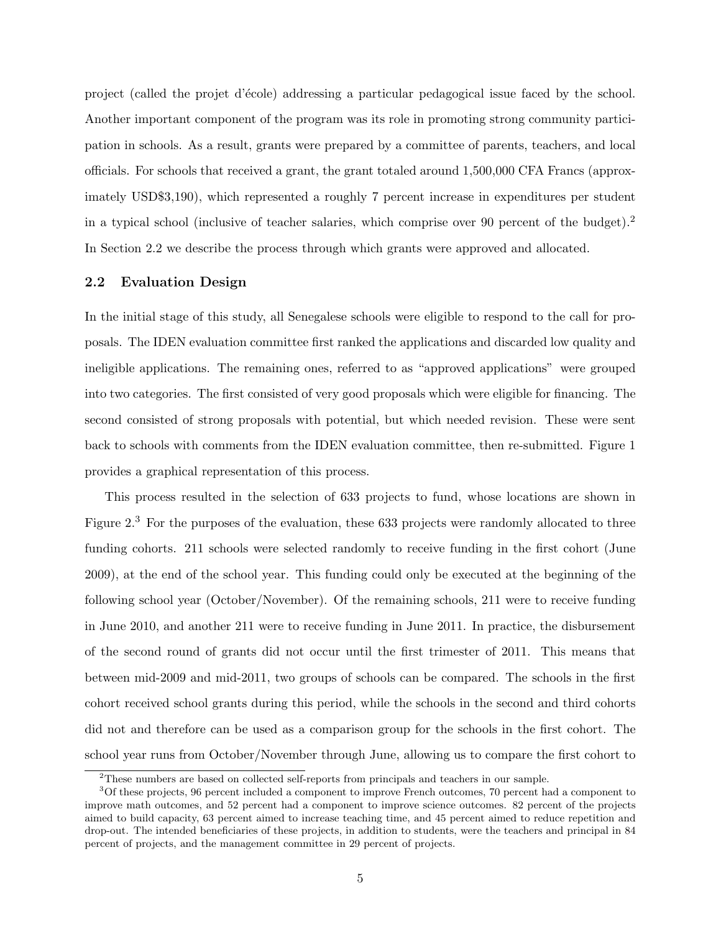project (called the projet d'´ecole) addressing a particular pedagogical issue faced by the school. Another important component of the program was its role in promoting strong community participation in schools. As a result, grants were prepared by a committee of parents, teachers, and local officials. For schools that received a grant, the grant totaled around 1,500,000 CFA Francs (approximately USD\$3,190), which represented a roughly 7 percent increase in expenditures per student in a typical school (inclusive of teacher salaries, which comprise over 90 percent of the budget).<sup>2</sup> In Section 2.2 we describe the process through which grants were approved and allocated.

#### 2.2 Evaluation Design

In the initial stage of this study, all Senegalese schools were eligible to respond to the call for proposals. The IDEN evaluation committee first ranked the applications and discarded low quality and ineligible applications. The remaining ones, referred to as "approved applications" were grouped into two categories. The first consisted of very good proposals which were eligible for financing. The second consisted of strong proposals with potential, but which needed revision. These were sent back to schools with comments from the IDEN evaluation committee, then re-submitted. Figure 1 provides a graphical representation of this process.

This process resulted in the selection of 633 projects to fund, whose locations are shown in Figure 2.<sup>3</sup> For the purposes of the evaluation, these 633 projects were randomly allocated to three funding cohorts. 211 schools were selected randomly to receive funding in the first cohort (June 2009), at the end of the school year. This funding could only be executed at the beginning of the following school year (October/November). Of the remaining schools, 211 were to receive funding in June 2010, and another 211 were to receive funding in June 2011. In practice, the disbursement of the second round of grants did not occur until the first trimester of 2011. This means that between mid-2009 and mid-2011, two groups of schools can be compared. The schools in the first cohort received school grants during this period, while the schools in the second and third cohorts did not and therefore can be used as a comparison group for the schools in the first cohort. The school year runs from October/November through June, allowing us to compare the first cohort to

<sup>2</sup>These numbers are based on collected self-reports from principals and teachers in our sample.

<sup>3</sup>Of these projects, 96 percent included a component to improve French outcomes, 70 percent had a component to improve math outcomes, and 52 percent had a component to improve science outcomes. 82 percent of the projects aimed to build capacity, 63 percent aimed to increase teaching time, and 45 percent aimed to reduce repetition and drop-out. The intended beneficiaries of these projects, in addition to students, were the teachers and principal in 84 percent of projects, and the management committee in 29 percent of projects.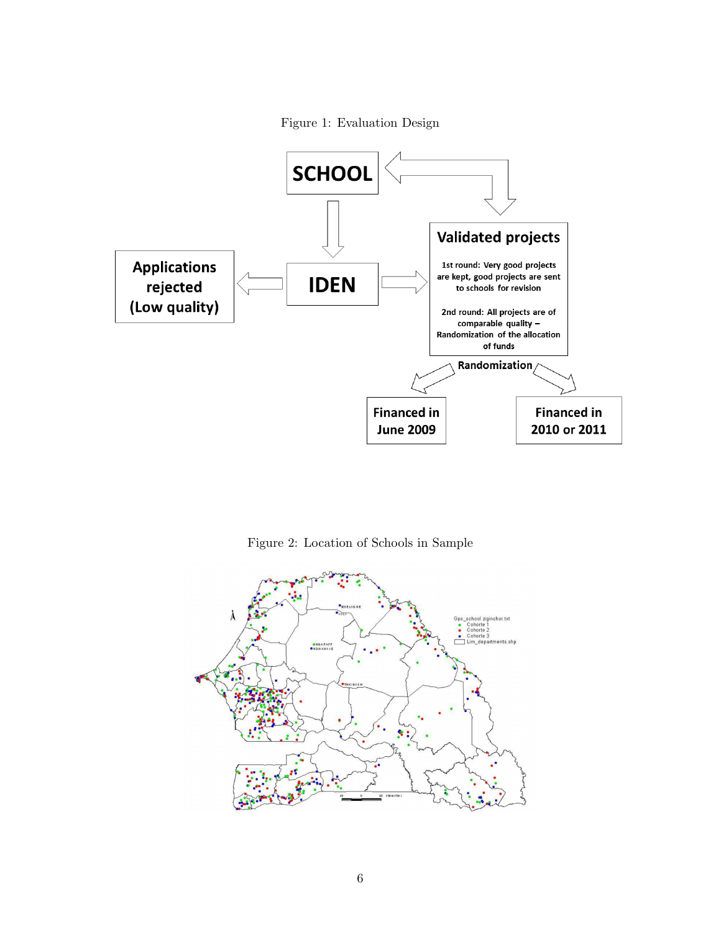



Figure 2: Location of Schools in Sample

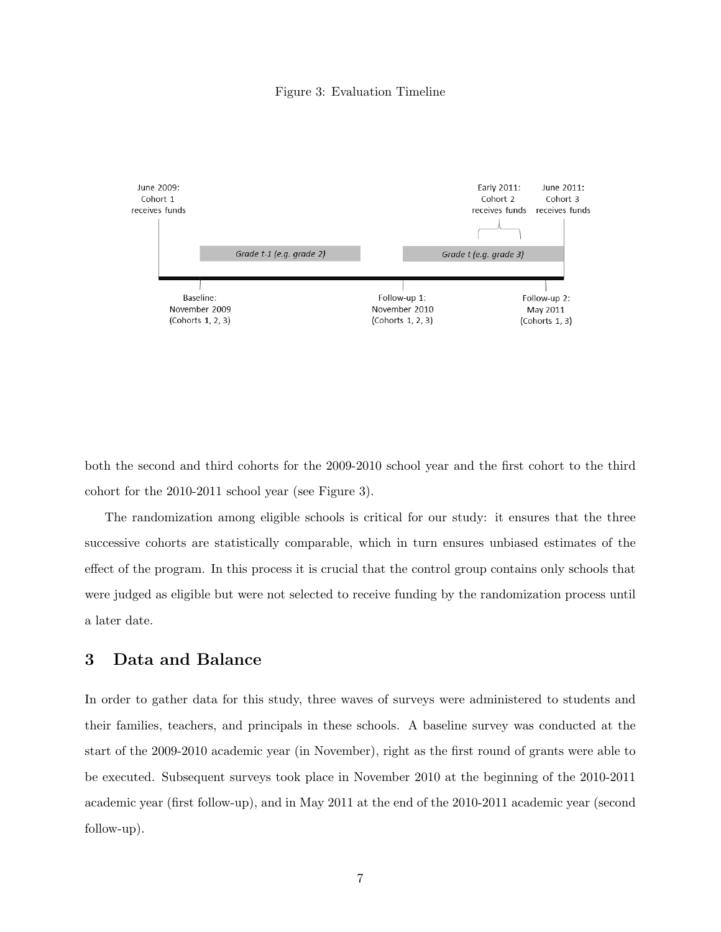#### Figure 3: Evaluation Timeline



both the second and third cohorts for the 2009-2010 school year and the first cohort to the third cohort for the 2010-2011 school year (see Figure 3).

The randomization among eligible schools is critical for our study: it ensures that the three successive cohorts are statistically comparable, which in turn ensures unbiased estimates of the effect of the program. In this process it is crucial that the control group contains only schools that were judged as eligible but were not selected to receive funding by the randomization process until a later date.

### 3 Data and Balance

In order to gather data for this study, three waves of surveys were administered to students and their families, teachers, and principals in these schools. A baseline survey was conducted at the start of the 2009-2010 academic year (in November), right as the first round of grants were able to be executed. Subsequent surveys took place in November 2010 at the beginning of the 2010-2011 academic year (first follow-up), and in May 2011 at the end of the 2010-2011 academic year (second follow-up).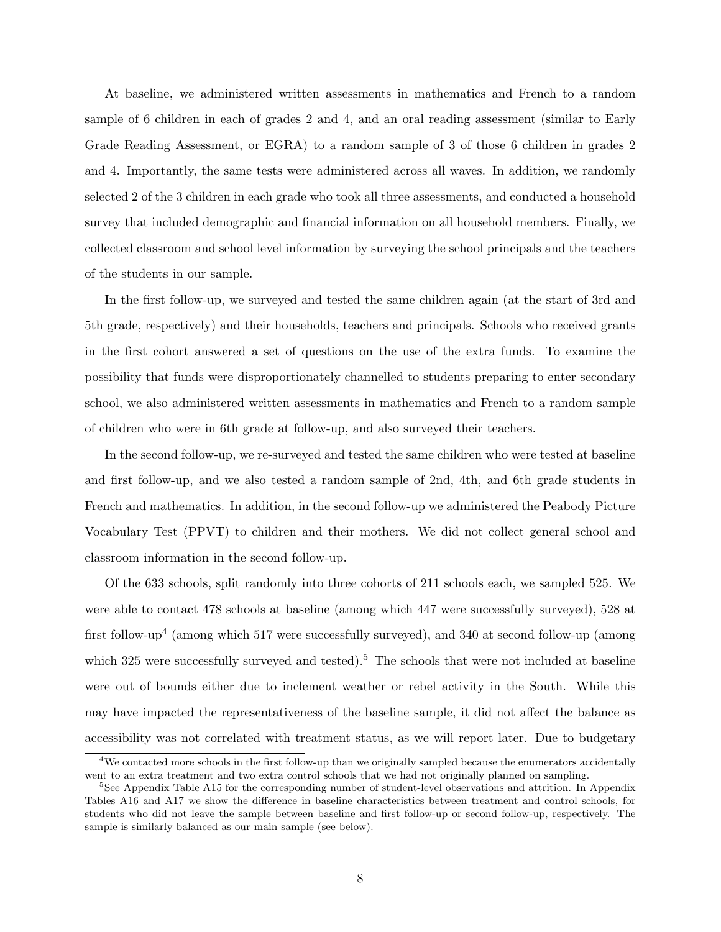At baseline, we administered written assessments in mathematics and French to a random sample of 6 children in each of grades 2 and 4, and an oral reading assessment (similar to Early Grade Reading Assessment, or EGRA) to a random sample of 3 of those 6 children in grades 2 and 4. Importantly, the same tests were administered across all waves. In addition, we randomly selected 2 of the 3 children in each grade who took all three assessments, and conducted a household survey that included demographic and financial information on all household members. Finally, we collected classroom and school level information by surveying the school principals and the teachers of the students in our sample.

In the first follow-up, we surveyed and tested the same children again (at the start of 3rd and 5th grade, respectively) and their households, teachers and principals. Schools who received grants in the first cohort answered a set of questions on the use of the extra funds. To examine the possibility that funds were disproportionately channelled to students preparing to enter secondary school, we also administered written assessments in mathematics and French to a random sample of children who were in 6th grade at follow-up, and also surveyed their teachers.

In the second follow-up, we re-surveyed and tested the same children who were tested at baseline and first follow-up, and we also tested a random sample of 2nd, 4th, and 6th grade students in French and mathematics. In addition, in the second follow-up we administered the Peabody Picture Vocabulary Test (PPVT) to children and their mothers. We did not collect general school and classroom information in the second follow-up.

Of the 633 schools, split randomly into three cohorts of 211 schools each, we sampled 525. We were able to contact 478 schools at baseline (among which 447 were successfully surveyed), 528 at first follow-up<sup>4</sup> (among which 517 were successfully surveyed), and 340 at second follow-up (among which 325 were successfully surveyed and tested).<sup>5</sup> The schools that were not included at baseline were out of bounds either due to inclement weather or rebel activity in the South. While this may have impacted the representativeness of the baseline sample, it did not affect the balance as accessibility was not correlated with treatment status, as we will report later. Due to budgetary

<sup>4</sup>We contacted more schools in the first follow-up than we originally sampled because the enumerators accidentally went to an extra treatment and two extra control schools that we had not originally planned on sampling.

<sup>&</sup>lt;sup>5</sup>See Appendix Table A15 for the corresponding number of student-level observations and attrition. In Appendix Tables A16 and A17 we show the difference in baseline characteristics between treatment and control schools, for students who did not leave the sample between baseline and first follow-up or second follow-up, respectively. The sample is similarly balanced as our main sample (see below).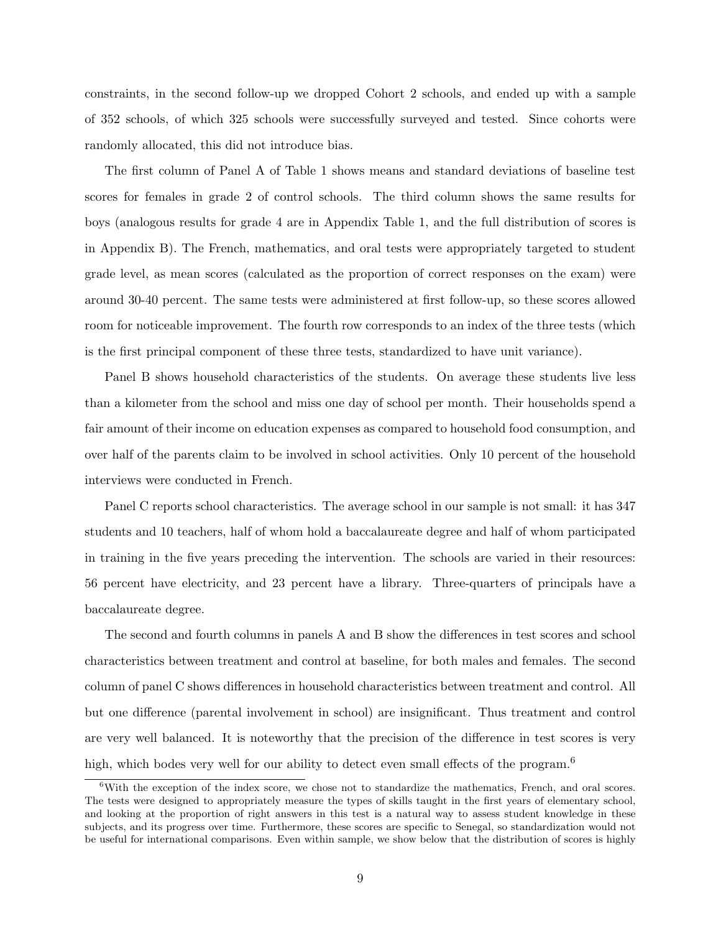constraints, in the second follow-up we dropped Cohort 2 schools, and ended up with a sample of 352 schools, of which 325 schools were successfully surveyed and tested. Since cohorts were randomly allocated, this did not introduce bias.

The first column of Panel A of Table 1 shows means and standard deviations of baseline test scores for females in grade 2 of control schools. The third column shows the same results for boys (analogous results for grade 4 are in Appendix Table 1, and the full distribution of scores is in Appendix B). The French, mathematics, and oral tests were appropriately targeted to student grade level, as mean scores (calculated as the proportion of correct responses on the exam) were around 30-40 percent. The same tests were administered at first follow-up, so these scores allowed room for noticeable improvement. The fourth row corresponds to an index of the three tests (which is the first principal component of these three tests, standardized to have unit variance).

Panel B shows household characteristics of the students. On average these students live less than a kilometer from the school and miss one day of school per month. Their households spend a fair amount of their income on education expenses as compared to household food consumption, and over half of the parents claim to be involved in school activities. Only 10 percent of the household interviews were conducted in French.

Panel C reports school characteristics. The average school in our sample is not small: it has 347 students and 10 teachers, half of whom hold a baccalaureate degree and half of whom participated in training in the five years preceding the intervention. The schools are varied in their resources: 56 percent have electricity, and 23 percent have a library. Three-quarters of principals have a baccalaureate degree.

The second and fourth columns in panels A and B show the differences in test scores and school characteristics between treatment and control at baseline, for both males and females. The second column of panel C shows differences in household characteristics between treatment and control. All but one difference (parental involvement in school) are insignificant. Thus treatment and control are very well balanced. It is noteworthy that the precision of the difference in test scores is very high, which bodes very well for our ability to detect even small effects of the program.<sup>6</sup>

<sup>&</sup>lt;sup>6</sup>With the exception of the index score, we chose not to standardize the mathematics, French, and oral scores. The tests were designed to appropriately measure the types of skills taught in the first years of elementary school, and looking at the proportion of right answers in this test is a natural way to assess student knowledge in these subjects, and its progress over time. Furthermore, these scores are specific to Senegal, so standardization would not be useful for international comparisons. Even within sample, we show below that the distribution of scores is highly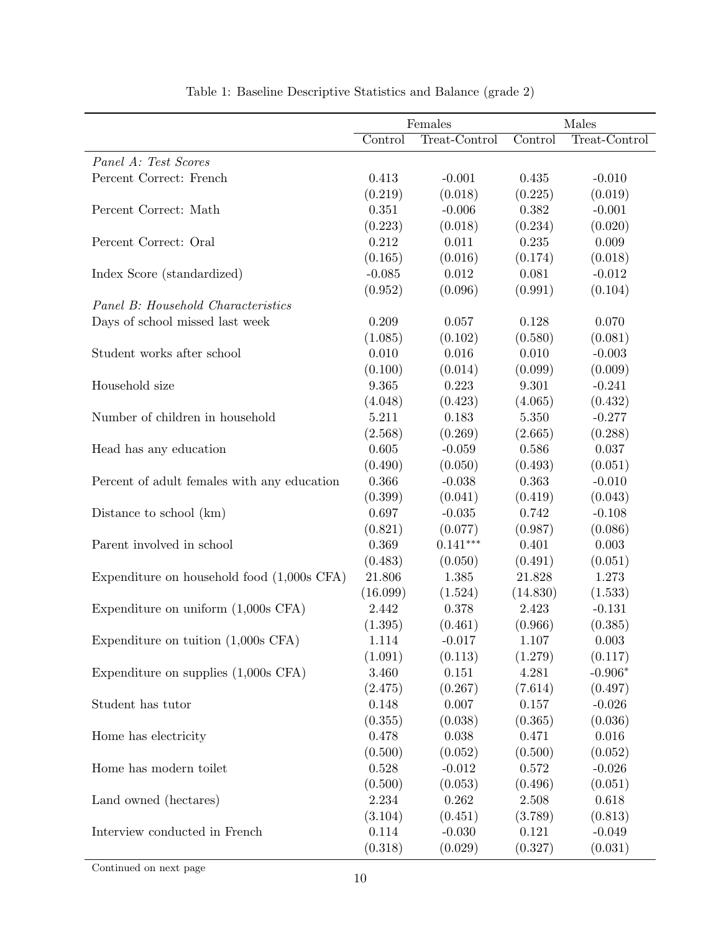|                                             |           | Females       |          | Males         |
|---------------------------------------------|-----------|---------------|----------|---------------|
|                                             | Control   | Treat-Control | Control  | Treat-Control |
| Panel A: Test Scores                        |           |               |          |               |
| Percent Correct: French                     | 0.413     | $-0.001$      | 0.435    | $-0.010$      |
|                                             | (0.219)   | (0.018)       | (0.225)  | (0.019)       |
| Percent Correct: Math                       | 0.351     | $-0.006$      | 0.382    | $-0.001$      |
|                                             | (0.223)   | (0.018)       | (0.234)  | (0.020)       |
| Percent Correct: Oral                       | 0.212     | 0.011         | 0.235    | 0.009         |
|                                             | (0.165)   | (0.016)       | (0.174)  | (0.018)       |
| Index Score (standardized)                  | $-0.085$  | $\,0.012\,$   | 0.081    | $-0.012$      |
|                                             | (0.952)   | (0.096)       | (0.991)  | (0.104)       |
| Panel B: Household Characteristics          |           |               |          |               |
| Days of school missed last week             | 0.209     | 0.057         | 0.128    | 0.070         |
|                                             | (1.085)   | (0.102)       | (0.580)  | (0.081)       |
| Student works after school                  | 0.010     | 0.016         | 0.010    | $-0.003$      |
|                                             | (0.100)   | (0.014)       | (0.099)  | (0.009)       |
| Household size                              | 9.365     | 0.223         | 9.301    | $-0.241$      |
|                                             | (4.048)   | (0.423)       | (4.065)  | (0.432)       |
| Number of children in household             | 5.211     | 0.183         | 5.350    | $-0.277$      |
|                                             | (2.568)   | (0.269)       | (2.665)  | (0.288)       |
| Head has any education                      | 0.605     | $-0.059$      | 0.586    | 0.037         |
|                                             | (0.490)   | (0.050)       | (0.493)  | (0.051)       |
| Percent of adult females with any education | 0.366     | $-0.038$      | 0.363    | $-0.010$      |
|                                             | (0.399)   | (0.041)       | (0.419)  | (0.043)       |
| Distance to school (km)                     | 0.697     | $-0.035$      | 0.742    | $-0.108$      |
|                                             | (0.821)   | (0.077)       | (0.987)  | (0.086)       |
| Parent involved in school                   | 0.369     | $0.141***$    | 0.401    | 0.003         |
|                                             | (0.483)   | (0.050)       | (0.491)  | (0.051)       |
| Expenditure on household food (1,000s CFA)  | 21.806    | 1.385         | 21.828   | 1.273         |
|                                             | (16.099)  | (1.524)       | (14.830) | (1.533)       |
| Expenditure on uniform $(1,000s$ CFA)       | 2.442     | 0.378         | 2.423    | $-0.131$      |
|                                             | (1.395)   | (0.461)       | (0.966)  | (0.385)       |
| Expenditure on tuition $(1,000s$ CFA)       | 1.114     | $-0.017$      | 1.107    | 0.003         |
|                                             | (1.091)   | (0.113)       | (1.279)  | (0.117)       |
| Expenditure on supplies $(1,000s$ CFA)      | 3.460     | 0.151         | 4.281    | $-0.906*$     |
|                                             | (2.475)   | (0.267)       | (7.614)  | (0.497)       |
| Student has tutor                           | $0.148\,$ | 0.007         | 0.157    | $-0.026$      |
|                                             | (0.355)   | (0.038)       | (0.365)  | (0.036)       |
| Home has electricity                        | 0.478     | 0.038         | 0.471    | 0.016         |
|                                             | (0.500)   | (0.052)       | (0.500)  | (0.052)       |
| Home has modern toilet                      | 0.528     | $-0.012$      | 0.572    | $-0.026$      |
|                                             | (0.500)   | (0.053)       | (0.496)  | (0.051)       |
| Land owned (hectares)                       | 2.234     | 0.262         | 2.508    | 0.618         |
|                                             | (3.104)   | (0.451)       | (3.789)  | (0.813)       |
| Interview conducted in French               | 0.114     | $-0.030$      | 0.121    | $-0.049$      |
|                                             | (0.318)   | (0.029)       | (0.327)  | (0.031)       |

| Table 1: Baseline Descriptive Statistics and Balance (grade 2) |  |  |
|----------------------------------------------------------------|--|--|
|----------------------------------------------------------------|--|--|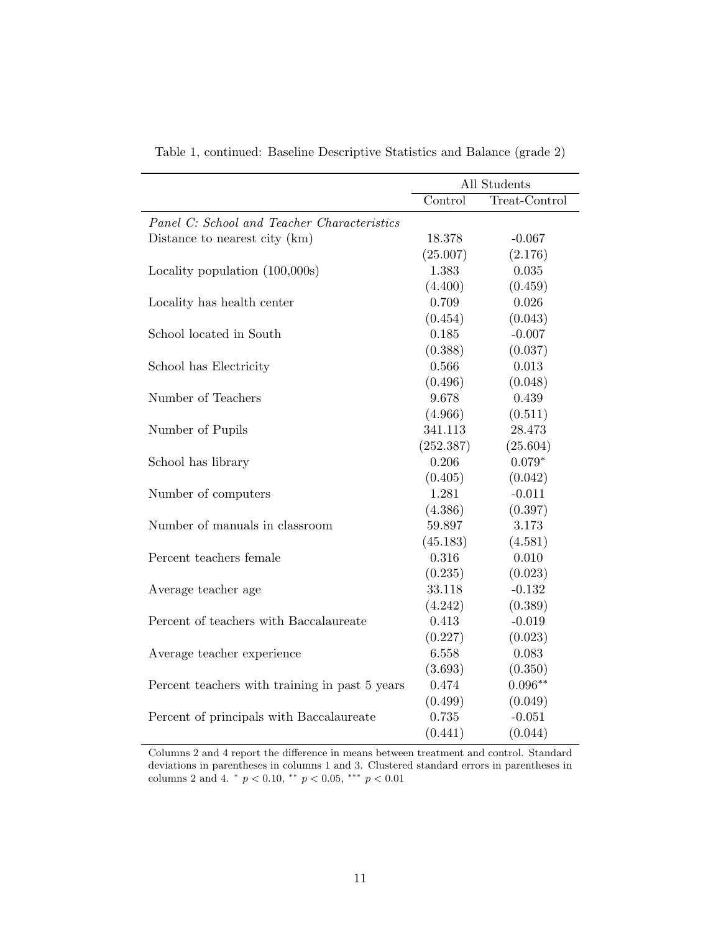|                                                |           | All Students  |
|------------------------------------------------|-----------|---------------|
|                                                | Control   | Treat-Control |
| Panel C: School and Teacher Characteristics    |           |               |
| Distance to nearest city (km)                  | 18.378    | $-0.067$      |
|                                                | (25.007)  | (2.176)       |
| Locality population (100,000s)                 | 1.383     | 0.035         |
|                                                | (4.400)   | (0.459)       |
| Locality has health center                     | 0.709     | 0.026         |
|                                                | (0.454)   | (0.043)       |
| School located in South                        | 0.185     | $-0.007$      |
|                                                | (0.388)   | (0.037)       |
| School has Electricity                         | 0.566     | 0.013         |
|                                                | (0.496)   | (0.048)       |
| Number of Teachers                             | 9.678     | 0.439         |
|                                                | (4.966)   | (0.511)       |
| Number of Pupils                               | 341.113   | 28.473        |
|                                                | (252.387) | (25.604)      |
| School has library                             | 0.206     | $0.079*$      |
|                                                | (0.405)   | (0.042)       |
| Number of computers                            | 1.281     | $-0.011$      |
|                                                | (4.386)   | (0.397)       |
| Number of manuals in classroom                 | 59.897    | 3.173         |
|                                                | (45.183)  | (4.581)       |
| Percent teachers female                        | 0.316     | 0.010         |
|                                                | (0.235)   | (0.023)       |
| Average teacher age                            | 33.118    | $-0.132$      |
|                                                | (4.242)   | (0.389)       |
| Percent of teachers with Baccalaureate         | 0.413     | $-0.019$      |
|                                                | (0.227)   | (0.023)       |
| Average teacher experience                     | 6.558     | 0.083         |
|                                                | (3.693)   | (0.350)       |
| Percent teachers with training in past 5 years | 0.474     | $0.096**$     |
|                                                | (0.499)   | (0.049)       |
| Percent of principals with Baccalaureate       | 0.735     | $-0.051$      |
|                                                | (0.441)   | (0.044)       |

Table 1, continued: Baseline Descriptive Statistics and Balance (grade 2)

Columns 2 and 4 report the difference in means between treatment and control. Standard deviations in parentheses in columns 1 and 3. Clustered standard errors in parentheses in columns 2 and 4.  $* p < 0.10, ** p < 0.05, ** p < 0.01$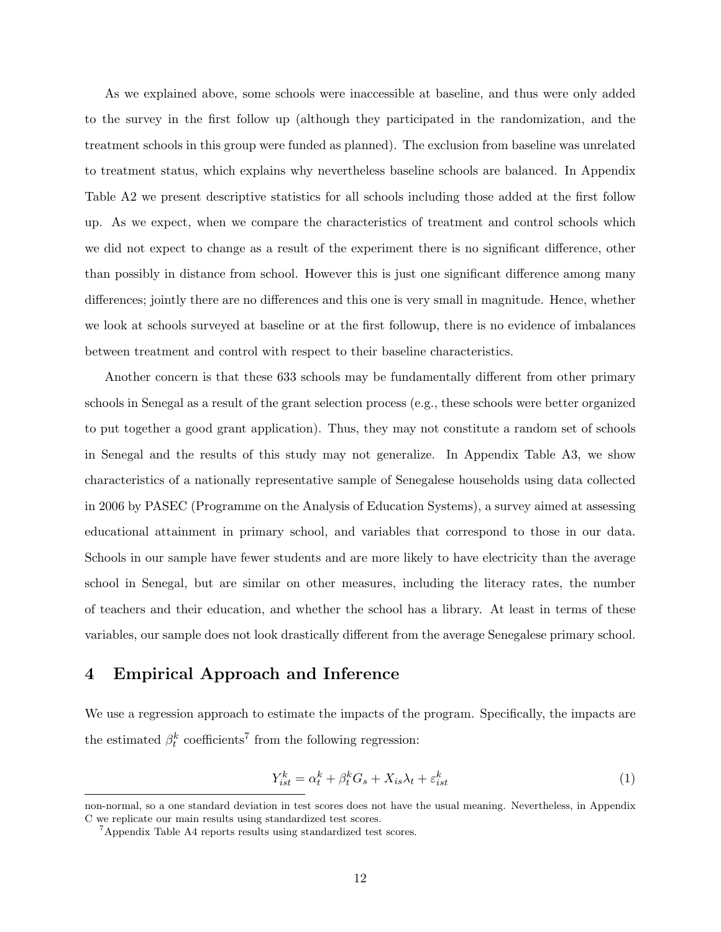As we explained above, some schools were inaccessible at baseline, and thus were only added to the survey in the first follow up (although they participated in the randomization, and the treatment schools in this group were funded as planned). The exclusion from baseline was unrelated to treatment status, which explains why nevertheless baseline schools are balanced. In Appendix Table A2 we present descriptive statistics for all schools including those added at the first follow up. As we expect, when we compare the characteristics of treatment and control schools which we did not expect to change as a result of the experiment there is no significant difference, other than possibly in distance from school. However this is just one significant difference among many differences; jointly there are no differences and this one is very small in magnitude. Hence, whether we look at schools surveyed at baseline or at the first followup, there is no evidence of imbalances between treatment and control with respect to their baseline characteristics.

Another concern is that these 633 schools may be fundamentally different from other primary schools in Senegal as a result of the grant selection process (e.g., these schools were better organized to put together a good grant application). Thus, they may not constitute a random set of schools in Senegal and the results of this study may not generalize. In Appendix Table A3, we show characteristics of a nationally representative sample of Senegalese households using data collected in 2006 by PASEC (Programme on the Analysis of Education Systems), a survey aimed at assessing educational attainment in primary school, and variables that correspond to those in our data. Schools in our sample have fewer students and are more likely to have electricity than the average school in Senegal, but are similar on other measures, including the literacy rates, the number of teachers and their education, and whether the school has a library. At least in terms of these variables, our sample does not look drastically different from the average Senegalese primary school.

### 4 Empirical Approach and Inference

We use a regression approach to estimate the impacts of the program. Specifically, the impacts are the estimated  $\beta_t^k$  coefficients<sup>7</sup> from the following regression:

$$
Y_{ist}^k = \alpha_t^k + \beta_t^k G_s + X_{is}\lambda_t + \varepsilon_{ist}^k
$$
\n<sup>(1)</sup>

non-normal, so a one standard deviation in test scores does not have the usual meaning. Nevertheless, in Appendix C we replicate our main results using standardized test scores.

<sup>7</sup>Appendix Table A4 reports results using standardized test scores.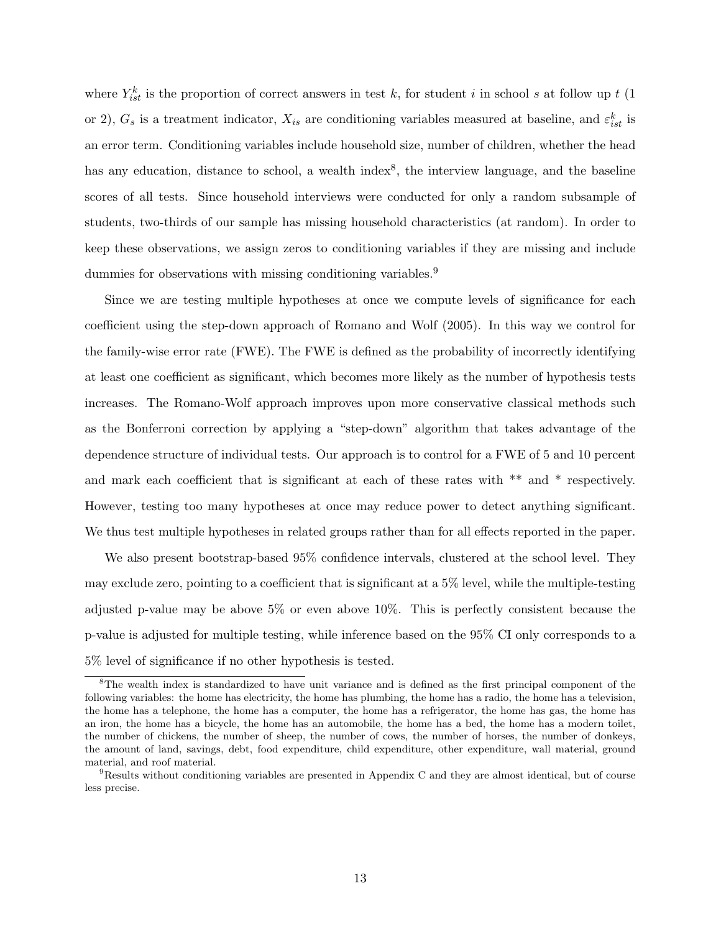where  $Y_{ist}^k$  is the proportion of correct answers in test k, for student i in school s at follow up t (1) or 2),  $G_s$  is a treatment indicator,  $X_{is}$  are conditioning variables measured at baseline, and  $\varepsilon_{ist}^k$  is an error term. Conditioning variables include household size, number of children, whether the head has any education, distance to school, a wealth index<sup>8</sup>, the interview language, and the baseline scores of all tests. Since household interviews were conducted for only a random subsample of students, two-thirds of our sample has missing household characteristics (at random). In order to keep these observations, we assign zeros to conditioning variables if they are missing and include dummies for observations with missing conditioning variables.<sup>9</sup>

Since we are testing multiple hypotheses at once we compute levels of significance for each coefficient using the step-down approach of Romano and Wolf (2005). In this way we control for the family-wise error rate (FWE). The FWE is defined as the probability of incorrectly identifying at least one coefficient as significant, which becomes more likely as the number of hypothesis tests increases. The Romano-Wolf approach improves upon more conservative classical methods such as the Bonferroni correction by applying a "step-down" algorithm that takes advantage of the dependence structure of individual tests. Our approach is to control for a FWE of 5 and 10 percent and mark each coefficient that is significant at each of these rates with \*\* and \* respectively. However, testing too many hypotheses at once may reduce power to detect anything significant. We thus test multiple hypotheses in related groups rather than for all effects reported in the paper.

We also present bootstrap-based 95% confidence intervals, clustered at the school level. They may exclude zero, pointing to a coefficient that is significant at a 5% level, while the multiple-testing adjusted p-value may be above 5% or even above 10%. This is perfectly consistent because the p-value is adjusted for multiple testing, while inference based on the 95% CI only corresponds to a 5% level of significance if no other hypothesis is tested.

<sup>8</sup>The wealth index is standardized to have unit variance and is defined as the first principal component of the following variables: the home has electricity, the home has plumbing, the home has a radio, the home has a television, the home has a telephone, the home has a computer, the home has a refrigerator, the home has gas, the home has an iron, the home has a bicycle, the home has an automobile, the home has a bed, the home has a modern toilet, the number of chickens, the number of sheep, the number of cows, the number of horses, the number of donkeys, the amount of land, savings, debt, food expenditure, child expenditure, other expenditure, wall material, ground material, and roof material.

<sup>9</sup>Results without conditioning variables are presented in Appendix C and they are almost identical, but of course less precise.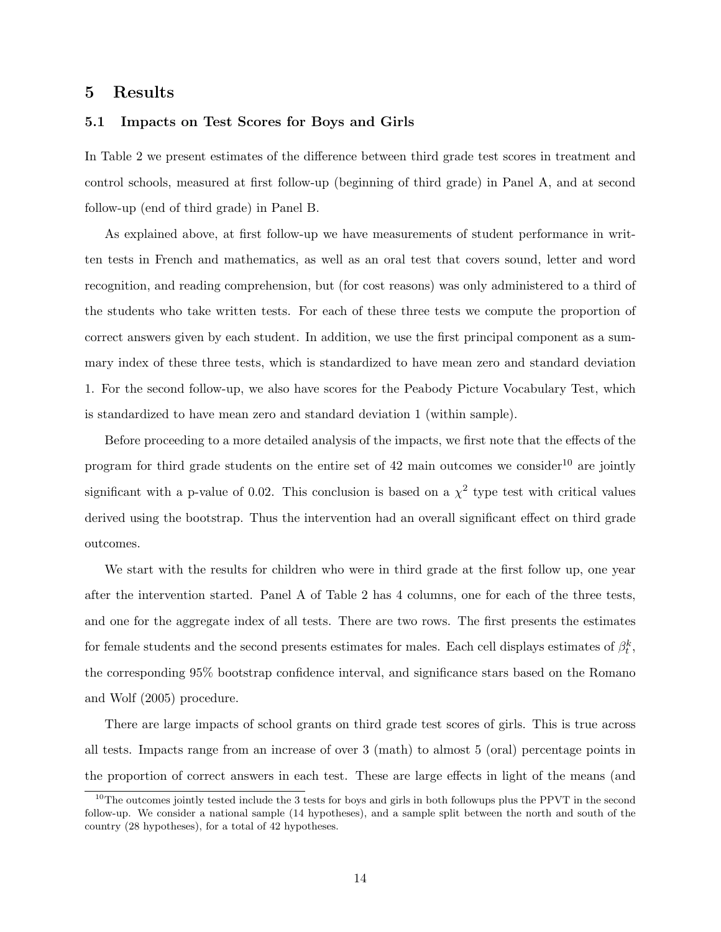#### 5 Results

#### 5.1 Impacts on Test Scores for Boys and Girls

In Table 2 we present estimates of the difference between third grade test scores in treatment and control schools, measured at first follow-up (beginning of third grade) in Panel A, and at second follow-up (end of third grade) in Panel B.

As explained above, at first follow-up we have measurements of student performance in written tests in French and mathematics, as well as an oral test that covers sound, letter and word recognition, and reading comprehension, but (for cost reasons) was only administered to a third of the students who take written tests. For each of these three tests we compute the proportion of correct answers given by each student. In addition, we use the first principal component as a summary index of these three tests, which is standardized to have mean zero and standard deviation 1. For the second follow-up, we also have scores for the Peabody Picture Vocabulary Test, which is standardized to have mean zero and standard deviation 1 (within sample).

Before proceeding to a more detailed analysis of the impacts, we first note that the effects of the program for third grade students on the entire set of  $42$  main outcomes we consider<sup>10</sup> are jointly significant with a p-value of 0.02. This conclusion is based on a  $\chi^2$  type test with critical values derived using the bootstrap. Thus the intervention had an overall significant effect on third grade outcomes.

We start with the results for children who were in third grade at the first follow up, one year after the intervention started. Panel A of Table 2 has 4 columns, one for each of the three tests, and one for the aggregate index of all tests. There are two rows. The first presents the estimates for female students and the second presents estimates for males. Each cell displays estimates of  $\beta_t^k$ , the corresponding 95% bootstrap confidence interval, and significance stars based on the Romano and Wolf (2005) procedure.

There are large impacts of school grants on third grade test scores of girls. This is true across all tests. Impacts range from an increase of over 3 (math) to almost 5 (oral) percentage points in the proportion of correct answers in each test. These are large effects in light of the means (and

 $10$ The outcomes jointly tested include the 3 tests for boys and girls in both followups plus the PPVT in the second follow-up. We consider a national sample (14 hypotheses), and a sample split between the north and south of the country (28 hypotheses), for a total of 42 hypotheses.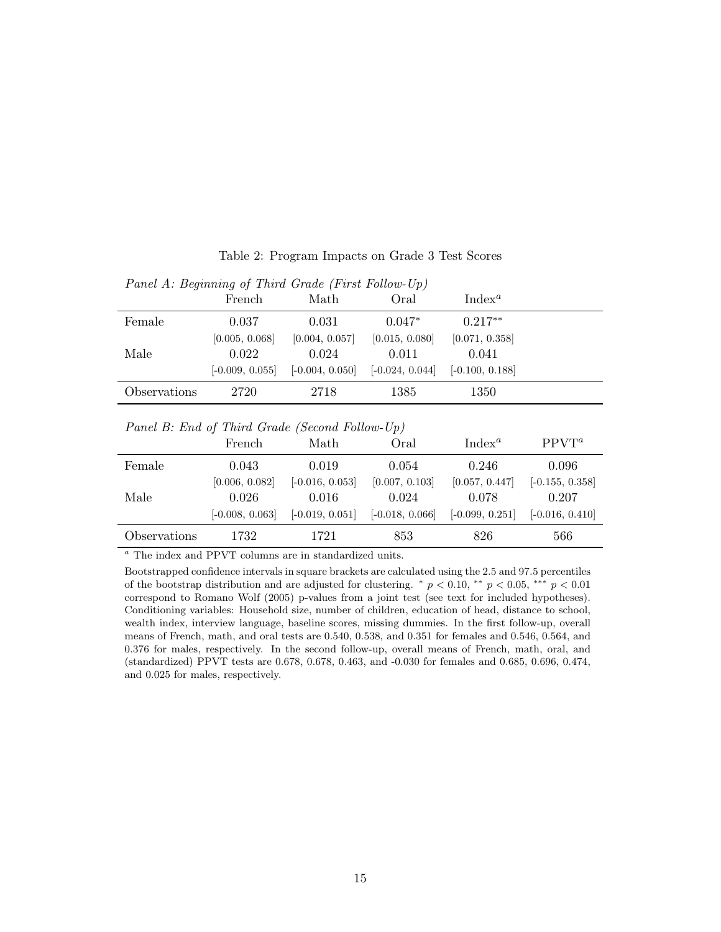| T and A. Degining of Thina Graud (T is Tonow-Op) |                   |                   |                   |                   |  |
|--------------------------------------------------|-------------------|-------------------|-------------------|-------------------|--|
|                                                  | French            | Math              | Oral              | $Index^a$         |  |
| Female                                           | 0.037             | 0.031             | $0.047*$          | $0.217**$         |  |
|                                                  | [0.005, 0.068]    | [0.004, 0.057]    | [0.015, 0.080]    | [0.071, 0.358]    |  |
| Male                                             | 0.022             | 0.024             | 0.011             | 0.041             |  |
|                                                  | $[-0.009, 0.055]$ | $[-0.004, 0.050]$ | $[-0.024, 0.044]$ | $[-0.100, 0.188]$ |  |
| Observations                                     | 2720              | 2718              | 1385              | 1350              |  |

Table 2: Program Impacts on Grade 3 Test Scores

 $Panel A \cdot Benjamin of Third Grade (First Follow-IIn)$ 

#### Panel B: End of Third Grade (Second Follow-Up)

|              | French            | Math              | Oral              | $Index^a$         | $PPVT^a$          |
|--------------|-------------------|-------------------|-------------------|-------------------|-------------------|
| Female       | 0.043             | 0.019             | 0.054             | 0.246             | 0.096             |
|              | [0.006, 0.082]    | $[-0.016, 0.053]$ | [0.007, 0.103]    | [0.057, 0.447]    | $[-0.155, 0.358]$ |
| Male         | 0.026             | 0.016             | 0.024             | 0.078             | 0.207             |
|              | $[-0.008, 0.063]$ | $[-0.019, 0.051]$ | $[-0.018, 0.066]$ | $[-0.099, 0.251]$ | $[-0.016, 0.410]$ |
| Observations | 1732              | 1721              | 853               | 826               | 566               |

 $\emph{^a}$  The index and PPVT columns are in standardized units.

Bootstrapped confidence intervals in square brackets are calculated using the 2.5 and 97.5 percentiles of the bootstrap distribution and are adjusted for clustering.  $\degree p < 0.10$ ,  $\degree\degree p < 0.05$ ,  $\degree\degree\degree p < 0.01$ correspond to Romano Wolf (2005) p-values from a joint test (see text for included hypotheses). Conditioning variables: Household size, number of children, education of head, distance to school, wealth index, interview language, baseline scores, missing dummies. In the first follow-up, overall means of French, math, and oral tests are 0.540, 0.538, and 0.351 for females and 0.546, 0.564, and 0.376 for males, respectively. In the second follow-up, overall means of French, math, oral, and (standardized) PPVT tests are 0.678, 0.678, 0.463, and -0.030 for females and 0.685, 0.696, 0.474, and 0.025 for males, respectively.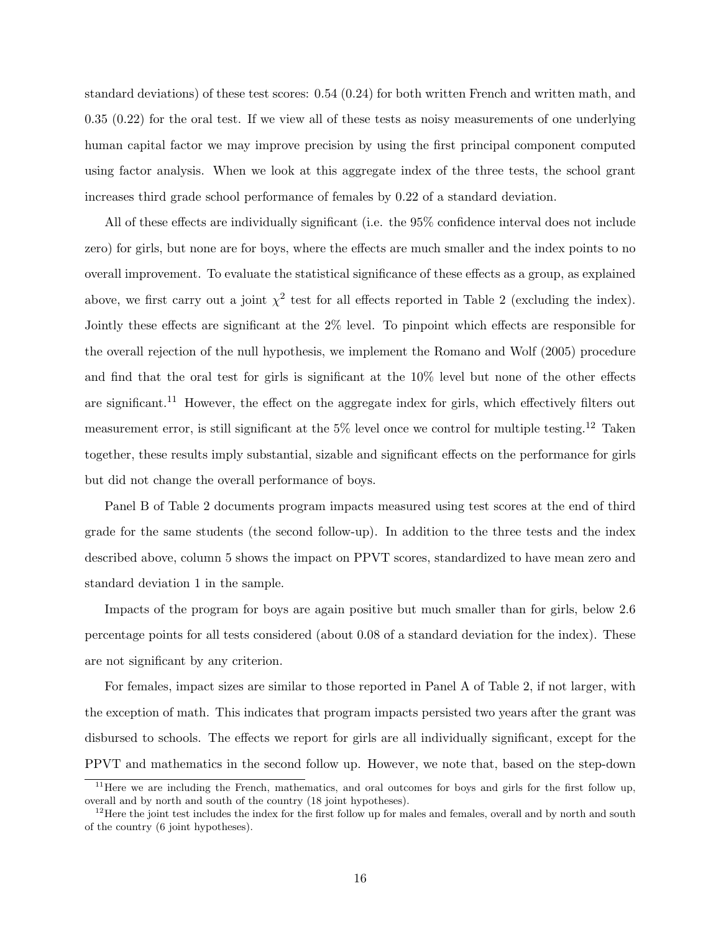standard deviations) of these test scores: 0.54 (0.24) for both written French and written math, and 0.35 (0.22) for the oral test. If we view all of these tests as noisy measurements of one underlying human capital factor we may improve precision by using the first principal component computed using factor analysis. When we look at this aggregate index of the three tests, the school grant increases third grade school performance of females by 0.22 of a standard deviation.

All of these effects are individually significant (i.e. the 95% confidence interval does not include zero) for girls, but none are for boys, where the effects are much smaller and the index points to no overall improvement. To evaluate the statistical significance of these effects as a group, as explained above, we first carry out a joint  $\chi^2$  test for all effects reported in Table 2 (excluding the index). Jointly these effects are significant at the 2% level. To pinpoint which effects are responsible for the overall rejection of the null hypothesis, we implement the Romano and Wolf (2005) procedure and find that the oral test for girls is significant at the 10% level but none of the other effects are significant.<sup>11</sup> However, the effect on the aggregate index for girls, which effectively filters out measurement error, is still significant at the 5% level once we control for multiple testing.<sup>12</sup> Taken together, these results imply substantial, sizable and significant effects on the performance for girls but did not change the overall performance of boys.

Panel B of Table 2 documents program impacts measured using test scores at the end of third grade for the same students (the second follow-up). In addition to the three tests and the index described above, column 5 shows the impact on PPVT scores, standardized to have mean zero and standard deviation 1 in the sample.

Impacts of the program for boys are again positive but much smaller than for girls, below 2.6 percentage points for all tests considered (about 0.08 of a standard deviation for the index). These are not significant by any criterion.

For females, impact sizes are similar to those reported in Panel A of Table 2, if not larger, with the exception of math. This indicates that program impacts persisted two years after the grant was disbursed to schools. The effects we report for girls are all individually significant, except for the PPVT and mathematics in the second follow up. However, we note that, based on the step-down

<sup>&</sup>lt;sup>11</sup>Here we are including the French, mathematics, and oral outcomes for boys and girls for the first follow up, overall and by north and south of the country (18 joint hypotheses).

 $12$  Here the joint test includes the index for the first follow up for males and females, overall and by north and south of the country (6 joint hypotheses).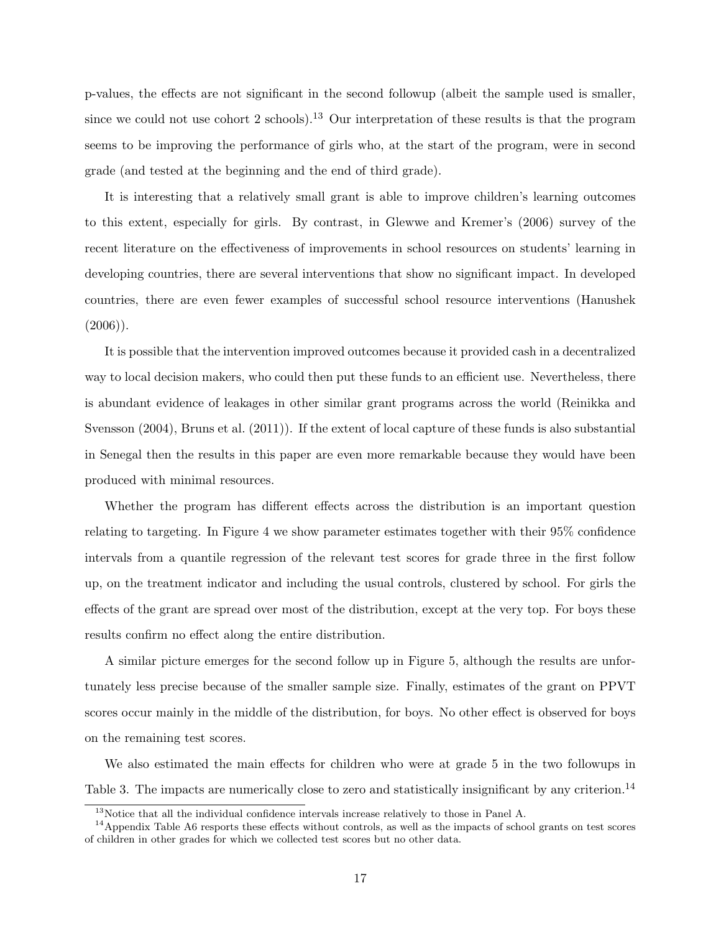p-values, the effects are not significant in the second followup (albeit the sample used is smaller, since we could not use cohort 2 schools).<sup>13</sup> Our interpretation of these results is that the program seems to be improving the performance of girls who, at the start of the program, were in second grade (and tested at the beginning and the end of third grade).

It is interesting that a relatively small grant is able to improve children's learning outcomes to this extent, especially for girls. By contrast, in Glewwe and Kremer's (2006) survey of the recent literature on the effectiveness of improvements in school resources on students' learning in developing countries, there are several interventions that show no significant impact. In developed countries, there are even fewer examples of successful school resource interventions (Hanushek  $(2006)$ ).

It is possible that the intervention improved outcomes because it provided cash in a decentralized way to local decision makers, who could then put these funds to an efficient use. Nevertheless, there is abundant evidence of leakages in other similar grant programs across the world (Reinikka and Svensson (2004), Bruns et al. (2011)). If the extent of local capture of these funds is also substantial in Senegal then the results in this paper are even more remarkable because they would have been produced with minimal resources.

Whether the program has different effects across the distribution is an important question relating to targeting. In Figure 4 we show parameter estimates together with their 95% confidence intervals from a quantile regression of the relevant test scores for grade three in the first follow up, on the treatment indicator and including the usual controls, clustered by school. For girls the effects of the grant are spread over most of the distribution, except at the very top. For boys these results confirm no effect along the entire distribution.

A similar picture emerges for the second follow up in Figure 5, although the results are unfortunately less precise because of the smaller sample size. Finally, estimates of the grant on PPVT scores occur mainly in the middle of the distribution, for boys. No other effect is observed for boys on the remaining test scores.

We also estimated the main effects for children who were at grade 5 in the two followups in Table 3. The impacts are numerically close to zero and statistically insignificant by any criterion.<sup>14</sup>

 $13$ Notice that all the individual confidence intervals increase relatively to those in Panel A.

 $14$ Appendix Table A6 resports these effects without controls, as well as the impacts of school grants on test scores of children in other grades for which we collected test scores but no other data.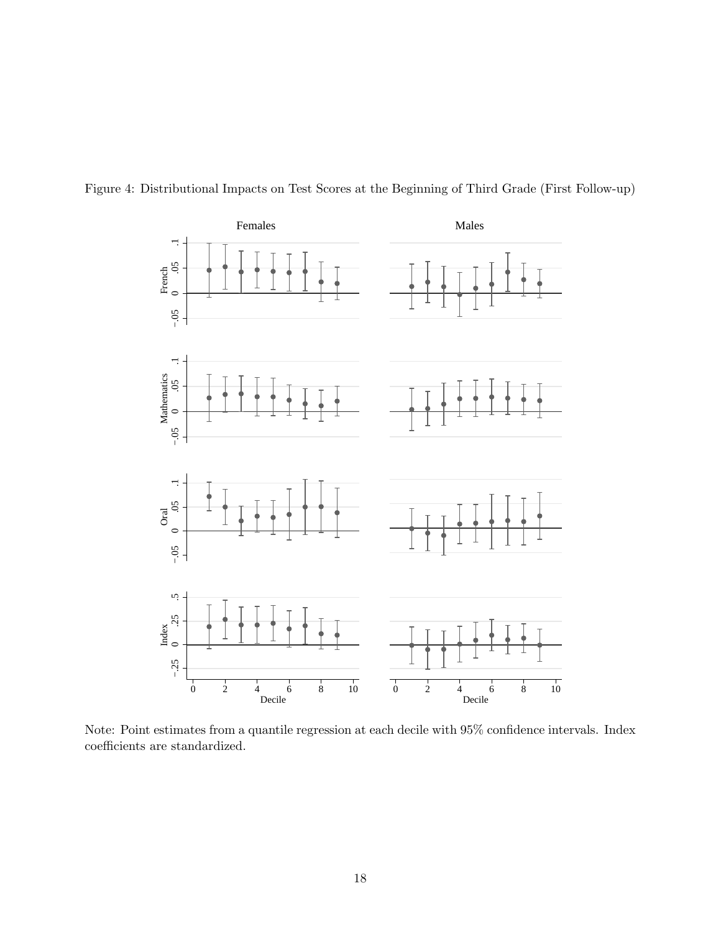

Figure 4: Distributional Impacts on Test Scores at the Beginning of Third Grade (First Follow-up)

Note: Point estimates from a quantile regression at each decile with 95% confidence intervals. Index coefficients are standardized.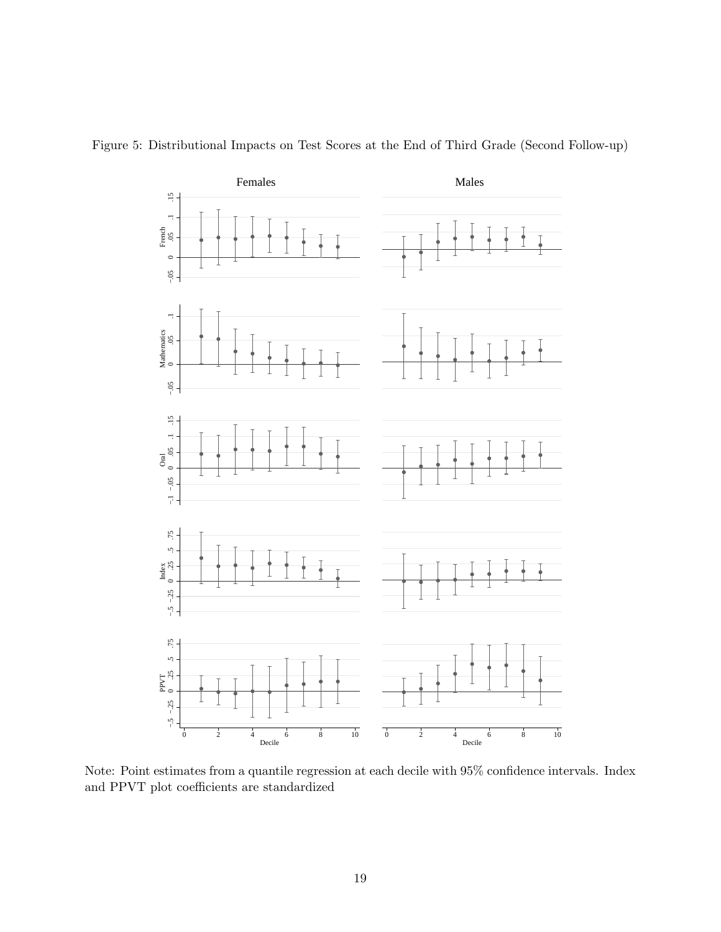

Figure 5: Distributional Impacts on Test Scores at the End of Third Grade (Second Follow-up)

Note: Point estimates from a quantile regression at each decile with 95% confidence intervals. Index and PPVT plot coefficients are standardized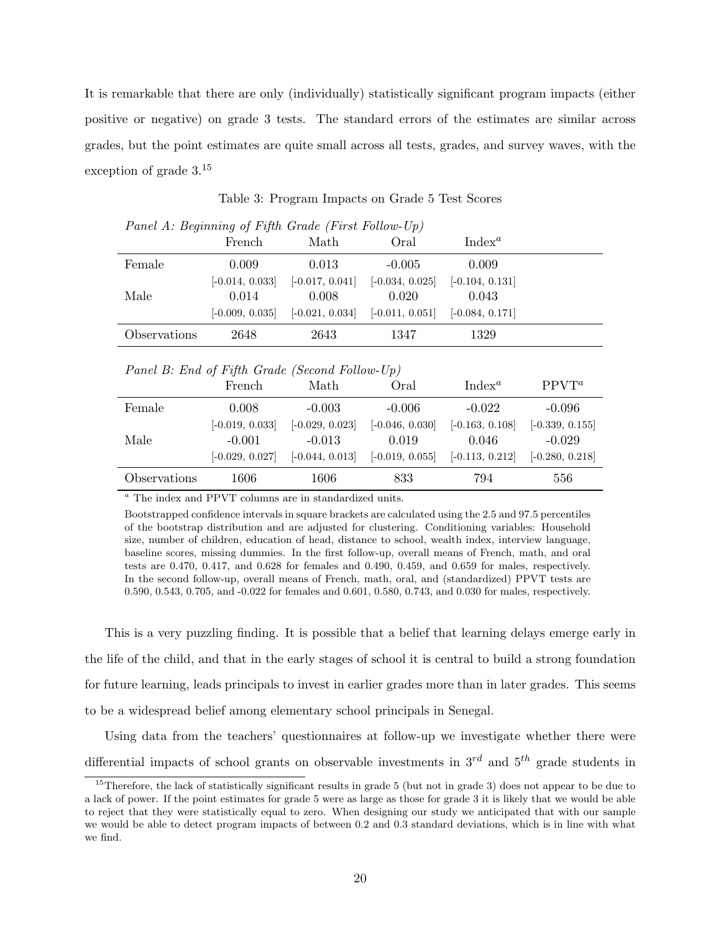It is remarkable that there are only (individually) statistically significant program impacts (either positive or negative) on grade 3 tests. The standard errors of the estimates are similar across grades, but the point estimates are quite small across all tests, grades, and survey waves, with the exception of grade 3.<sup>15</sup>

| Panel A: Beginning of Fifth Grade (First Follow-Up) |                   |                   |                                                                         |                    |  |  |  |
|-----------------------------------------------------|-------------------|-------------------|-------------------------------------------------------------------------|--------------------|--|--|--|
|                                                     | French            | Math              | Oral                                                                    | Index <sup>a</sup> |  |  |  |
| Female                                              | 0.009             | 0.013             | $-0.005$                                                                | 0.009              |  |  |  |
|                                                     | $[-0.014, 0.033]$ | $[-0.017, 0.041]$ | $[-0.034, 0.025]$ $[-0.104, 0.131]$                                     |                    |  |  |  |
| Male                                                | 0.014             | 0.008             | 0.020                                                                   | 0.043              |  |  |  |
|                                                     |                   |                   | $[-0.009, 0.035]$ $[-0.021, 0.034]$ $[-0.011, 0.051]$ $[-0.084, 0.171]$ |                    |  |  |  |
| Observations                                        | 2648              | 2643              | 1347                                                                    | 1329               |  |  |  |

Table 3: Program Impacts on Grade 5 Test Scores

Panel B: End of Fifth Grade (Second Follow-Up)

|              | French            | Math              | Oral              | Index <sup><i>a</i></sup> | $PPVT^a$          |
|--------------|-------------------|-------------------|-------------------|---------------------------|-------------------|
| Female       | 0.008             | $-0.003$          | $-0.006$          | $-0.022$                  | $-0.096$          |
|              | $[-0.019, 0.033]$ | $[-0.029, 0.023]$ | $[-0.046, 0.030]$ | $[-0.163, 0.108]$         | $[-0.339, 0.155]$ |
| Male         | $-0.001$          | $-0.013$          | 0.019             | 0.046                     | $-0.029$          |
|              | $[-0.029, 0.027]$ | $[-0.044, 0.013]$ | $[-0.019, 0.055]$ | $[-0.113, 0.212]$         | $[-0.280, 0.218]$ |
| Observations | 1606              | 1606              | 833               | 794                       | 556               |

 $^a$  The index and PPVT columns are in standardized units.

Bootstrapped confidence intervals in square brackets are calculated using the 2.5 and 97.5 percentiles of the bootstrap distribution and are adjusted for clustering. Conditioning variables: Household size, number of children, education of head, distance to school, wealth index, interview language, baseline scores, missing dummies. In the first follow-up, overall means of French, math, and oral tests are 0.470, 0.417, and 0.628 for females and 0.490, 0.459, and 0.659 for males, respectively. In the second follow-up, overall means of French, math, oral, and (standardized) PPVT tests are 0.590, 0.543, 0.705, and -0.022 for females and 0.601, 0.580, 0.743, and 0.030 for males, respectively.

This is a very puzzling finding. It is possible that a belief that learning delays emerge early in the life of the child, and that in the early stages of school it is central to build a strong foundation for future learning, leads principals to invest in earlier grades more than in later grades. This seems to be a widespread belief among elementary school principals in Senegal.

Using data from the teachers' questionnaires at follow-up we investigate whether there were differential impacts of school grants on observable investments in  $3^{rd}$  and  $5^{th}$  grade students in

<sup>&</sup>lt;sup>15</sup>Therefore, the lack of statistically significant results in grade 5 (but not in grade 3) does not appear to be due to a lack of power. If the point estimates for grade 5 were as large as those for grade 3 it is likely that we would be able to reject that they were statistically equal to zero. When designing our study we anticipated that with our sample we would be able to detect program impacts of between 0.2 and 0.3 standard deviations, which is in line with what we find.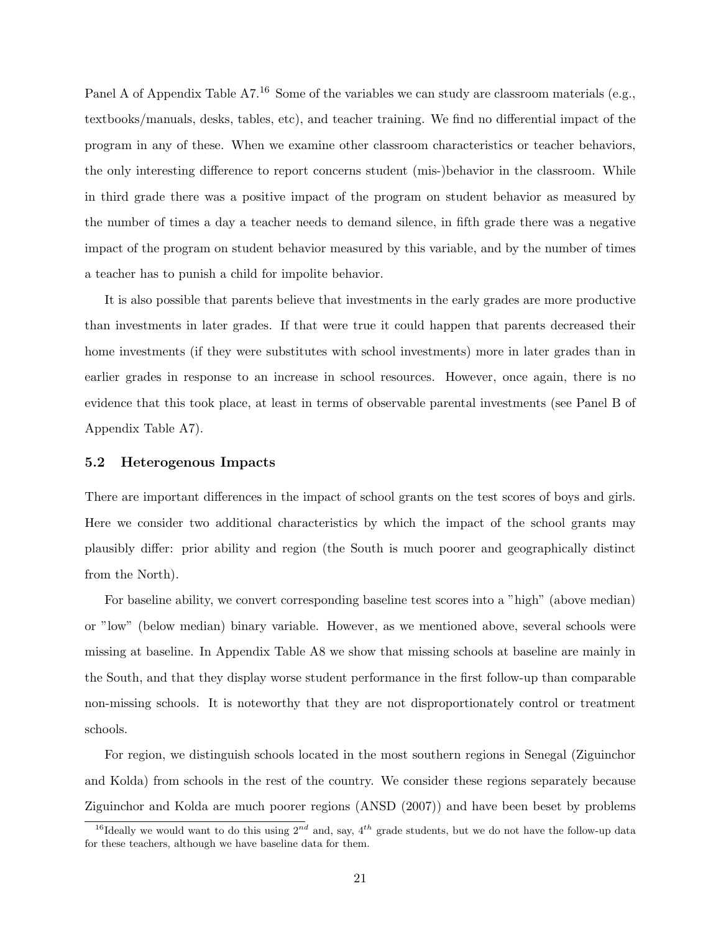Panel A of Appendix Table A7.<sup>16</sup> Some of the variables we can study are classroom materials (e.g., textbooks/manuals, desks, tables, etc), and teacher training. We find no differential impact of the program in any of these. When we examine other classroom characteristics or teacher behaviors, the only interesting difference to report concerns student (mis-)behavior in the classroom. While in third grade there was a positive impact of the program on student behavior as measured by the number of times a day a teacher needs to demand silence, in fifth grade there was a negative impact of the program on student behavior measured by this variable, and by the number of times a teacher has to punish a child for impolite behavior.

It is also possible that parents believe that investments in the early grades are more productive than investments in later grades. If that were true it could happen that parents decreased their home investments (if they were substitutes with school investments) more in later grades than in earlier grades in response to an increase in school resources. However, once again, there is no evidence that this took place, at least in terms of observable parental investments (see Panel B of Appendix Table A7).

#### 5.2 Heterogenous Impacts

There are important differences in the impact of school grants on the test scores of boys and girls. Here we consider two additional characteristics by which the impact of the school grants may plausibly differ: prior ability and region (the South is much poorer and geographically distinct from the North).

For baseline ability, we convert corresponding baseline test scores into a "high" (above median) or "low" (below median) binary variable. However, as we mentioned above, several schools were missing at baseline. In Appendix Table A8 we show that missing schools at baseline are mainly in the South, and that they display worse student performance in the first follow-up than comparable non-missing schools. It is noteworthy that they are not disproportionately control or treatment schools.

For region, we distinguish schools located in the most southern regions in Senegal (Ziguinchor and Kolda) from schools in the rest of the country. We consider these regions separately because Ziguinchor and Kolda are much poorer regions (ANSD (2007)) and have been beset by problems

<sup>&</sup>lt;sup>16</sup>Ideally we would want to do this using  $2^{nd}$  and, say,  $4^{th}$  grade students, but we do not have the follow-up data for these teachers, although we have baseline data for them.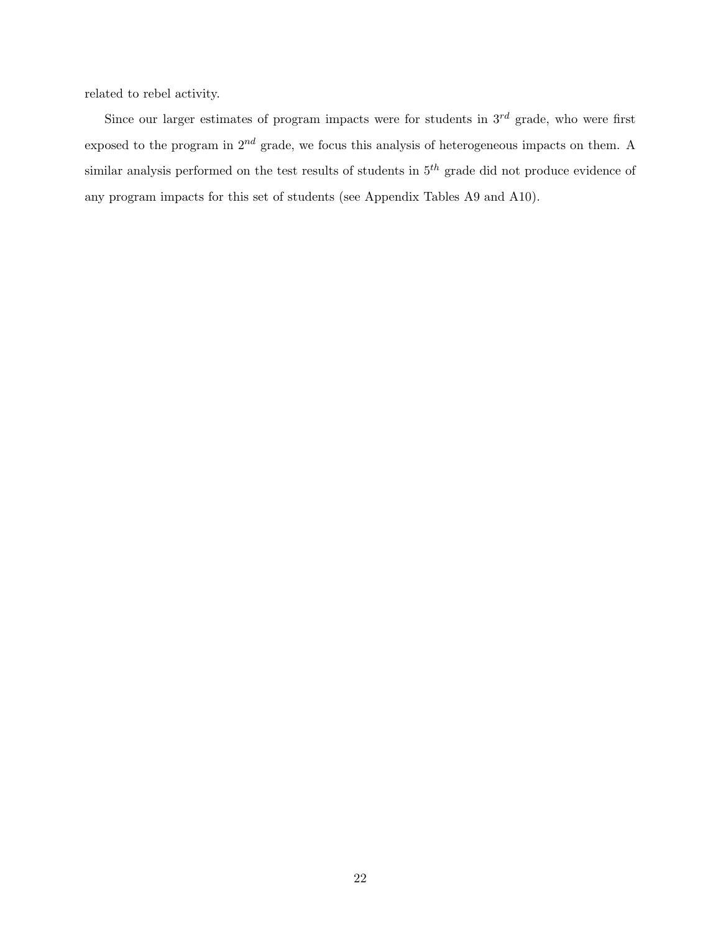related to rebel activity.

Since our larger estimates of program impacts were for students in  $3^{rd}$  grade, who were first exposed to the program in  $2^{nd}$  grade, we focus this analysis of heterogeneous impacts on them. A similar analysis performed on the test results of students in  $5<sup>th</sup>$  grade did not produce evidence of any program impacts for this set of students (see Appendix Tables A9 and A10).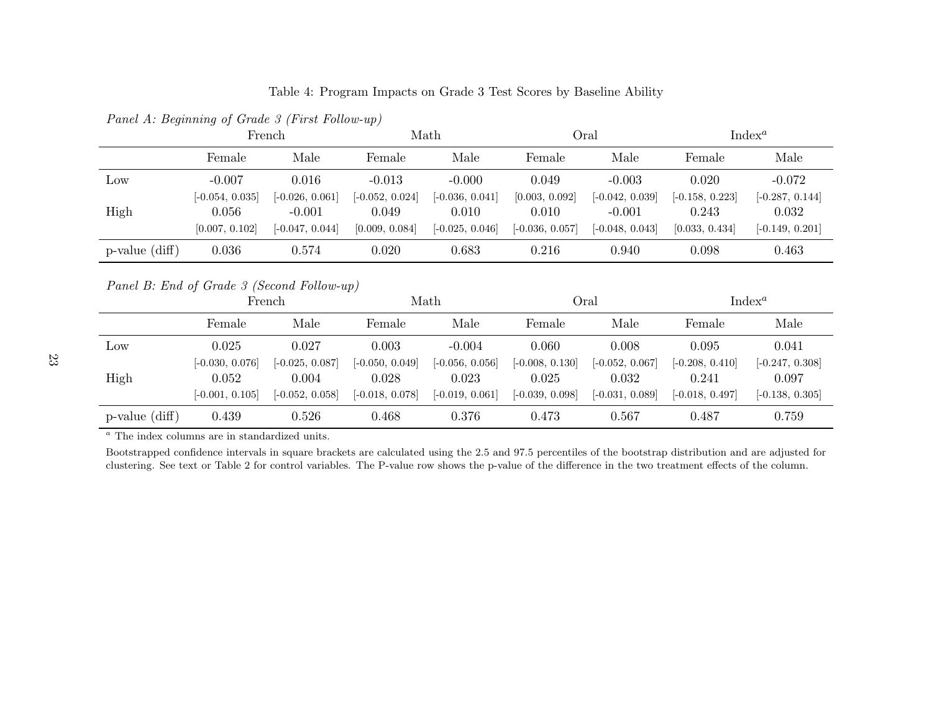Table 4: Program Impacts on Grade <sup>3</sup> Test Scores by Baseline Ability

|                                            | French            |                   |                   | Math              |                   | Oral<br>$Index^a$ |                   |                   |
|--------------------------------------------|-------------------|-------------------|-------------------|-------------------|-------------------|-------------------|-------------------|-------------------|
|                                            | Female            | Male              | Female            | Male              | Female            | Male              | Female            | Male              |
| Low                                        | $-0.007$          | 0.016             | $-0.013$          | $-0.000$          | 0.049             | $-0.003$          | 0.020             | $-0.072$          |
|                                            | $[-0.054, 0.035]$ | $[-0.026, 0.061]$ | $[-0.052, 0.024]$ | $[-0.036, 0.041]$ | [0.003, 0.092]    | $[-0.042, 0.039]$ | $[-0.158, 0.223]$ | $[-0.287, 0.144]$ |
| High                                       | 0.056             | $-0.001$          | 0.049             | 0.010             | 0.010             | $-0.001$          | 0.243             | 0.032             |
|                                            | [0.007, 0.102]    | $[-0.047, 0.044]$ | [0.009, 0.084]    | $[-0.025, 0.046]$ | $[-0.036, 0.057]$ | $[-0.048, 0.043]$ | [0.033, 0.434]    | $[-0.149, 0.201]$ |
| $p$ -value $(diff)$                        | 0.036             | 0.574             | 0.020             | 0.683             | 0.216             | 0.940             | 0.098             | 0.463             |
| Panel B: End of Grade 3 (Second Follow-up) |                   |                   |                   |                   |                   |                   |                   |                   |
|                                            |                   | French            |                   | Math              |                   | Oral              |                   | $Index^a$         |
|                                            | $\blacksquare$    | <b>B</b> T        | <b>D</b>          | <b>B</b> T        | D.                | <b>B</b> T        | $\mathbf{L}$      | <b>B</b> T        |

Panel A: Beginning of Grade <sup>3</sup> (First Follow-up)

|                     | French                                          |                                                 |                                                 | Math                                            |                                                 | Oral                                            |                                                 | Index <sup><i>a</i></sup>                       |  |
|---------------------|-------------------------------------------------|-------------------------------------------------|-------------------------------------------------|-------------------------------------------------|-------------------------------------------------|-------------------------------------------------|-------------------------------------------------|-------------------------------------------------|--|
|                     | Female                                          | Male                                            | Female                                          | Male                                            | Female                                          | Male                                            | Female                                          | Male                                            |  |
| Low                 | 0.025                                           | 0.027                                           | 0.003                                           | $-0.004$                                        | 0.060                                           | 0.008                                           | 0.095                                           | 0.041                                           |  |
| High                | $[-0.030, 0.076]$<br>0.052<br>$[-0.001, 0.105]$ | $[-0.025, 0.087]$<br>0.004<br>$[-0.052, 0.058]$ | $[-0.050, 0.049]$<br>0.028<br>$[-0.018, 0.078]$ | $[-0.056, 0.056]$<br>0.023<br>$[-0.019, 0.061]$ | $[-0.008, 0.130]$<br>0.025<br>$[-0.039, 0.098]$ | $[-0.052, 0.067]$<br>0.032<br>$[-0.031, 0.089]$ | $[-0.208, 0.410]$<br>0.241<br>$[-0.018, 0.497]$ | $[-0.247, 0.308]$<br>0.097<br>$[-0.138, 0.305]$ |  |
| $p$ -value $(diff)$ | 0.439                                           | 0.526                                           | 0.468                                           | 0.376                                           | 0.473                                           | 0.567                                           | 0.487                                           | 0.759                                           |  |

<sup>a</sup> The index columns are in standardized units.

Bootstrapped confidence intervals in square brackets are calculated using the 2.5 and 97.5 percentiles of the bootstrap distribution and are adjusted for clustering. See text or Table <sup>2</sup> for control variables. The P-value row shows the p-value of the difference in the two treatment effects of the column.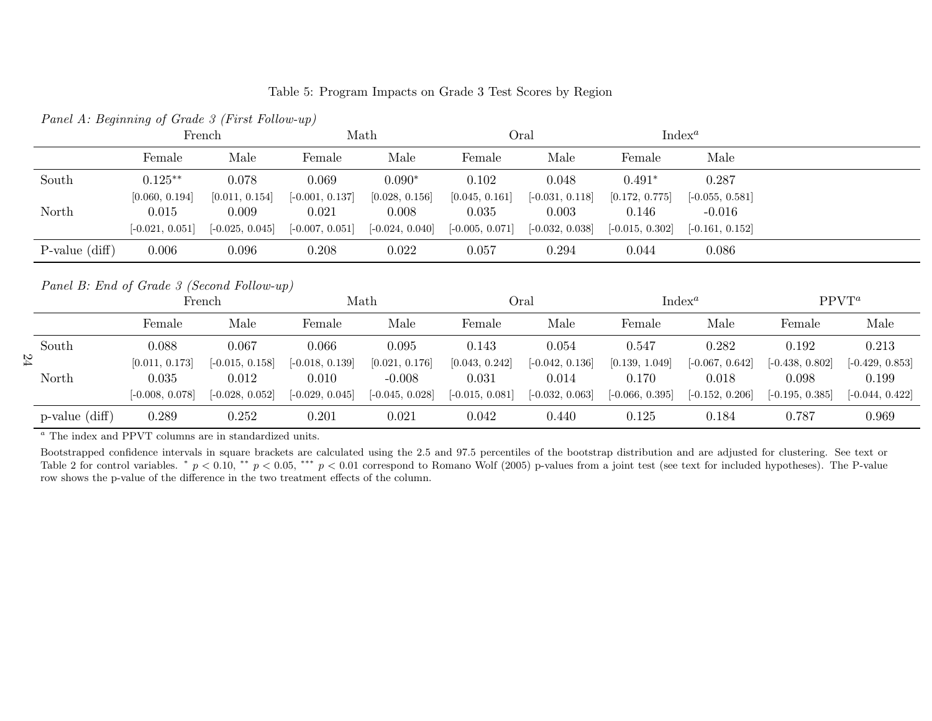|       | Panel A: Beginning of Grade 3 (First Follow-up) |                         |                            |                         |                         |                            |                         |                               |  |
|-------|-------------------------------------------------|-------------------------|----------------------------|-------------------------|-------------------------|----------------------------|-------------------------|-------------------------------|--|
|       |                                                 | French                  | Math                       |                         | Oral                    |                            |                         | Index <sup><i>a</i></sup>     |  |
|       | Female                                          | Male                    | Female                     | Male                    | Female                  | Male                       | Female                  | Male                          |  |
| South | $0.125**$                                       | 0.078                   | 0.069                      | $0.090*$                | 0.102                   | 0.048                      | $0.491*$                | 0.287                         |  |
| North | [0.060, 0.194]<br>0.015                         | [0.011, 0.154]<br>0.009 | $[-0.001, 0.137]$<br>0.021 | [0.028, 0.156]<br>0.008 | [0.045, 0.161]<br>0.035 | $[-0.031, 0.118]$<br>0.003 | [0.172, 0.775]<br>0.146 | $[-0.055, 0.581]$<br>$-0.016$ |  |
|       | $[-0.021, 0.051]$                               | $[-0.025, 0.045]$       | $[-0.007, 0.051]$          | $[-0.024, 0.040]$       | $[-0.005, 0.071]$       | $[-0.032, 0.038]$          | $[-0.015, 0.302]$       | $[-0.161, 0.152]$             |  |

P-value (diff) 0.006 0.096 0.208 0.022 0.057 0.294 0.044 0.086

Table 5: Program Impacts on Grade <sup>3</sup> Test Scores by Region

Panel B: End of Grade <sup>3</sup> (Second Follow-up)

|    | $\frac{1}{2}$ another $\frac{1}{2}$ . Entra $\frac{1}{2}$ of another $\frac{1}{2}$ of $\frac{1}{2}$ of $\frac{1}{2}$ of $\frac{1}{2}$ of $\frac{1}{2}$ |                         |                            |                            |                            |                         |                            |                         |                            |                            |                            |
|----|--------------------------------------------------------------------------------------------------------------------------------------------------------|-------------------------|----------------------------|----------------------------|----------------------------|-------------------------|----------------------------|-------------------------|----------------------------|----------------------------|----------------------------|
|    |                                                                                                                                                        |                         | French                     |                            | Math                       |                         | Oral                       |                         | Index <sup><i>a</i></sup>  |                            | $PPVT^a$                   |
|    |                                                                                                                                                        | Female                  | Male                       | Female                     | Male                       | Female                  | Male                       | Female                  | Male                       | Female                     | Male                       |
|    | South                                                                                                                                                  | 0.088                   | 0.067                      | 0.066                      | 0.095                      | 0.143                   | 0.054                      | 0.547                   | 0.282                      | 0.192                      | 0.213                      |
| 24 | North                                                                                                                                                  | [0.011, 0.173]<br>0.035 | $[-0.015, 0.158]$<br>0.012 | $[-0.018, 0.139]$<br>0.010 | [0.021, 0.176]<br>$-0.008$ | [0.043, 0.242]<br>0.031 | $[-0.042, 0.136]$<br>0.014 | [0.139, 1.049]<br>0.170 | $[-0.067, 0.642]$<br>0.018 | $[-0.438, 0.802]$<br>0.098 | $[-0.429, 0.853]$<br>0.199 |
|    |                                                                                                                                                        | $[-0.008, 0.078]$       | $[-0.028, 0.052]$          | $[-0.029, 0.045]$          | $[-0.045, 0.028]$          | $[-0.015, 0.081]$       | $[-0.032, 0.063]$          | $[-0.066, 0.395]$       | $[-0.152, 0.206]$          | $[-0.195, 0.385]$          | $[-0.044, 0.422]$          |
|    | $p$ -value $(diff)$                                                                                                                                    | 0.289                   | 0.252                      | 0.201                      | 0.021                      | 0.042                   | 0.440                      | 0.125                   | 0.184                      | 0.787                      | 0.969                      |

a The index and PPVT columns are in standardized units.

Bootstrapped confidence intervals in square brackets are calculated using the 2.5 and 97.5 percentiles of the bootstrap distribution and are adjusted for clustering. See text or Table 2 for control variables. \*  $p < 0.10$ , \*\*  $p < 0.05$ , \*\*\*  $p < 0.01$  correspond to Romano Wolf (2005) p-values from a joint test (see text for included hypotheses). The P-value row shows the p-value of the difference in the two treatment effects of the column.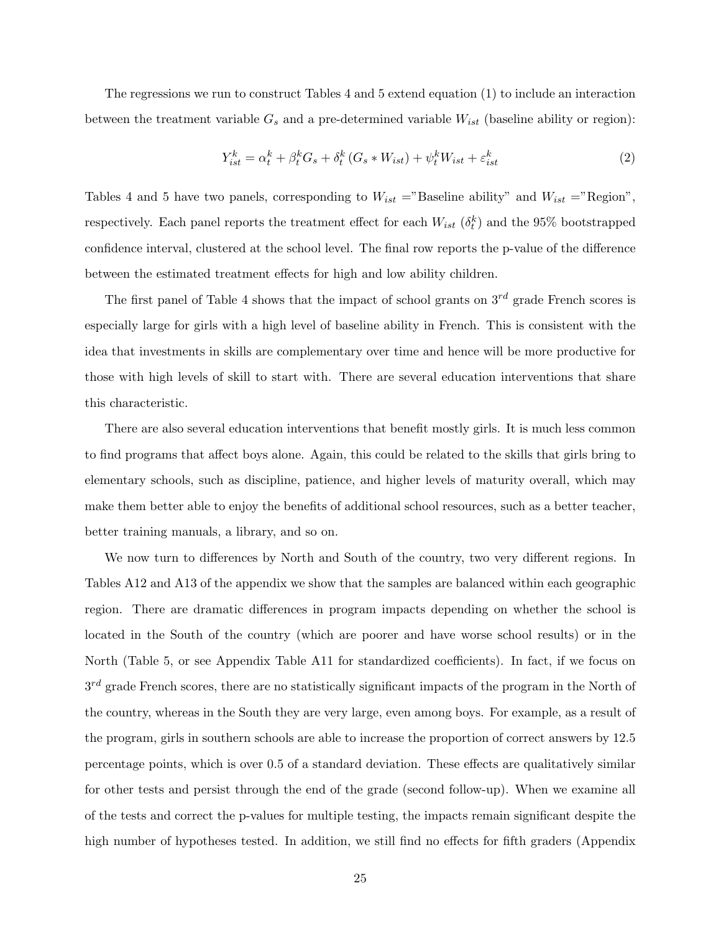The regressions we run to construct Tables 4 and 5 extend equation (1) to include an interaction between the treatment variable  $G_s$  and a pre-determined variable  $W_{ist}$  (baseline ability or region):

$$
Y_{ist}^k = \alpha_t^k + \beta_t^k G_s + \delta_t^k (G_s * W_{ist}) + \psi_t^k W_{ist} + \varepsilon_{ist}^k
$$
\n<sup>(2)</sup>

Tables 4 and 5 have two panels, corresponding to  $W_{ist} = "Baseline$  ability" and  $W_{ist} = "Region",$ respectively. Each panel reports the treatment effect for each  $W_{ist}$  ( $\delta_t^k$ ) and the 95% bootstrapped confidence interval, clustered at the school level. The final row reports the p-value of the difference between the estimated treatment effects for high and low ability children.

The first panel of Table 4 shows that the impact of school grants on  $3^{rd}$  grade French scores is especially large for girls with a high level of baseline ability in French. This is consistent with the idea that investments in skills are complementary over time and hence will be more productive for those with high levels of skill to start with. There are several education interventions that share this characteristic.

There are also several education interventions that benefit mostly girls. It is much less common to find programs that affect boys alone. Again, this could be related to the skills that girls bring to elementary schools, such as discipline, patience, and higher levels of maturity overall, which may make them better able to enjoy the benefits of additional school resources, such as a better teacher, better training manuals, a library, and so on.

We now turn to differences by North and South of the country, two very different regions. In Tables A12 and A13 of the appendix we show that the samples are balanced within each geographic region. There are dramatic differences in program impacts depending on whether the school is located in the South of the country (which are poorer and have worse school results) or in the North (Table 5, or see Appendix Table A11 for standardized coefficients). In fact, if we focus on  $3^{rd}$  grade French scores, there are no statistically significant impacts of the program in the North of the country, whereas in the South they are very large, even among boys. For example, as a result of the program, girls in southern schools are able to increase the proportion of correct answers by 12.5 percentage points, which is over 0.5 of a standard deviation. These effects are qualitatively similar for other tests and persist through the end of the grade (second follow-up). When we examine all of the tests and correct the p-values for multiple testing, the impacts remain significant despite the high number of hypotheses tested. In addition, we still find no effects for fifth graders (Appendix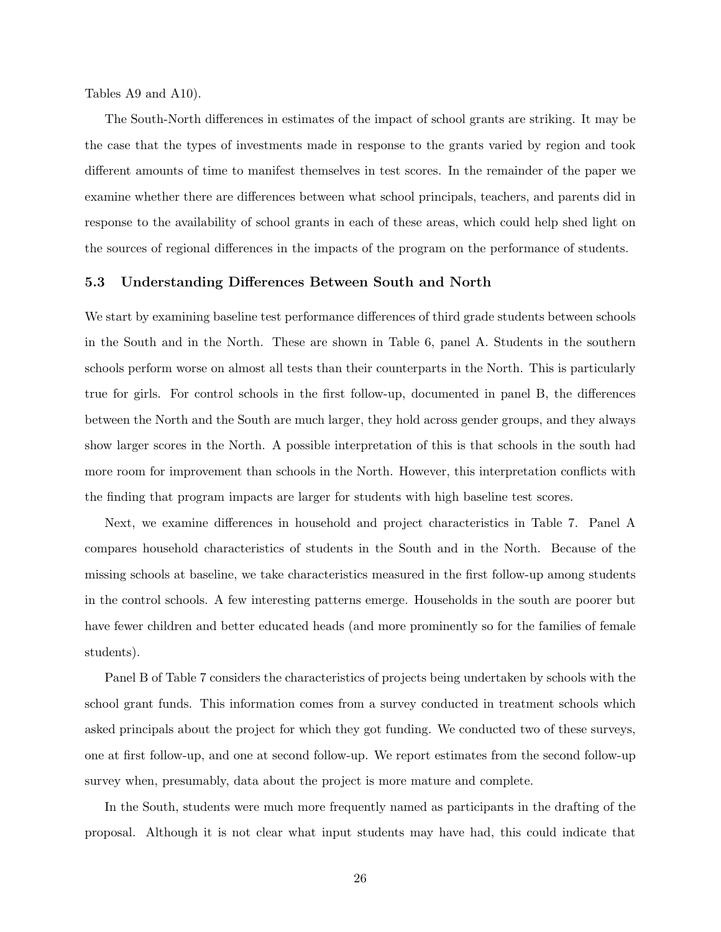Tables A9 and A10).

The South-North differences in estimates of the impact of school grants are striking. It may be the case that the types of investments made in response to the grants varied by region and took different amounts of time to manifest themselves in test scores. In the remainder of the paper we examine whether there are differences between what school principals, teachers, and parents did in response to the availability of school grants in each of these areas, which could help shed light on the sources of regional differences in the impacts of the program on the performance of students.

#### 5.3 Understanding Differences Between South and North

We start by examining baseline test performance differences of third grade students between schools in the South and in the North. These are shown in Table 6, panel A. Students in the southern schools perform worse on almost all tests than their counterparts in the North. This is particularly true for girls. For control schools in the first follow-up, documented in panel B, the differences between the North and the South are much larger, they hold across gender groups, and they always show larger scores in the North. A possible interpretation of this is that schools in the south had more room for improvement than schools in the North. However, this interpretation conflicts with the finding that program impacts are larger for students with high baseline test scores.

Next, we examine differences in household and project characteristics in Table 7. Panel A compares household characteristics of students in the South and in the North. Because of the missing schools at baseline, we take characteristics measured in the first follow-up among students in the control schools. A few interesting patterns emerge. Households in the south are poorer but have fewer children and better educated heads (and more prominently so for the families of female students).

Panel B of Table 7 considers the characteristics of projects being undertaken by schools with the school grant funds. This information comes from a survey conducted in treatment schools which asked principals about the project for which they got funding. We conducted two of these surveys, one at first follow-up, and one at second follow-up. We report estimates from the second follow-up survey when, presumably, data about the project is more mature and complete.

In the South, students were much more frequently named as participants in the drafting of the proposal. Although it is not clear what input students may have had, this could indicate that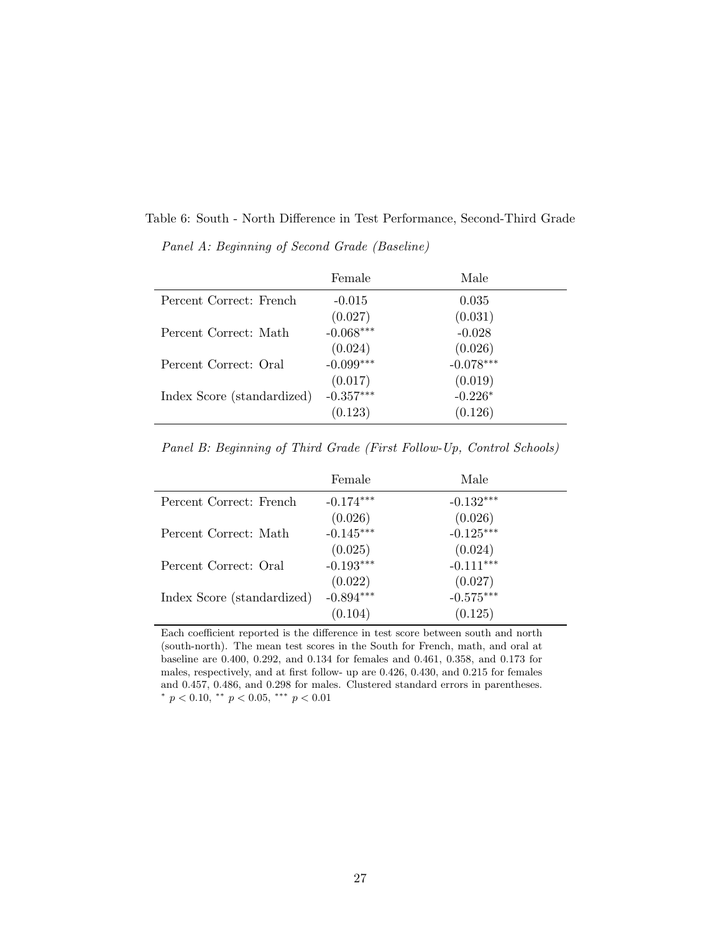Table 6: South - North Difference in Test Performance, Second-Third Grade

Panel A: Beginning of Second Grade (Baseline)

|                            | Female      | Male                   |
|----------------------------|-------------|------------------------|
| Percent Correct: French    | $-0.015$    | 0.035                  |
|                            | (0.027)     | (0.031)                |
| Percent Correct: Math      | $-0.068***$ | $-0.028$               |
|                            | (0.024)     | $(0.026)$<br>-0.078*** |
| Percent Correct: Oral      | $-0.099***$ |                        |
|                            | (0.017)     | (0.019)                |
| Index Score (standardized) | $-0.357***$ | $-0.226*$              |
|                            | (0.123)     | (0.126)                |

Panel B: Beginning of Third Grade (First Follow-Up, Control Schools)

|                            | Female      | Male        |
|----------------------------|-------------|-------------|
| Percent Correct: French    | $-0.174***$ | $-0.132***$ |
|                            | (0.026)     | (0.026)     |
| Percent Correct: Math      | $-0.145***$ | $-0.125***$ |
|                            | (0.025)     | (0.024)     |
| Percent Correct: Oral      | $-0.193***$ | $-0.111***$ |
|                            | (0.022)     | (0.027)     |
| Index Score (standardized) | $-0.894***$ | $-0.575***$ |
|                            | (0.104)     | (0.125)     |

Each coefficient reported is the difference in test score between south and north (south-north). The mean test scores in the South for French, math, and oral at baseline are 0.400, 0.292, and 0.134 for females and 0.461, 0.358, and 0.173 for males, respectively, and at first follow- up are 0.426, 0.430, and 0.215 for females and 0.457, 0.486, and 0.298 for males. Clustered standard errors in parentheses. \*  $p < 0.10$ , \*\*  $p < 0.05$ , \*\*\*  $p < 0.01$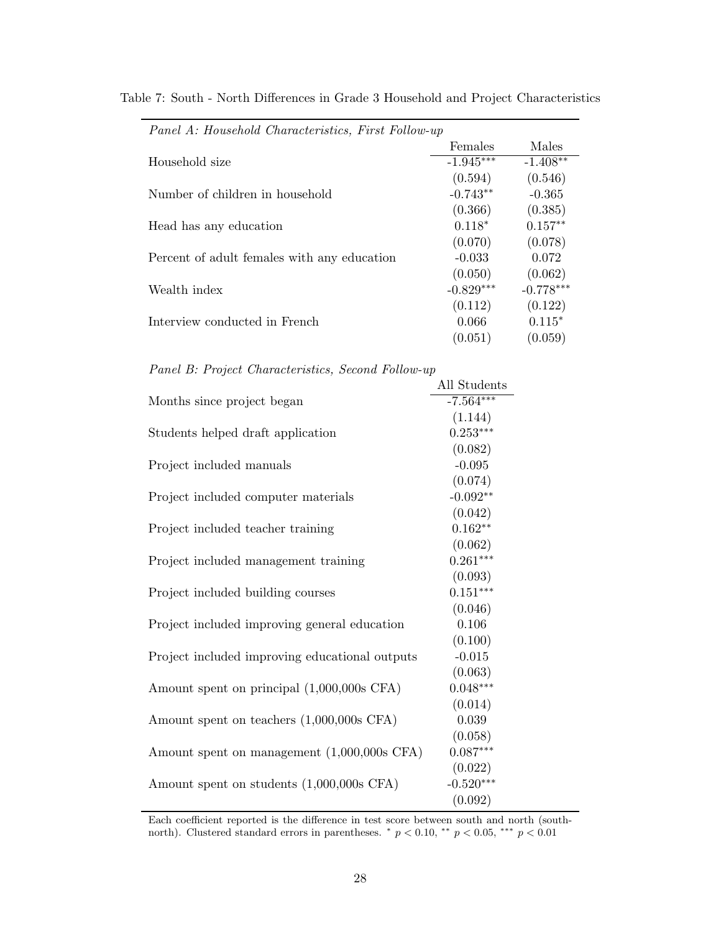| Panel A: Household Characteristics, First Follow-up |             |             |
|-----------------------------------------------------|-------------|-------------|
|                                                     | Females     | Males       |
| Household size                                      | $-1.945***$ | $-1.408**$  |
|                                                     | (0.594)     | (0.546)     |
| Number of children in household                     | $-0.743**$  | $-0.365$    |
|                                                     | (0.366)     | (0.385)     |
| Head has any education                              | $0.118*$    | $0.157**$   |
|                                                     | (0.070)     | (0.078)     |
| Percent of adult females with any education         | $-0.033$    | 0.072       |
|                                                     | (0.050)     | (0.062)     |
| Wealth index                                        | $-0.829***$ | $-0.778***$ |
|                                                     | (0.112)     | (0.122)     |
| Interview conducted in French                       | 0.066       | $0.115*$    |
|                                                     | (0.051)     | (0.059)     |

Table 7: South - North Differences in Grade 3 Household and Project Characteristics

Panel B: Project Characteristics, Second Follow-up

| All Students |
|--------------|
| $-7.564***$  |
| (1.144)      |
| $0.253***$   |
| (0.082)      |
| $-0.095$     |
| (0.074)      |
| $-0.092**$   |
| (0.042)      |
| $0.162**$    |
| (0.062)      |
| $0.261***$   |
| (0.093)      |
| $0.151***$   |
| (0.046)      |
| 0.106        |
| (0.100)      |
| $-0.015$     |
| (0.063)      |
| $0.048***$   |
| (0.014)      |
| 0.039        |
| (0.058)      |
| $0.087***$   |
| (0.022)      |
| $-0.520***$  |
| (0.092)      |
|              |

Each coefficient reported is the difference in test score between south and north (southnorth). Clustered standard errors in parentheses.  $*$   $p < 0.10$ ,  $**$   $p < 0.05$ ,  $***$   $p < 0.01$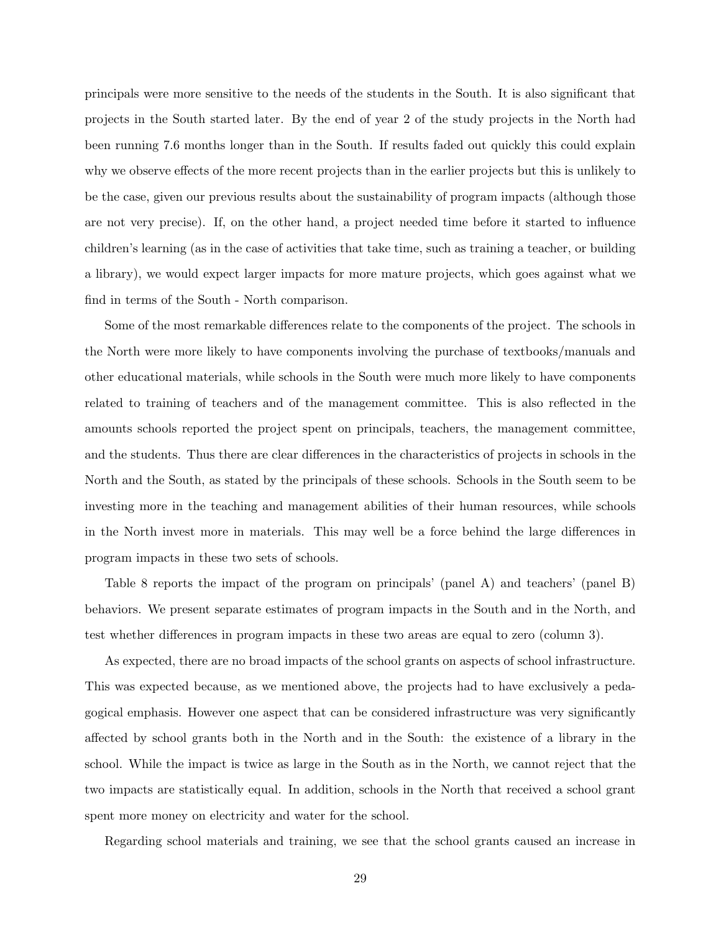principals were more sensitive to the needs of the students in the South. It is also significant that projects in the South started later. By the end of year 2 of the study projects in the North had been running 7.6 months longer than in the South. If results faded out quickly this could explain why we observe effects of the more recent projects than in the earlier projects but this is unlikely to be the case, given our previous results about the sustainability of program impacts (although those are not very precise). If, on the other hand, a project needed time before it started to influence children's learning (as in the case of activities that take time, such as training a teacher, or building a library), we would expect larger impacts for more mature projects, which goes against what we find in terms of the South - North comparison.

Some of the most remarkable differences relate to the components of the project. The schools in the North were more likely to have components involving the purchase of textbooks/manuals and other educational materials, while schools in the South were much more likely to have components related to training of teachers and of the management committee. This is also reflected in the amounts schools reported the project spent on principals, teachers, the management committee, and the students. Thus there are clear differences in the characteristics of projects in schools in the North and the South, as stated by the principals of these schools. Schools in the South seem to be investing more in the teaching and management abilities of their human resources, while schools in the North invest more in materials. This may well be a force behind the large differences in program impacts in these two sets of schools.

Table 8 reports the impact of the program on principals' (panel A) and teachers' (panel B) behaviors. We present separate estimates of program impacts in the South and in the North, and test whether differences in program impacts in these two areas are equal to zero (column 3).

As expected, there are no broad impacts of the school grants on aspects of school infrastructure. This was expected because, as we mentioned above, the projects had to have exclusively a pedagogical emphasis. However one aspect that can be considered infrastructure was very significantly affected by school grants both in the North and in the South: the existence of a library in the school. While the impact is twice as large in the South as in the North, we cannot reject that the two impacts are statistically equal. In addition, schools in the North that received a school grant spent more money on electricity and water for the school.

Regarding school materials and training, we see that the school grants caused an increase in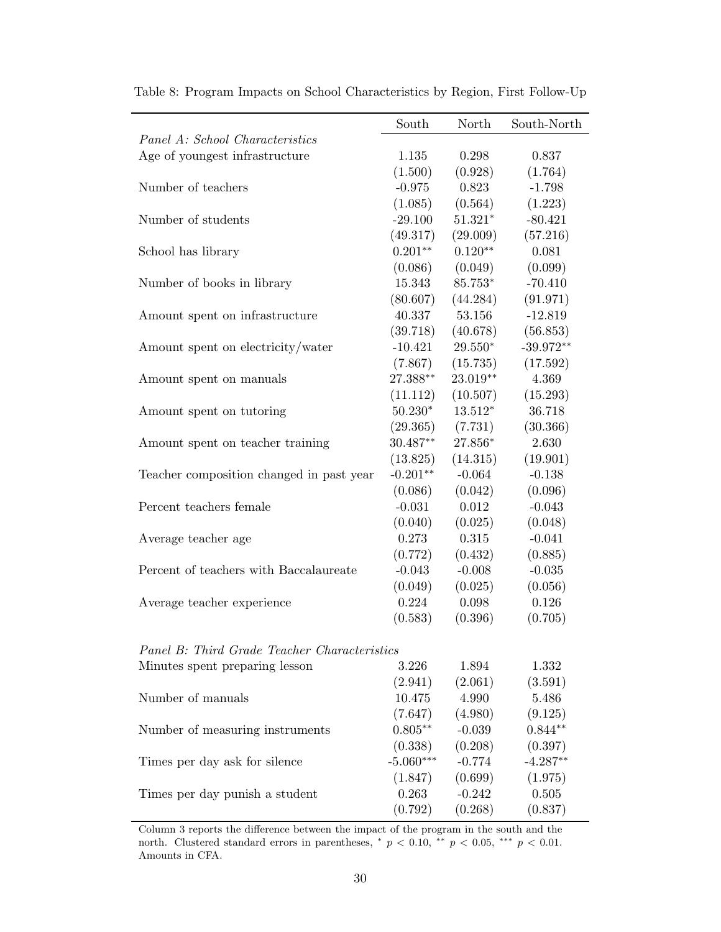| Panel A: School Characteristics              | South       | North     | South-North |
|----------------------------------------------|-------------|-----------|-------------|
|                                              |             |           |             |
| Age of youngest infrastructure               | 1.135       | 0.298     | 0.837       |
|                                              | (1.500)     | (0.928)   | (1.764)     |
| Number of teachers                           | $-0.975$    | 0.823     | $-1.798$    |
|                                              | (1.085)     | (0.564)   | (1.223)     |
| Number of students                           | $-29.100$   | $51.321*$ | $-80.421$   |
|                                              | (49.317)    | (29.009)  | (57.216)    |
| School has library                           | $0.201**$   | $0.120**$ | 0.081       |
|                                              | (0.086)     | (0.049)   | (0.099)     |
| Number of books in library                   | 15.343      | 85.753*   | $-70.410$   |
|                                              | (80.607)    | (44.284)  | (91.971)    |
| Amount spent on infrastructure               | 40.337      | 53.156    | $-12.819$   |
|                                              | (39.718)    | (40.678)  | (56.853)    |
| Amount spent on electricity/water            | $-10.421$   | $29.550*$ | $-39.972**$ |
|                                              | (7.867)     | (15.735)  | (17.592)    |
| Amount spent on manuals                      | 27.388**    | 23.019**  | 4.369       |
|                                              | (11.112)    | (10.507)  | (15.293)    |
| Amount spent on tutoring                     | $50.230*$   | $13.512*$ | 36.718      |
|                                              | (29.365)    | (7.731)   | (30.366)    |
| Amount spent on teacher training             | $30.487**$  | 27.856*   | 2.630       |
|                                              | (13.825)    | (14.315)  | (19.901)    |
| Teacher composition changed in past year     | $-0.201**$  | $-0.064$  | $-0.138$    |
|                                              | (0.086)     | (0.042)   | (0.096)     |
| Percent teachers female                      | $-0.031$    | 0.012     | $-0.043$    |
|                                              | (0.040)     | (0.025)   | (0.048)     |
| Average teacher age                          | 0.273       | 0.315     | $-0.041$    |
|                                              | (0.772)     | (0.432)   | (0.885)     |
| Percent of teachers with Baccalaureate       | $-0.043$    | $-0.008$  | $-0.035$    |
|                                              | (0.049)     | (0.025)   | (0.056)     |
| Average teacher experience                   | 0.224       | 0.098     | 0.126       |
|                                              | (0.583)     | (0.396)   | (0.705)     |
|                                              |             |           |             |
| Panel B: Third Grade Teacher Characteristics |             |           |             |
| Minutes spent preparing lesson               | 3.226       | 1.894     | 1.332       |
|                                              | (2.941)     | (2.061)   | (3.591)     |
| Number of manuals                            | 10.475      | 4.990     | 5.486       |
|                                              | (7.647)     | (4.980)   | (9.125)     |
| Number of measuring instruments              | $0.805**$   | $-0.039$  | $0.844**$   |
|                                              | (0.338)     | (0.208)   | (0.397)     |
| Times per day ask for silence                | $-5.060***$ | $-0.774$  | $-4.287**$  |
|                                              | (1.847)     | (0.699)   | (1.975)     |
| Times per day punish a student               | 0.263       | $-0.242$  | 0.505       |
|                                              | (0.792)     | (0.268)   | (0.837)     |

Table 8: Program Impacts on School Characteristics by Region, First Follow-Up

Column 3 reports the difference between the impact of the program in the south and the north. Clustered standard errors in parentheses,  $* p < 0.10$ ,  $** p < 0.05$ ,  $*** p < 0.01$ . Amounts in CFA.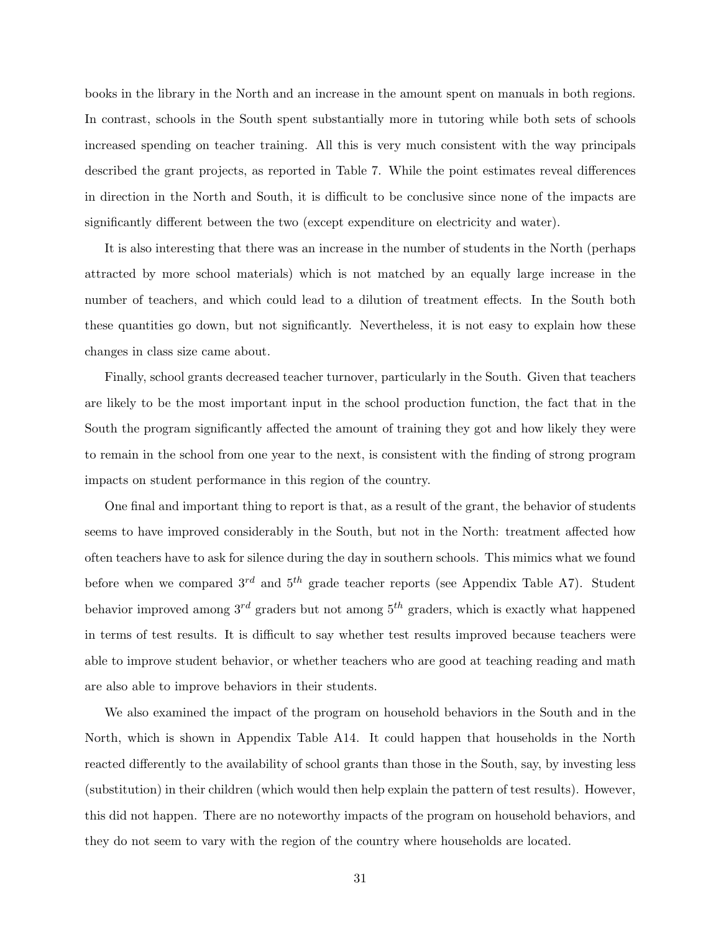books in the library in the North and an increase in the amount spent on manuals in both regions. In contrast, schools in the South spent substantially more in tutoring while both sets of schools increased spending on teacher training. All this is very much consistent with the way principals described the grant projects, as reported in Table 7. While the point estimates reveal differences in direction in the North and South, it is difficult to be conclusive since none of the impacts are significantly different between the two (except expenditure on electricity and water).

It is also interesting that there was an increase in the number of students in the North (perhaps attracted by more school materials) which is not matched by an equally large increase in the number of teachers, and which could lead to a dilution of treatment effects. In the South both these quantities go down, but not significantly. Nevertheless, it is not easy to explain how these changes in class size came about.

Finally, school grants decreased teacher turnover, particularly in the South. Given that teachers are likely to be the most important input in the school production function, the fact that in the South the program significantly affected the amount of training they got and how likely they were to remain in the school from one year to the next, is consistent with the finding of strong program impacts on student performance in this region of the country.

One final and important thing to report is that, as a result of the grant, the behavior of students seems to have improved considerably in the South, but not in the North: treatment affected how often teachers have to ask for silence during the day in southern schools. This mimics what we found before when we compared  $3^{rd}$  and  $5^{th}$  grade teacher reports (see Appendix Table A7). Student behavior improved among  $3^{rd}$  graders but not among  $5^{th}$  graders, which is exactly what happened in terms of test results. It is difficult to say whether test results improved because teachers were able to improve student behavior, or whether teachers who are good at teaching reading and math are also able to improve behaviors in their students.

We also examined the impact of the program on household behaviors in the South and in the North, which is shown in Appendix Table A14. It could happen that households in the North reacted differently to the availability of school grants than those in the South, say, by investing less (substitution) in their children (which would then help explain the pattern of test results). However, this did not happen. There are no noteworthy impacts of the program on household behaviors, and they do not seem to vary with the region of the country where households are located.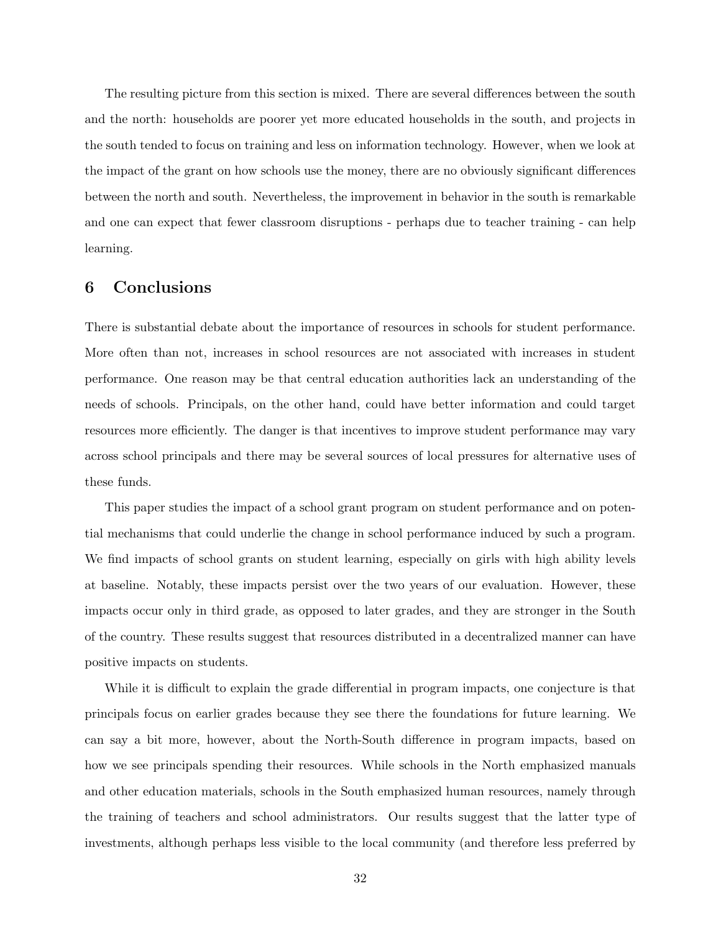The resulting picture from this section is mixed. There are several differences between the south and the north: households are poorer yet more educated households in the south, and projects in the south tended to focus on training and less on information technology. However, when we look at the impact of the grant on how schools use the money, there are no obviously significant differences between the north and south. Nevertheless, the improvement in behavior in the south is remarkable and one can expect that fewer classroom disruptions - perhaps due to teacher training - can help learning.

### 6 Conclusions

There is substantial debate about the importance of resources in schools for student performance. More often than not, increases in school resources are not associated with increases in student performance. One reason may be that central education authorities lack an understanding of the needs of schools. Principals, on the other hand, could have better information and could target resources more efficiently. The danger is that incentives to improve student performance may vary across school principals and there may be several sources of local pressures for alternative uses of these funds.

This paper studies the impact of a school grant program on student performance and on potential mechanisms that could underlie the change in school performance induced by such a program. We find impacts of school grants on student learning, especially on girls with high ability levels at baseline. Notably, these impacts persist over the two years of our evaluation. However, these impacts occur only in third grade, as opposed to later grades, and they are stronger in the South of the country. These results suggest that resources distributed in a decentralized manner can have positive impacts on students.

While it is difficult to explain the grade differential in program impacts, one conjecture is that principals focus on earlier grades because they see there the foundations for future learning. We can say a bit more, however, about the North-South difference in program impacts, based on how we see principals spending their resources. While schools in the North emphasized manuals and other education materials, schools in the South emphasized human resources, namely through the training of teachers and school administrators. Our results suggest that the latter type of investments, although perhaps less visible to the local community (and therefore less preferred by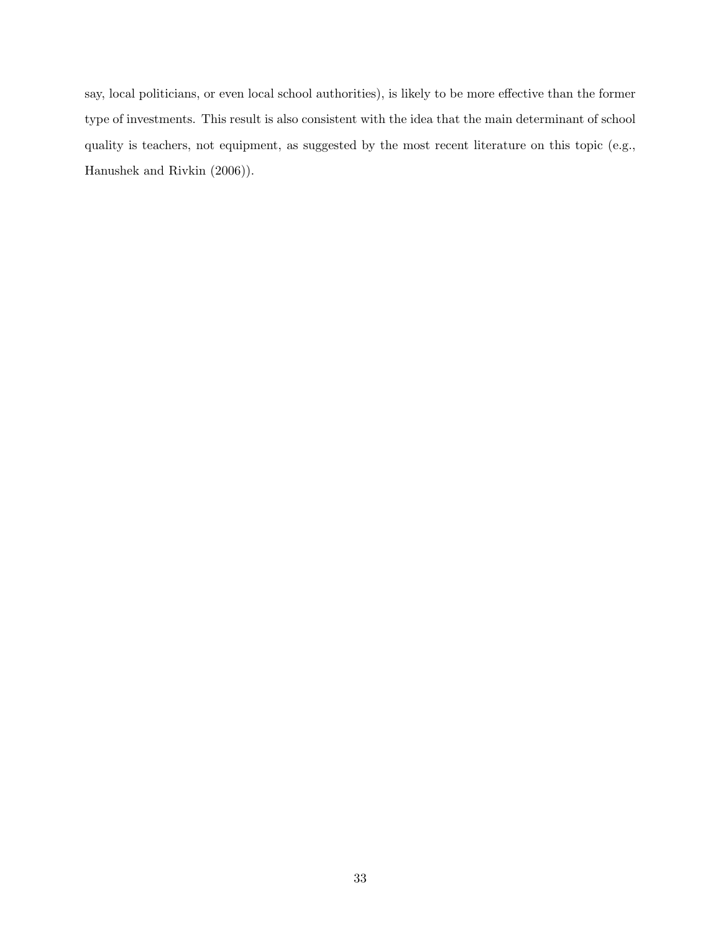say, local politicians, or even local school authorities), is likely to be more effective than the former type of investments. This result is also consistent with the idea that the main determinant of school quality is teachers, not equipment, as suggested by the most recent literature on this topic (e.g., Hanushek and Rivkin (2006)).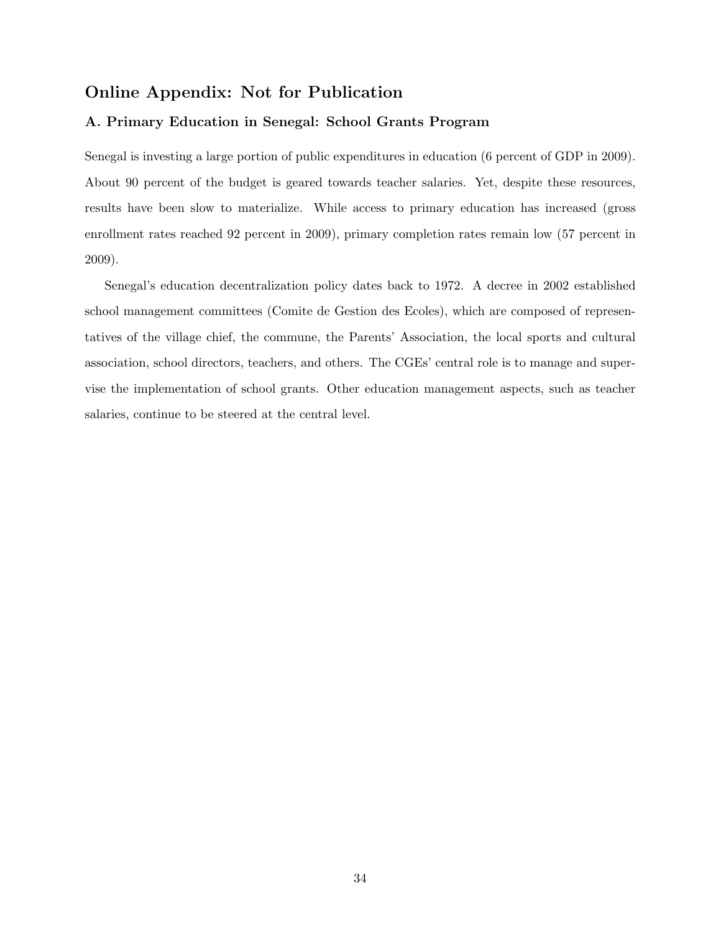## Online Appendix: Not for Publication

#### A. Primary Education in Senegal: School Grants Program

Senegal is investing a large portion of public expenditures in education (6 percent of GDP in 2009). About 90 percent of the budget is geared towards teacher salaries. Yet, despite these resources, results have been slow to materialize. While access to primary education has increased (gross enrollment rates reached 92 percent in 2009), primary completion rates remain low (57 percent in 2009).

Senegal's education decentralization policy dates back to 1972. A decree in 2002 established school management committees (Comite de Gestion des Ecoles), which are composed of representatives of the village chief, the commune, the Parents' Association, the local sports and cultural association, school directors, teachers, and others. The CGEs' central role is to manage and supervise the implementation of school grants. Other education management aspects, such as teacher salaries, continue to be steered at the central level.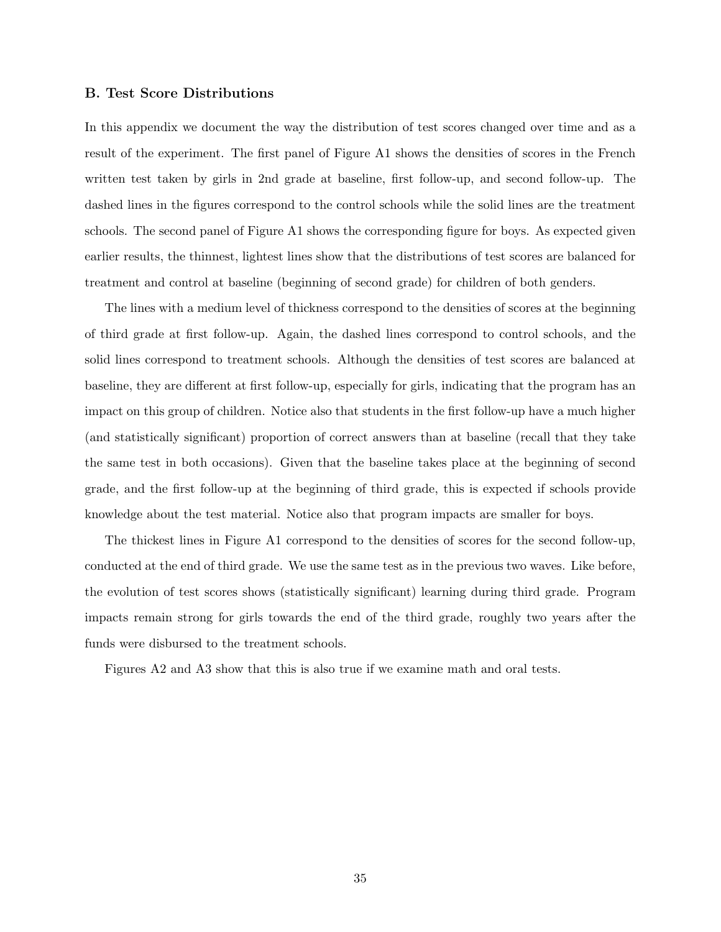#### B. Test Score Distributions

In this appendix we document the way the distribution of test scores changed over time and as a result of the experiment. The first panel of Figure A1 shows the densities of scores in the French written test taken by girls in 2nd grade at baseline, first follow-up, and second follow-up. The dashed lines in the figures correspond to the control schools while the solid lines are the treatment schools. The second panel of Figure A1 shows the corresponding figure for boys. As expected given earlier results, the thinnest, lightest lines show that the distributions of test scores are balanced for treatment and control at baseline (beginning of second grade) for children of both genders.

The lines with a medium level of thickness correspond to the densities of scores at the beginning of third grade at first follow-up. Again, the dashed lines correspond to control schools, and the solid lines correspond to treatment schools. Although the densities of test scores are balanced at baseline, they are different at first follow-up, especially for girls, indicating that the program has an impact on this group of children. Notice also that students in the first follow-up have a much higher (and statistically significant) proportion of correct answers than at baseline (recall that they take the same test in both occasions). Given that the baseline takes place at the beginning of second grade, and the first follow-up at the beginning of third grade, this is expected if schools provide knowledge about the test material. Notice also that program impacts are smaller for boys.

The thickest lines in Figure A1 correspond to the densities of scores for the second follow-up, conducted at the end of third grade. We use the same test as in the previous two waves. Like before, the evolution of test scores shows (statistically significant) learning during third grade. Program impacts remain strong for girls towards the end of the third grade, roughly two years after the funds were disbursed to the treatment schools.

Figures A2 and A3 show that this is also true if we examine math and oral tests.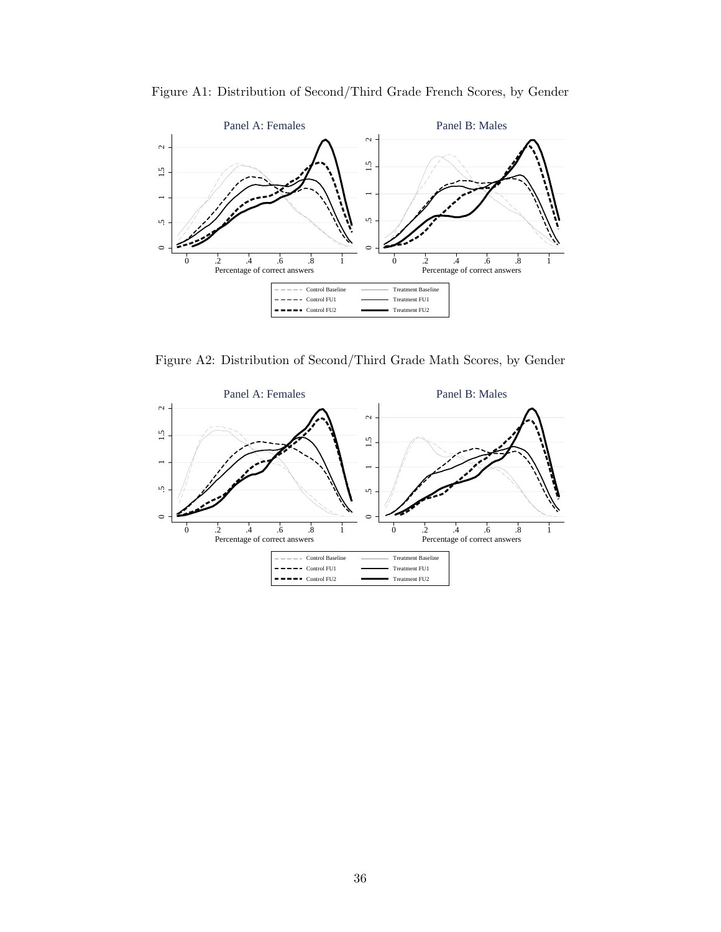



Figure A2: Distribution of Second/Third Grade Math Scores, by Gender

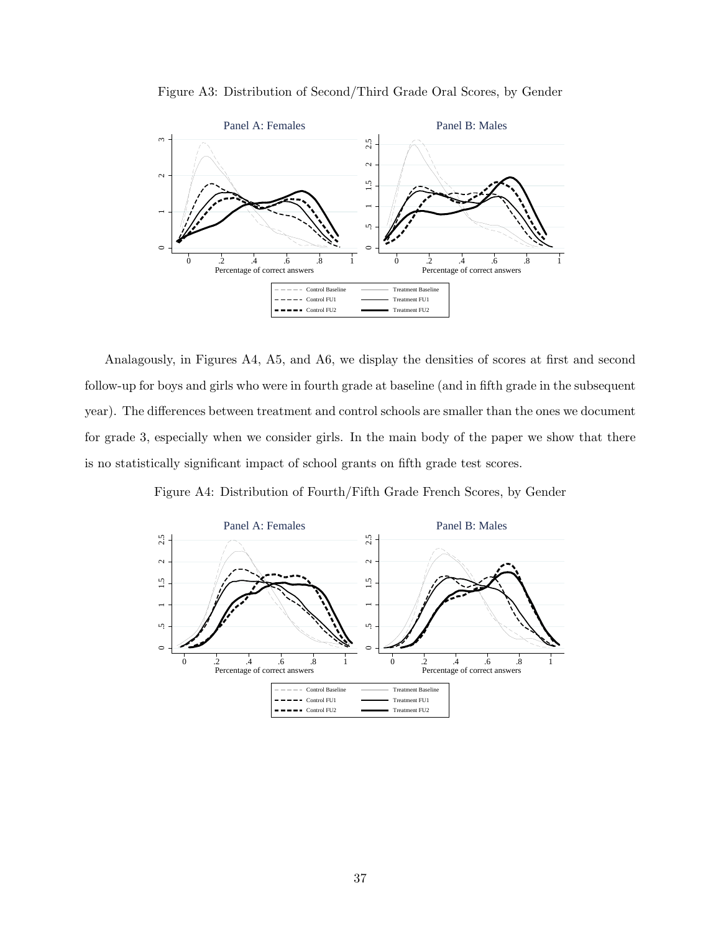



Analagously, in Figures A4, A5, and A6, we display the densities of scores at first and second follow-up for boys and girls who were in fourth grade at baseline (and in fifth grade in the subsequent year). The differences between treatment and control schools are smaller than the ones we document for grade 3, especially when we consider girls. In the main body of the paper we show that there is no statistically significant impact of school grants on fifth grade test scores.

Figure A4: Distribution of Fourth/Fifth Grade French Scores, by Gender

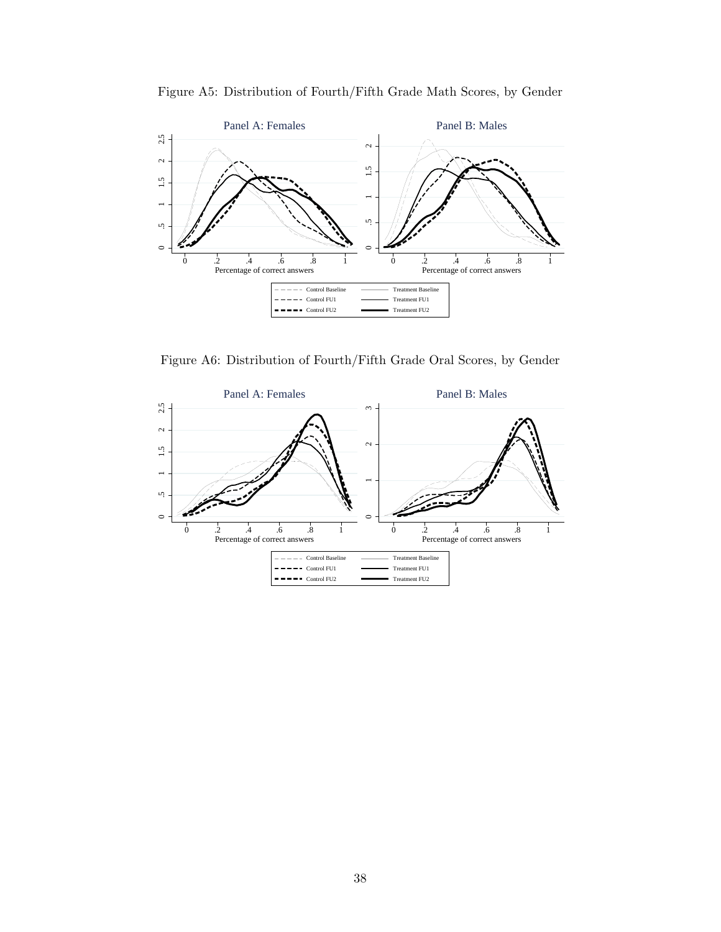



Figure A6: Distribution of Fourth/Fifth Grade Oral Scores, by Gender

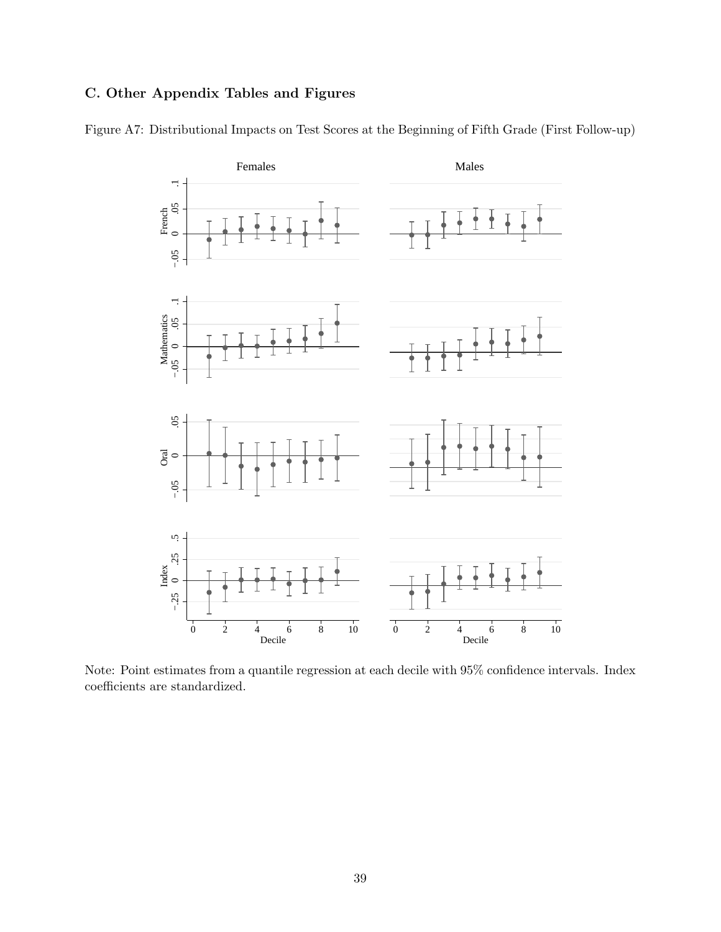## C. Other Appendix Tables and Figures



Figure A7: Distributional Impacts on Test Scores at the Beginning of Fifth Grade (First Follow-up)

Note: Point estimates from a quantile regression at each decile with 95% confidence intervals. Index coefficients are standardized.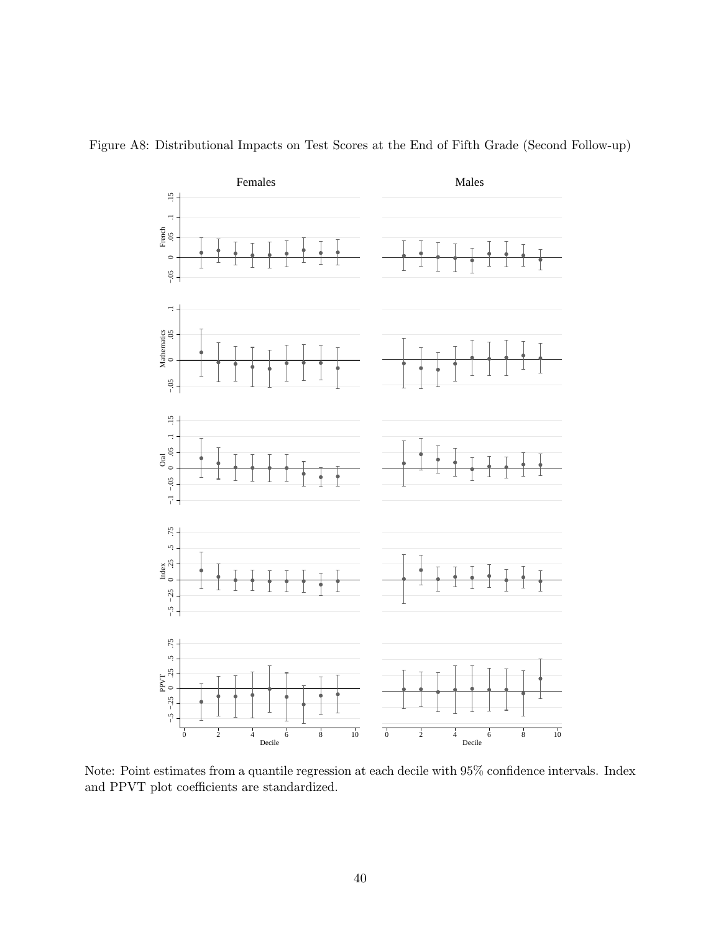

Figure A8: Distributional Impacts on Test Scores at the End of Fifth Grade (Second Follow-up)

Note: Point estimates from a quantile regression at each decile with 95% confidence intervals. Index and PPVT plot coefficients are standardized.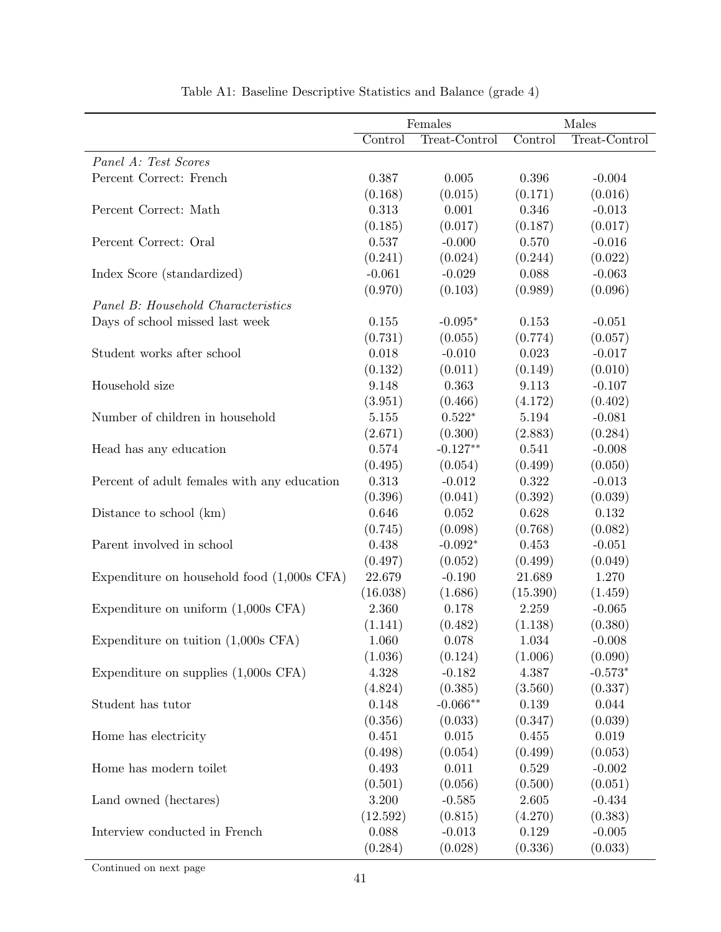|                                              | Females  |               |          | Males         |
|----------------------------------------------|----------|---------------|----------|---------------|
|                                              | Control  | Treat-Control | Control  | Treat-Control |
| Panel A: Test Scores                         |          |               |          |               |
| Percent Correct: French                      | 0.387    | 0.005         | 0.396    | $-0.004$      |
|                                              | (0.168)  | (0.015)       | (0.171)  | (0.016)       |
| Percent Correct: Math                        | 0.313    | 0.001         | 0.346    | $-0.013$      |
|                                              | (0.185)  | (0.017)       | (0.187)  | (0.017)       |
| Percent Correct: Oral                        | 0.537    | $-0.000$      | 0.570    | $-0.016$      |
|                                              | (0.241)  | (0.024)       | (0.244)  | (0.022)       |
| Index Score (standardized)                   | $-0.061$ | $-0.029$      | 0.088    | $-0.063$      |
|                                              | (0.970)  | (0.103)       | (0.989)  | (0.096)       |
| Panel B: Household Characteristics           |          |               |          |               |
| Days of school missed last week              | 0.155    | $-0.095*$     | 0.153    | $-0.051$      |
|                                              | (0.731)  | (0.055)       | (0.774)  | (0.057)       |
| Student works after school                   | 0.018    | $-0.010$      | 0.023    | $-0.017$      |
|                                              | (0.132)  | (0.011)       | (0.149)  | (0.010)       |
| Household size                               | 9.148    | 0.363         | 9.113    | $-0.107$      |
|                                              | (3.951)  | (0.466)       | (4.172)  | (0.402)       |
| Number of children in household              | 5.155    | $0.522*$      | 5.194    | $-0.081$      |
|                                              | (2.671)  | (0.300)       | (2.883)  | (0.284)       |
| Head has any education                       | 0.574    | $-0.127**$    | 0.541    | $-0.008$      |
|                                              | (0.495)  | (0.054)       | (0.499)  | (0.050)       |
| Percent of adult females with any education  | 0.313    | $-0.012$      | 0.322    | $-0.013$      |
|                                              | (0.396)  | (0.041)       | (0.392)  | (0.039)       |
| Distance to school (km)                      | 0.646    | $0.052\,$     | 0.628    | 0.132         |
|                                              | (0.745)  | (0.098)       | (0.768)  | (0.082)       |
| Parent involved in school                    | 0.438    | $-0.092*$     | 0.453    | $-0.051$      |
|                                              | (0.497)  | (0.052)       | (0.499)  | (0.049)       |
| Expenditure on household food $(1,000s$ CFA) | 22.679   | $-0.190$      | 21.689   | 1.270         |
|                                              | (16.038) | (1.686)       | (15.390) | (1.459)       |
| Expenditure on uniform $(1,000s$ CFA)        | 2.360    | 0.178         | 2.259    | $-0.065$      |
|                                              | (1.141)  | (0.482)       | (1.138)  | (0.380)       |
| Expenditure on tuition $(1,000s$ CFA)        | 1.060    | 0.078         | 1.034    | $-0.008$      |
|                                              | (1.036)  | (0.124)       | (1.006)  | (0.090)       |
| Expenditure on supplies $(1,000s$ CFA)       | 4.328    | $-0.182$      | 4.387    | $-0.573*$     |
|                                              | (4.824)  | (0.385)       | (3.560)  | (0.337)       |
| Student has tutor                            | 0.148    | $-0.066**$    | 0.139    | 0.044         |
|                                              | (0.356)  | (0.033)       | (0.347)  | (0.039)       |
| Home has electricity                         | 0.451    | 0.015         | 0.455    | 0.019         |
|                                              | (0.498)  | (0.054)       | (0.499)  | (0.053)       |
| Home has modern toilet                       | 0.493    | 0.011         | 0.529    | $-0.002$      |
|                                              | (0.501)  | (0.056)       | (0.500)  | (0.051)       |
| Land owned (hectares)                        | 3.200    | $-0.585$      | 2.605    | $-0.434$      |
|                                              | (12.592) | (0.815)       | (4.270)  | (0.383)       |
| Interview conducted in French                | 0.088    | $-0.013$      | 0.129    | $-0.005$      |
|                                              | (0.284)  | (0.028)       | (0.336)  | (0.033)       |

| Table A1: Baseline Descriptive Statistics and Balance (grade 4) |  |
|-----------------------------------------------------------------|--|
|-----------------------------------------------------------------|--|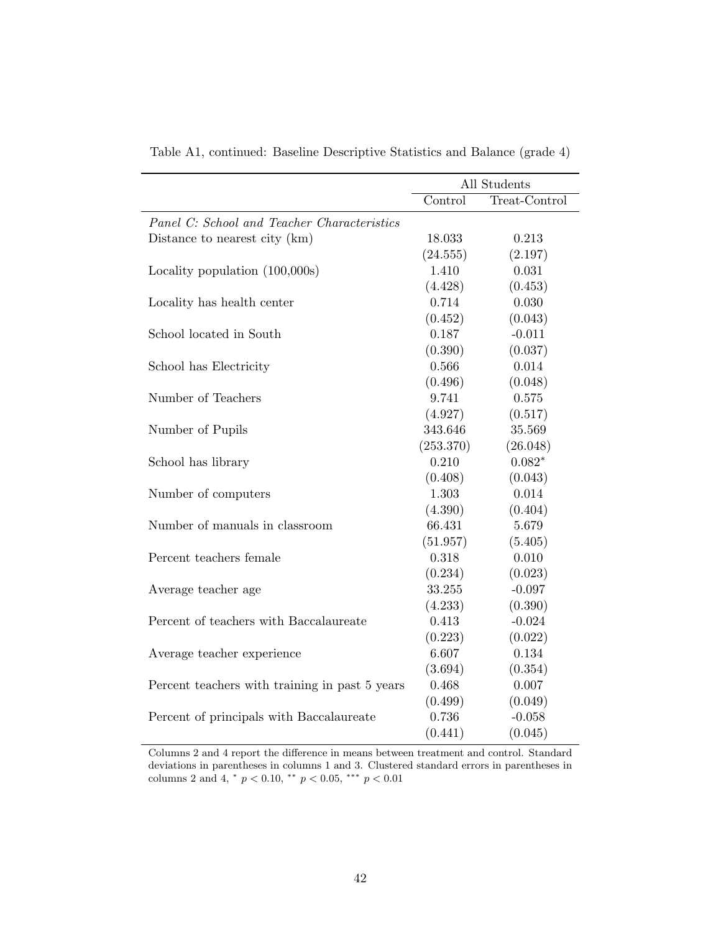|                                                | All Students |               |
|------------------------------------------------|--------------|---------------|
|                                                | Control      | Treat-Control |
| Panel C: School and Teacher Characteristics    |              |               |
| Distance to nearest city (km)                  | 18.033       | 0.213         |
|                                                | (24.555)     | (2.197)       |
| Locality population $(100,000s)$               | 1.410        | 0.031         |
|                                                | (4.428)      | (0.453)       |
| Locality has health center                     | 0.714        | 0.030         |
|                                                | (0.452)      | (0.043)       |
| School located in South                        | 0.187        | $-0.011$      |
|                                                | (0.390)      | (0.037)       |
| School has Electricity                         | 0.566        | 0.014         |
|                                                | (0.496)      | (0.048)       |
| Number of Teachers                             | 9.741        | 0.575         |
|                                                | (4.927)      | (0.517)       |
| Number of Pupils                               | 343.646      | 35.569        |
|                                                | (253.370)    | (26.048)      |
| School has library                             | 0.210        | $0.082*$      |
|                                                | (0.408)      | (0.043)       |
| Number of computers                            | 1.303        | 0.014         |
|                                                | (4.390)      | (0.404)       |
| Number of manuals in classroom                 | 66.431       | 5.679         |
|                                                | (51.957)     | (5.405)       |
| Percent teachers female                        | 0.318        | 0.010         |
|                                                | (0.234)      | (0.023)       |
| Average teacher age                            | 33.255       | $-0.097$      |
|                                                | (4.233)      | (0.390)       |
| Percent of teachers with Baccalaureate         | 0.413        | $-0.024$      |
|                                                | (0.223)      | (0.022)       |
| Average teacher experience                     | 6.607        | 0.134         |
|                                                | (3.694)      | (0.354)       |
| Percent teachers with training in past 5 years | 0.468        | 0.007         |
|                                                | (0.499)      | (0.049)       |
| Percent of principals with Baccalaureate       | 0.736        | $-0.058$      |
|                                                | (0.441)      | (0.045)       |

Table A1, continued: Baseline Descriptive Statistics and Balance (grade 4)

Columns 2 and 4 report the difference in means between treatment and control. Standard deviations in parentheses in columns 1 and 3. Clustered standard errors in parentheses in columns 2 and 4,  $*$   $p < 0.10$ ,  $**$   $p < 0.05$ ,  $**$   $p < 0.01$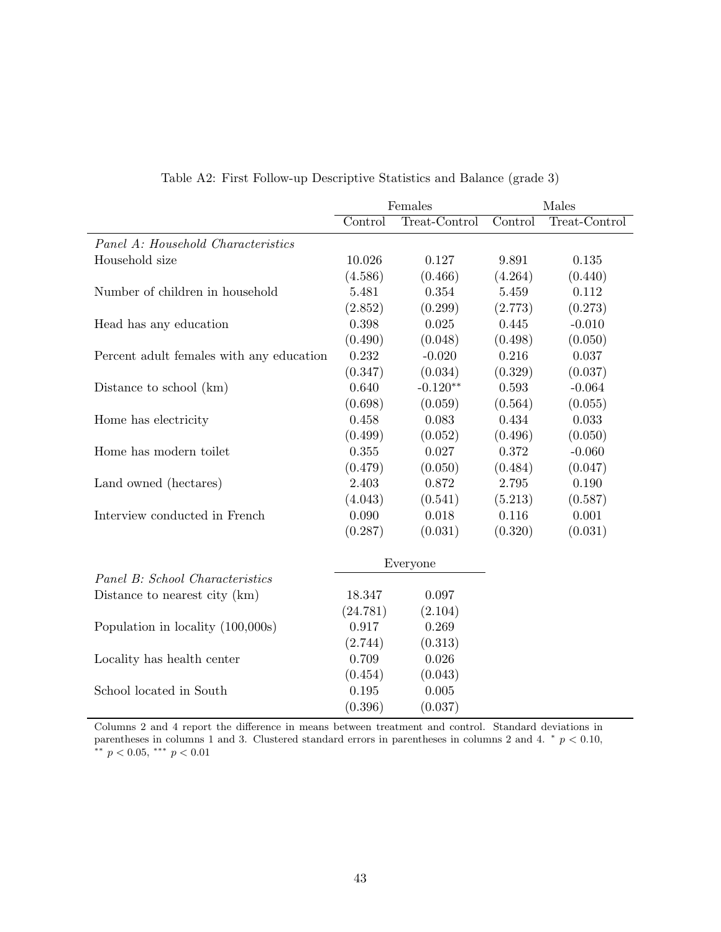|                                          | Females  |               | Males   |               |
|------------------------------------------|----------|---------------|---------|---------------|
|                                          | Control  | Treat-Control | Control | Treat-Control |
| Panel A: Household Characteristics       |          |               |         |               |
| Household size                           | 10.026   | 0.127         | 9.891   | 0.135         |
|                                          | (4.586)  | (0.466)       | (4.264) | (0.440)       |
| Number of children in household          | 5.481    | 0.354         | 5.459   | 0.112         |
|                                          | (2.852)  | (0.299)       | (2.773) | (0.273)       |
| Head has any education                   | 0.398    | 0.025         | 0.445   | $-0.010$      |
|                                          | (0.490)  | (0.048)       | (0.498) | (0.050)       |
| Percent adult females with any education | 0.232    | $-0.020$      | 0.216   | 0.037         |
|                                          | (0.347)  | (0.034)       | (0.329) | (0.037)       |
| Distance to school (km)                  | 0.640    | $-0.120**$    | 0.593   | $-0.064$      |
|                                          | (0.698)  | (0.059)       | (0.564) | (0.055)       |
| Home has electricity                     | 0.458    | 0.083         | 0.434   | 0.033         |
|                                          | (0.499)  | (0.052)       | (0.496) | (0.050)       |
| Home has modern toilet                   | 0.355    | 0.027         | 0.372   | $-0.060$      |
|                                          | (0.479)  | (0.050)       | (0.484) | (0.047)       |
| Land owned (hectares)                    | 2.403    | 0.872         | 2.795   | 0.190         |
|                                          | (4.043)  | (0.541)       | (5.213) | (0.587)       |
| Interview conducted in French            | 0.090    | 0.018         | 0.116   | 0.001         |
|                                          | (0.287)  | (0.031)       | (0.320) | (0.031)       |
|                                          |          | Everyone      |         |               |
| Panel B: School Characteristics          |          |               |         |               |
| Distance to nearest city (km)            | 18.347   | 0.097         |         |               |
|                                          | (24.781) | (2.104)       |         |               |
| Population in locality (100,000s)        | 0.917    | 0.269         |         |               |
|                                          | (2.744)  | (0.313)       |         |               |
| Locality has health center               | 0.709    | 0.026         |         |               |
|                                          | (0.454)  | (0.043)       |         |               |
| School located in South                  | 0.195    | 0.005         |         |               |
|                                          | (0.396)  | (0.037)       |         |               |

Table A2: First Follow-up Descriptive Statistics and Balance (grade 3)

Columns 2 and 4 report the difference in means between treatment and control. Standard deviations in parentheses in columns 1 and 3. Clustered standard errors in parentheses in columns 2 and 4.  $*$   $p < 0.10$ ,  $**$   $p < 0.05$ ,  $***$   $p < 0.01$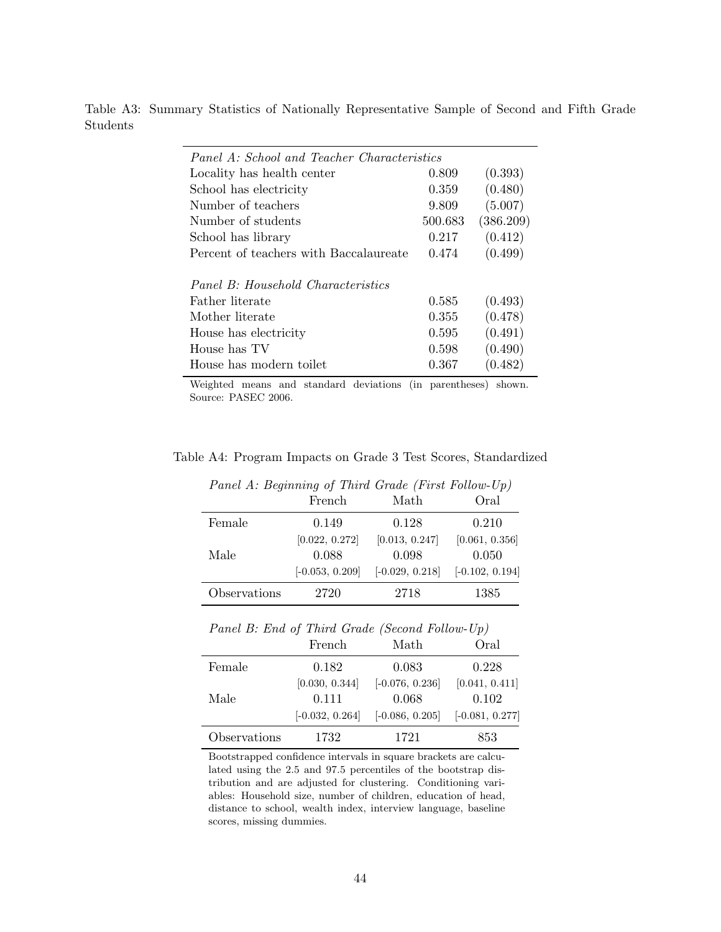Table A3: Summary Statistics of Nationally Representative Sample of Second and Fifth Grade Students

| Panel A: School and Teacher Characteristics |         |           |  |  |
|---------------------------------------------|---------|-----------|--|--|
| Locality has health center                  | 0.809   | (0.393)   |  |  |
| School has electricity                      | 0.359   | (0.480)   |  |  |
| Number of teachers                          | 9.809   | (5.007)   |  |  |
| Number of students                          | 500.683 | (386.209) |  |  |
| School has library                          | 0.217   | (0.412)   |  |  |
| Percent of teachers with Baccalaureate      | 0.474   | (0.499)   |  |  |
|                                             |         |           |  |  |
| Panel B: Household Characteristics          |         |           |  |  |
| Father literate                             | 0.585   | (0.493)   |  |  |
| Mother literate                             | 0.355   | (0.478)   |  |  |
| House has electricity                       | 0.595   | (0.491)   |  |  |
| House has TV                                | 0.598   | (0.490)   |  |  |
| House has modern toilet                     | 0.367   | (0.482)   |  |  |

Weighted means and standard deviations (in parentheses) shown. Source: PASEC 2006.

|              | Panel A: Beginning of Third Grade (First Follow-Up) |                   |                   |
|--------------|-----------------------------------------------------|-------------------|-------------------|
|              | French                                              | Math              | Oral              |
| Female       | 0.149                                               | 0.128             | 0.210             |
|              | [0.022, 0.272]                                      | [0.013, 0.247]    | [0.061, 0.356]    |
| Male         | 0.088                                               | 0.098             | 0.050             |
|              | $[-0.053, 0.209]$                                   | $[-0.029, 0.218]$ | $[-0.102, 0.194]$ |
| Observations | 2720                                                | 2718              | 1385              |

Table A4: Program Impacts on Grade 3 Test Scores, Standardized

Panel B: End of Third Grade (Second Follow-Up)

|              | French            | Math              | Oral              |
|--------------|-------------------|-------------------|-------------------|
| Female       | 0.182             | 0.083             | 0.228             |
|              | [0.030, 0.344]    | $[-0.076, 0.236]$ | [0.041, 0.411]    |
| Male         | 0.111             | 0.068             | 0.102             |
|              | $[-0.032, 0.264]$ | $[-0.086, 0.205]$ | $[-0.081, 0.277]$ |
| Observations | 1732              | 1721              | 853               |

Bootstrapped confidence intervals in square brackets are calculated using the 2.5 and 97.5 percentiles of the bootstrap distribution and are adjusted for clustering. Conditioning variables: Household size, number of children, education of head, distance to school, wealth index, interview language, baseline scores, missing dummies.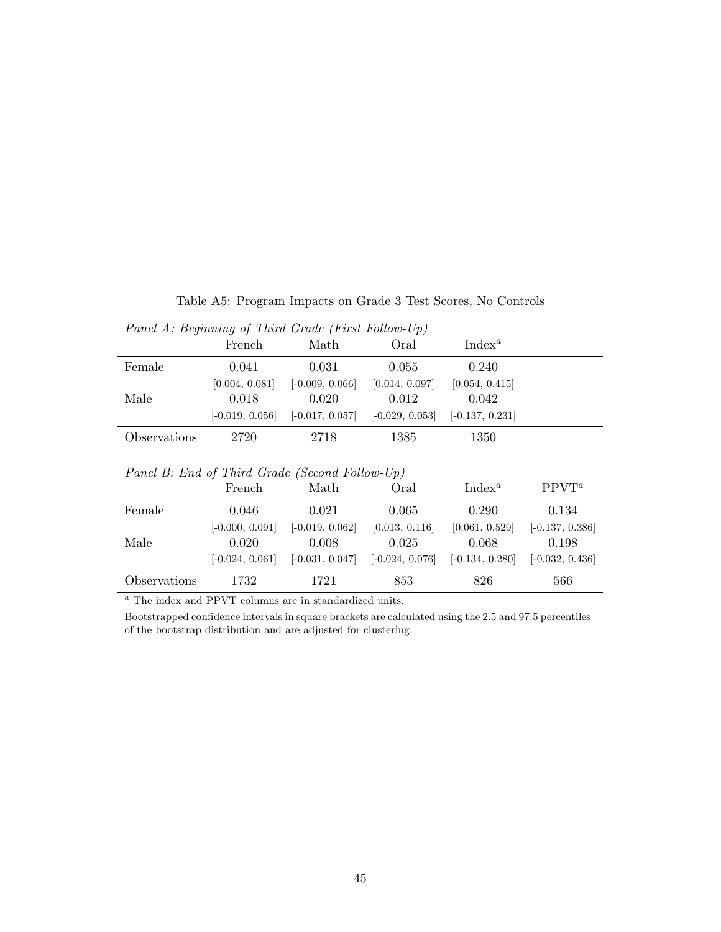| Table A5: Program Impacts on Grade 3 Test Scores, No Controls |  |  |
|---------------------------------------------------------------|--|--|
| Panel $A \cdot$ Beginning of Third Grade (First Follow-Un)    |  |  |

|                                                | 1 and 11. Degmmmg of Thera Craue (1 mot Follow Op) |                   |                   |                   |                   |  |  |  |  |
|------------------------------------------------|----------------------------------------------------|-------------------|-------------------|-------------------|-------------------|--|--|--|--|
|                                                | French                                             | Math              | Oral              | $Index^a$         |                   |  |  |  |  |
| Female                                         | 0.041                                              | 0.031             | 0.055             | 0.240             |                   |  |  |  |  |
|                                                | [0.004, 0.081]                                     | $[-0.009, 0.066]$ | [0.014, 0.097]    | [0.054, 0.415]    |                   |  |  |  |  |
| Male                                           | 0.018                                              | 0.020             | 0.012             | 0.042             |                   |  |  |  |  |
|                                                | $[-0.019, 0.056]$                                  | $[-0.017, 0.057]$ | $[-0.029, 0.053]$ | $[-0.137, 0.231]$ |                   |  |  |  |  |
| Observations                                   | 2720                                               | 2718              | 1385              | 1350              |                   |  |  |  |  |
| Panel B: End of Third Grade (Second Follow-Up) |                                                    |                   |                   |                   |                   |  |  |  |  |
|                                                | French                                             | Math              | Oral              | $Index^a$         | $PPVT^a$          |  |  |  |  |
| Female                                         | 0.046                                              | 0.021             | 0.065             | 0.290             | 0.134             |  |  |  |  |
|                                                | $[-0.000, 0.091]$                                  | $[-0.019, 0.062]$ | [0.013, 0.116]    | [0.061, 0.529]    | $[-0.137, 0.386]$ |  |  |  |  |
| Male                                           | 0.020                                              | 0.008             | 0.025             | 0.068             | 0.198             |  |  |  |  |
|                                                | $[-0.024, 0.061]$                                  | $[-0.031, 0.047]$ | $[-0.024, 0.076]$ | $[-0.134, 0.280]$ | $[-0.032, 0.436]$ |  |  |  |  |
| Observations                                   |                                                    |                   |                   |                   |                   |  |  |  |  |

 $\,^a$  The index and PPVT columns are in standardized units.

Bootstrapped confidence intervals in square brackets are calculated using the 2.5 and 97.5 percentiles of the bootstrap distribution and are adjusted for clustering.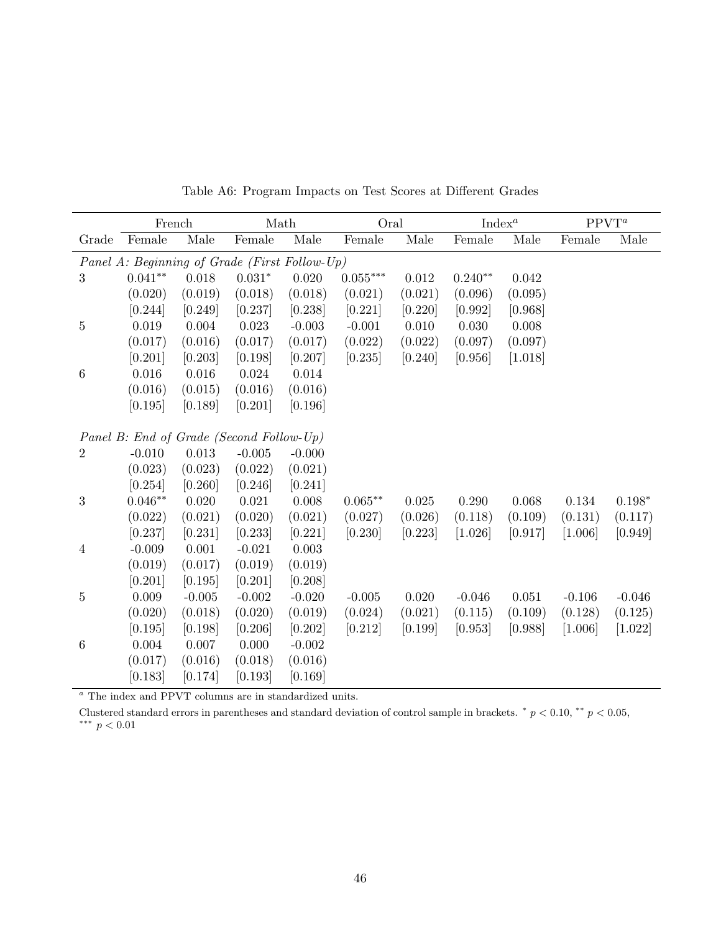|                  |                                               | French   | Math     |           | Oral       |         | Index <sup>a</sup> |         | $PPVT^a$ |          |
|------------------|-----------------------------------------------|----------|----------|-----------|------------|---------|--------------------|---------|----------|----------|
| Grade            | Female                                        | Male     | Female   | Male      | Female     | Male    | Female             | Male    | Female   | Male     |
|                  | Panel A: Beginning of Grade (First Follow-Up) |          |          |           |            |         |                    |         |          |          |
| 3                | $0.041**$                                     | 0.018    | $0.031*$ | 0.020     | $0.055***$ | 0.012   | $0.240**$          | 0.042   |          |          |
|                  | (0.020)                                       | (0.019)  | (0.018)  | (0.018)   | (0.021)    | (0.021) | (0.096)            | (0.095) |          |          |
|                  | [0.244]                                       | [0.249]  | [0.237]  | [0.238]   | [0.221]    | [0.220] | [0.992]            | [0.968] |          |          |
| $\overline{5}$   | 0.019                                         | 0.004    | 0.023    | $-0.003$  | $-0.001$   | 0.010   | 0.030              | 0.008   |          |          |
|                  | (0.017)                                       | (0.016)  | (0.017)  | (0.017)   | (0.022)    | (0.022) | (0.097)            | (0.097) |          |          |
|                  | [0.201]                                       | [0.203]  | [0.198]  | [0.207]   | [0.235]    | [0.240] | [0.956]            | [1.018] |          |          |
| $6\phantom{.}6$  | $0.016\,$                                     | 0.016    | 0.024    | $0.014\,$ |            |         |                    |         |          |          |
|                  | (0.016)                                       | (0.015)  | (0.016)  | (0.016)   |            |         |                    |         |          |          |
|                  | [0.195]                                       | [0.189]  | [0.201]  | [0.196]   |            |         |                    |         |          |          |
|                  |                                               |          |          |           |            |         |                    |         |          |          |
|                  | Panel B: End of Grade (Second Follow-Up)      |          |          |           |            |         |                    |         |          |          |
| $\overline{2}$   | $-0.010$                                      | 0.013    | $-0.005$ | $-0.000$  |            |         |                    |         |          |          |
|                  | (0.023)                                       | (0.023)  | (0.022)  | (0.021)   |            |         |                    |         |          |          |
|                  | [0.254]                                       | [0.260]  | [0.246]  | [0.241]   |            |         |                    |         |          |          |
| 3                | $0.046**$                                     | 0.020    | 0.021    | 0.008     | $0.065**$  | 0.025   | 0.290              | 0.068   | 0.134    | $0.198*$ |
|                  | (0.022)                                       | (0.021)  | (0.020)  | (0.021)   | (0.027)    | (0.026) | (0.118)            | (0.109) | (0.131)  | (0.117)  |
|                  | [0.237]                                       | [0.231]  | [0.233]  | [0.221]   | [0.230]    | [0.223] | [1.026]            | [0.917] | [1.006]  | [0.949]  |
| $\overline{4}$   | $-0.009$                                      | 0.001    | $-0.021$ | 0.003     |            |         |                    |         |          |          |
|                  | (0.019)                                       | (0.017)  | (0.019)  | (0.019)   |            |         |                    |         |          |          |
|                  | [0.201]                                       | [0.195]  | [0.201]  | [0.208]   |            |         |                    |         |          |          |
| $\overline{5}$   | 0.009                                         | $-0.005$ | $-0.002$ | $-0.020$  | $-0.005$   | 0.020   | $-0.046$           | 0.051   | $-0.106$ | $-0.046$ |
|                  | (0.020)                                       | (0.018)  | (0.020)  | (0.019)   | (0.024)    | (0.021) | (0.115)            | (0.109) | (0.128)  | (0.125)  |
|                  | [0.195]                                       | [0.198]  | [0.206]  | [0.202]   | [0.212]    | [0.199] | [0.953]            | [0.988] | [1.006]  | [1.022]  |
| $\boldsymbol{6}$ | 0.004                                         | 0.007    | 0.000    | $-0.002$  |            |         |                    |         |          |          |
|                  | (0.017)                                       | (0.016)  | (0.018)  | (0.016)   |            |         |                    |         |          |          |
|                  | [0.183]                                       | [0.174]  | [0.193]  | [0.169]   |            |         |                    |         |          |          |

Table A6: Program Impacts on Test Scores at Different Grades

 $\mathrm{^a}$  The index and PPVT columns are in standardized units.

Clustered standard errors in parentheses and standard deviation of control sample in brackets.  $* p < 0.10, ** p < 0.05$ ,  $^{\ast\ast\ast}$   $p < 0.01$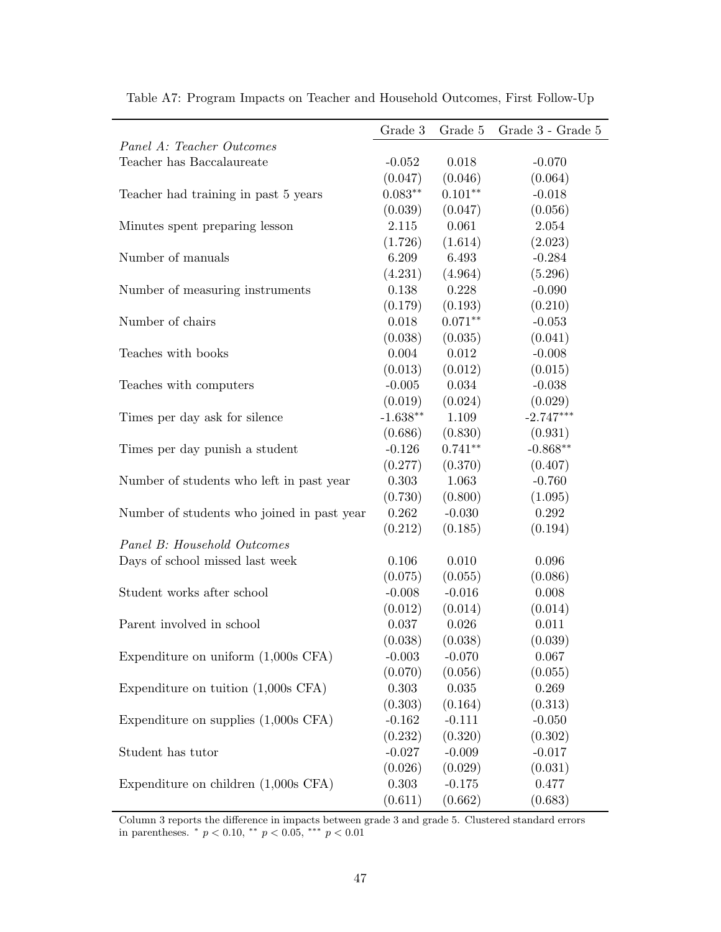|                                            | Grade 3    | Grade 5   | Grade 3 - Grade 5 |
|--------------------------------------------|------------|-----------|-------------------|
| Panel A: Teacher Outcomes                  |            |           |                   |
| Teacher has Baccalaureate                  | $-0.052$   | 0.018     | $-0.070$          |
|                                            | (0.047)    | (0.046)   | (0.064)           |
| Teacher had training in past 5 years       | $0.083**$  | $0.101**$ | $-0.018$          |
|                                            | (0.039)    | (0.047)   | (0.056)           |
| Minutes spent preparing lesson             | 2.115      | 0.061     | 2.054             |
|                                            | (1.726)    | (1.614)   | (2.023)           |
| Number of manuals                          | 6.209      | 6.493     | $-0.284$          |
|                                            | (4.231)    | (4.964)   | (5.296)           |
| Number of measuring instruments            | 0.138      | 0.228     | $-0.090$          |
|                                            | (0.179)    | (0.193)   | (0.210)           |
| Number of chairs                           | 0.018      | $0.071**$ | $-0.053$          |
|                                            | (0.038)    | (0.035)   | (0.041)           |
| Teaches with books                         | 0.004      | 0.012     | $-0.008$          |
|                                            | (0.013)    | (0.012)   | (0.015)           |
| Teaches with computers                     | $-0.005$   | 0.034     | $-0.038$          |
|                                            | (0.019)    | (0.024)   | (0.029)           |
| Times per day ask for silence              | $-1.638**$ | 1.109     | $-2.747***$       |
|                                            | (0.686)    | (0.830)   | (0.931)           |
| Times per day punish a student             | $-0.126$   | $0.741**$ | $-0.868**$        |
|                                            | (0.277)    | (0.370)   | (0.407)           |
| Number of students who left in past year   | 0.303      | 1.063     | $-0.760$          |
|                                            | (0.730)    | (0.800)   | (1.095)           |
| Number of students who joined in past year | 0.262      | $-0.030$  | 0.292             |
|                                            | (0.212)    | (0.185)   | (0.194)           |
| Panel B: Household Outcomes                |            |           |                   |
| Days of school missed last week            | 0.106      | 0.010     | 0.096             |
|                                            | (0.075)    | (0.055)   | (0.086)           |
| Student works after school                 | $-0.008$   | $-0.016$  | 0.008             |
|                                            | (0.012)    | (0.014)   | (0.014)           |
| Parent involved in school                  | 0.037      | 0.026     | 0.011             |
|                                            | (0.038)    | (0.038)   | (0.039)           |
| Expenditure on uniform $(1,000s$ CFA)      | $-0.003$   | $-0.070$  | 0.067             |
|                                            | (0.070)    | (0.056)   | (0.055)           |
| Expenditure on tuition $(1,000s$ CFA)      | 0.303      | 0.035     | 0.269             |
|                                            | (0.303)    | (0.164)   | (0.313)           |
| Expenditure on supplies (1,000s CFA)       | $-0.162$   | $-0.111$  | $-0.050$          |
|                                            | (0.232)    | (0.320)   | (0.302)           |
| Student has tutor                          | $-0.027$   | $-0.009$  | $-0.017$          |
|                                            | (0.026)    | (0.029)   | (0.031)           |
| Expenditure on children $(1,000s$ CFA)     | 0.303      | $-0.175$  | 0.477             |
|                                            | (0.611)    | (0.662)   | (0.683)           |

Table A7: Program Impacts on Teacher and Household Outcomes, First Follow-Up

Column 3 reports the difference in impacts between grade 3 and grade 5. Clustered standard errors in parentheses. \*  $p < 0.10$ , \*\*  $p < 0.05$ , \*\*\*  $p < 0.01$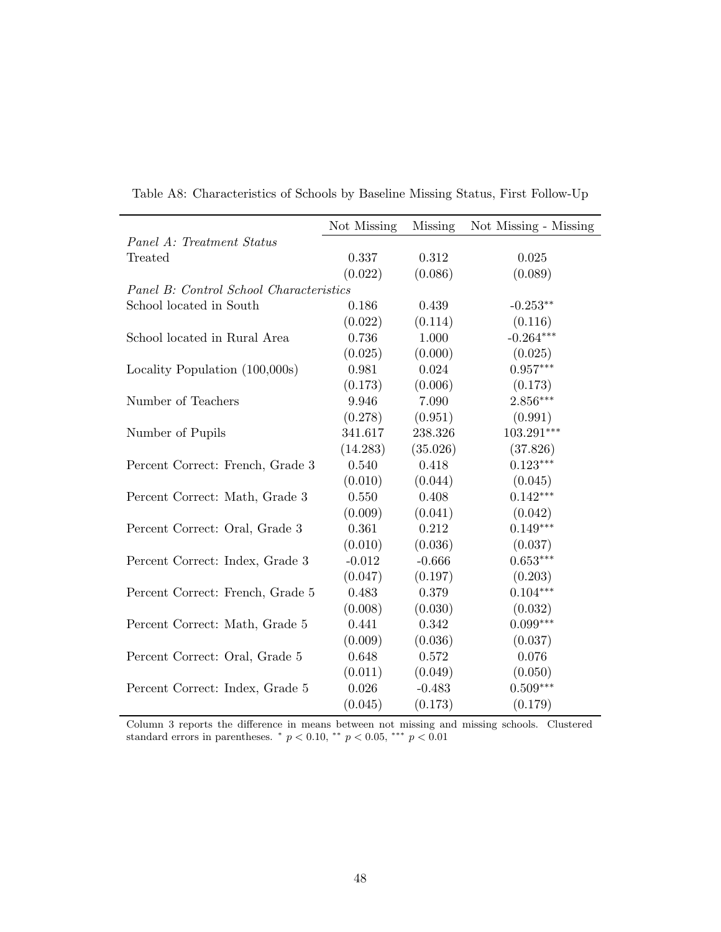|                                         | Not Missing | <b>Missing</b> | Not Missing - Missing |
|-----------------------------------------|-------------|----------------|-----------------------|
| Panel A: Treatment Status               |             |                |                       |
| Treated                                 | 0.337       | 0.312          | 0.025                 |
|                                         | (0.022)     | (0.086)        | (0.089)               |
| Panel B: Control School Characteristics |             |                |                       |
| School located in South                 | 0.186       | 0.439          | $-0.253**$            |
|                                         | (0.022)     | (0.114)        | (0.116)               |
| School located in Rural Area            | 0.736       | 1.000          | $-0.264***$           |
|                                         | (0.025)     | (0.000)        | (0.025)               |
| Locality Population $(100,000s)$        | 0.981       | 0.024          | $0.957***$            |
|                                         | (0.173)     | (0.006)        | (0.173)               |
| Number of Teachers                      | 9.946       | 7.090          | $2.856***$            |
|                                         | (0.278)     | (0.951)        | (0.991)               |
| Number of Pupils                        | 341.617     | 238.326        | 103.291***            |
|                                         | (14.283)    | (35.026)       | (37.826)              |
| Percent Correct: French, Grade 3        | 0.540       | 0.418          | $0.123***$            |
|                                         | (0.010)     | (0.044)        | (0.045)               |
| Percent Correct: Math, Grade 3          | 0.550       | 0.408          | $0.142***$            |
|                                         | (0.009)     | (0.041)        | (0.042)               |
| Percent Correct: Oral, Grade 3          | 0.361       | 0.212          | $0.149***$            |
|                                         | (0.010)     | (0.036)        | (0.037)               |
| Percent Correct: Index, Grade 3         | $-0.012$    | $-0.666$       | $0.653***$            |
|                                         | (0.047)     | (0.197)        | (0.203)               |
| Percent Correct: French, Grade 5        | 0.483       | 0.379          | $0.104***$            |
|                                         | (0.008)     | (0.030)        | (0.032)               |
| Percent Correct: Math, Grade 5          | 0.441       | 0.342          | $0.099***$            |
|                                         | (0.009)     | (0.036)        | (0.037)               |
| Percent Correct: Oral, Grade 5          | 0.648       | 0.572          | 0.076                 |
|                                         | (0.011)     | (0.049)        | (0.050)               |
| Percent Correct: Index, Grade 5         | 0.026       | $-0.483$       | $0.509***$            |
|                                         | (0.045)     | (0.173)        | (0.179)               |

Table A8: Characteristics of Schools by Baseline Missing Status, First Follow-Up

Column 3 reports the difference in means between not missing and missing schools. Clustered standard errors in parentheses. \*  $p < 0.10$ , \*\*  $p < 0.05$ , \*\*\*  $p < 0.01$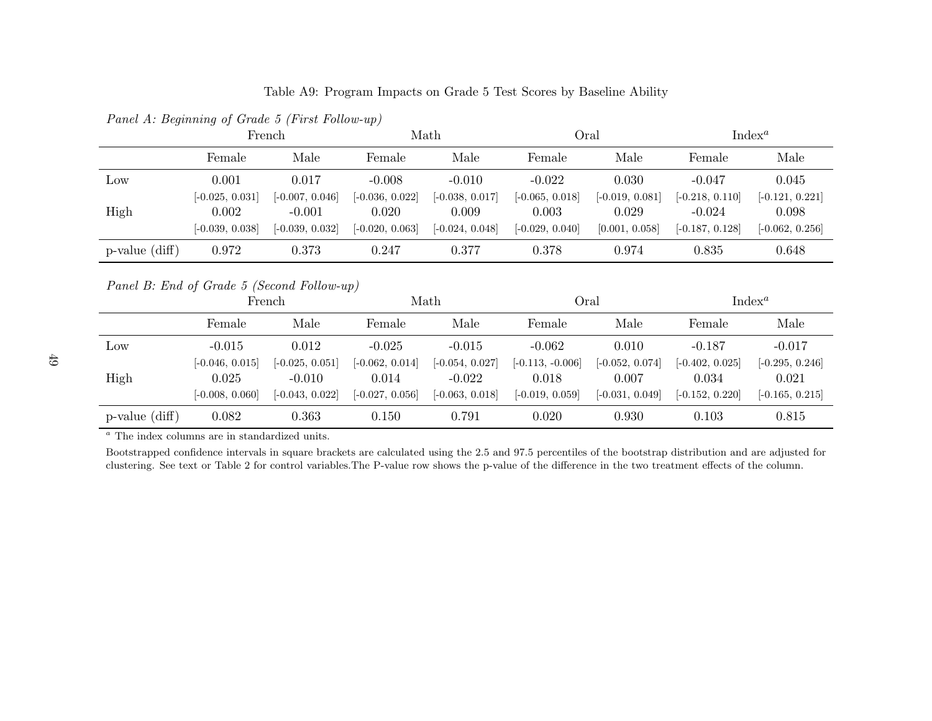Table A9: Program Impacts on Grade <sup>5</sup> Test Scores by Baseline Ability

|                                            | French            |                   |                   | Math              | Index <sup>a</sup><br>Oral |                   |                    |                   |  |
|--------------------------------------------|-------------------|-------------------|-------------------|-------------------|----------------------------|-------------------|--------------------|-------------------|--|
|                                            | Female            | Male              | Female            | Male              | Female                     | Male              | Female             | Male              |  |
| Low                                        | 0.001             | 0.017             | $-0.008$          | $-0.010$          | $-0.022$                   | 0.030             | $-0.047$           | 0.045             |  |
|                                            | $[-0.025, 0.031]$ | $[-0.007, 0.046]$ | $[-0.036, 0.022]$ | $[-0.038, 0.017]$ | $[-0.065, 0.018]$          | $[-0.019, 0.081]$ | $[-0.218, 0.110]$  | $[-0.121, 0.221]$ |  |
| High                                       | 0.002             | $-0.001$          | 0.020             | 0.009             | 0.003                      | 0.029             | $-0.024$           | 0.098             |  |
|                                            | $[-0.039, 0.038]$ | $[-0.039, 0.032]$ | $[-0.020, 0.063]$ | $[-0.024, 0.048]$ | $[-0.029, 0.040]$          | [0.001, 0.058]    | $[-0.187, 0.128]$  | $[-0.062, 0.256]$ |  |
| $p$ -value $(diff)$                        | 0.972             | 0.373             | 0.247             | 0.377             | 0.378                      | 0.974             | 0.835              | 0.648             |  |
| Panel B: End of Grade 5 (Second Follow-up) |                   |                   |                   |                   |                            |                   |                    |                   |  |
|                                            |                   | French            |                   | Math              | Oral                       |                   | Index <sup>a</sup> |                   |  |
|                                            | Female            | Male              | Female            | Male              | Female                     | Male              | Female             | Male              |  |
| Low                                        | $-0.015$          | 0.012             | $-0.025$          | $-0.015$          | $-0.062$                   | 0.010             | $-0.187$           | $-0.017$          |  |
|                                            |                   |                   |                   |                   |                            | $[-0.052, 0.074]$ | $[-0.402, 0.025]$  | $[-0.295, 0.246]$ |  |
|                                            | $[-0.046, 0.015]$ | $[-0.025, 0.051]$ | $[-0.062, 0.014]$ | $[-0.054, 0.027]$ | $[-0.113, -0.006]$         |                   |                    |                   |  |
| High                                       | 0.025             | $-0.010$          | 0.014             | $-0.022$          | 0.018                      | 0.007             | 0.034              | 0.021             |  |

clustering. See text or Table <sup>2</sup> for control variables.The P-value row shows the p-value of the difference in the two treatment effects of the column.

Panel A: Beginning of Grade <sup>5</sup> (First Follow-up)

p-value (diff) 0.082 0.363 0.150 0.791 0.020 0.930 0.103 0.815

<sup>a</sup> The index columns are in standardized units. Bootstrapped confidence intervals in square brackets are calculated using the 2.5 and 97.5 percentiles of the bootstrap distribution and are adjusted for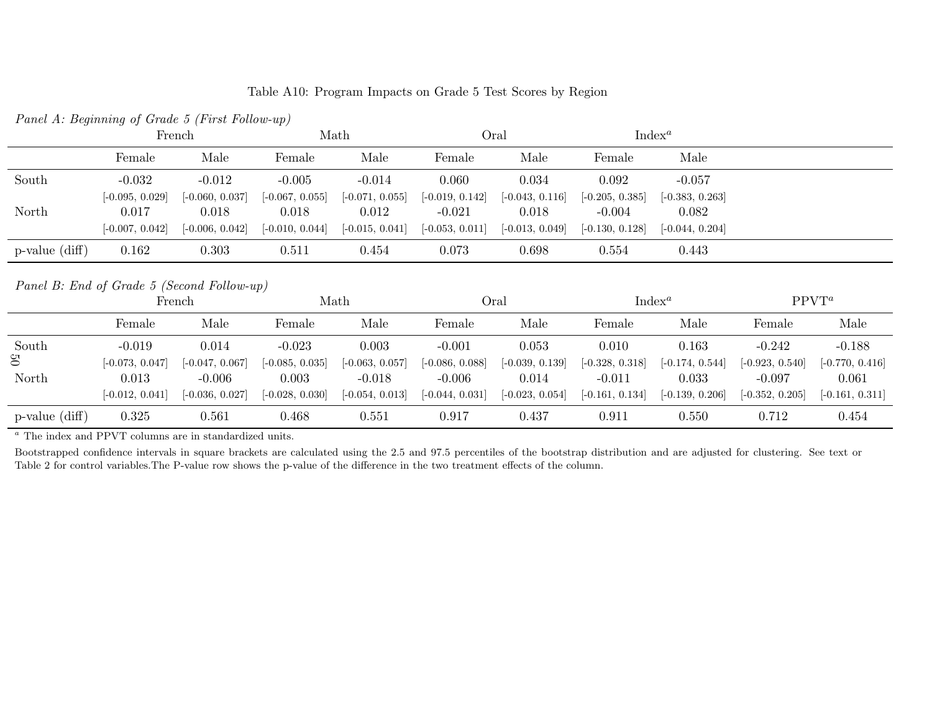| Table A10: Program Impacts on Grade 5 Test Scores by Region |  |
|-------------------------------------------------------------|--|
|-------------------------------------------------------------|--|

| <i>I which II. Deginating of Grade of Large Lottow ap/</i>                                    |                   |                        |                   |                   |                   |                   |                   |                   |          |          |
|-----------------------------------------------------------------------------------------------|-------------------|------------------------|-------------------|-------------------|-------------------|-------------------|-------------------|-------------------|----------|----------|
|                                                                                               |                   | Oral<br>Math<br>French |                   | $Index^a$         |                   |                   |                   |                   |          |          |
|                                                                                               | Female            | Male                   | Female            | Male              | Female            | Male              | Female            | Male              |          |          |
| South                                                                                         | $-0.032$          | $-0.012$               | $-0.005$          | $-0.014$          | 0.060             | 0.034             | 0.092             | $-0.057$          |          |          |
|                                                                                               | $[-0.095, 0.029]$ | $[-0.060, 0.037]$      | $[-0.067, 0.055]$ | $[-0.071, 0.055]$ | $[-0.019, 0.142]$ | $[-0.043, 0.116]$ | $[-0.205, 0.385]$ | $[-0.383, 0.263]$ |          |          |
| North                                                                                         | 0.017             | 0.018                  | 0.018             | 0.012             | $-0.021$          | 0.018             | $-0.004$          | 0.082             |          |          |
|                                                                                               | $[-0.007, 0.042]$ | $[-0.006, 0.042]$      | $[-0.010, 0.044]$ | $[-0.015, 0.041]$ | $[-0.053, 0.011]$ | $[-0.013, 0.049]$ | $[-0.130, 0.128]$ | $[-0.044, 0.204]$ |          |          |
| $p-value$ (diff)                                                                              | 0.162             | 0.303                  | 0.511             | 0.454             | 0.073             | 0.698             | 0.554             | 0.443             |          |          |
| Panel B: End of Grade 5 (Second Follow-up)<br>$Index^a$<br>$PPVT^a$<br>Math<br>Oral<br>French |                   |                        |                   |                   |                   |                   |                   |                   |          |          |
|                                                                                               |                   |                        |                   |                   |                   |                   |                   |                   |          |          |
|                                                                                               | Female            | Male                   | Female            | Male              | Female            | Male              | Female            | Male              | Female   | Male     |
| South                                                                                         | $-0.019$          | 0.014                  | $-0.023$          | 0.003             | $-0.001$          | 0.053             | 0.010             | 0.163             | $-0.242$ | $-0.188$ |

Panel A: Beginning of Grade <sup>5</sup> (First Follow-up)

|                     | ттепен            |                   |                   | iviatii           |                   | viai<br>THUCY     |                   |                   | 11 V 1            |                   |
|---------------------|-------------------|-------------------|-------------------|-------------------|-------------------|-------------------|-------------------|-------------------|-------------------|-------------------|
|                     | Female            | Male              | Female            | Male              | Female            | Male              | Female            | Male              | Female            | Male              |
| South               | $-0.019$          | 0.014             | $-0.023$          | 0.003             | $-0.001$          | 0.053             | 0.010             | 0.163             | $-0.242$          | $-0.188$          |
| $\mathfrak{S}$      | $[-0.073, 0.047]$ | $[-0.047, 0.067]$ | $[-0.085, 0.035]$ | $[-0.063, 0.057]$ | $[-0.086, 0.088]$ | $[-0.039, 0.139]$ | $[-0.328, 0.318]$ | $[-0.174, 0.544]$ | $[-0.923, 0.540]$ | $[-0.770, 0.416]$ |
| North               | 0.013             | $-0.006$          | 0.003             | $-0.018$          | $-0.006$          | 0.014             | $-0.011$          | 0.033             | $-0.097$          | 0.061             |
|                     | $[-0.012, 0.041]$ | $[-0.036, 0.027]$ | $[-0.028, 0.030]$ | $[-0.054, 0.013]$ | $[-0.044, 0.031]$ | $[-0.023, 0.054]$ | $[-0.161, 0.134]$ | $[-0.139, 0.206]$ | $[-0.352, 0.205]$ | $[-0.161, 0.311]$ |
| $p$ -value $(diff)$ | 0.325             | 0.561             | 0.468             | 0.551             | 0.917             | 0.437             | 0.911             | 0.550             | 0.712             | 0.454             |

a The index and PPVT columns are in standardized units.

Bootstrapped confidence intervals in square brackets are calculated using the 2.5 and 97.5 percentiles of the bootstrap distribution and are adjusted for clustering. See text or Table <sup>2</sup> for control variables.The P-value row shows the p-value of the difference in the two treatment effects of the column.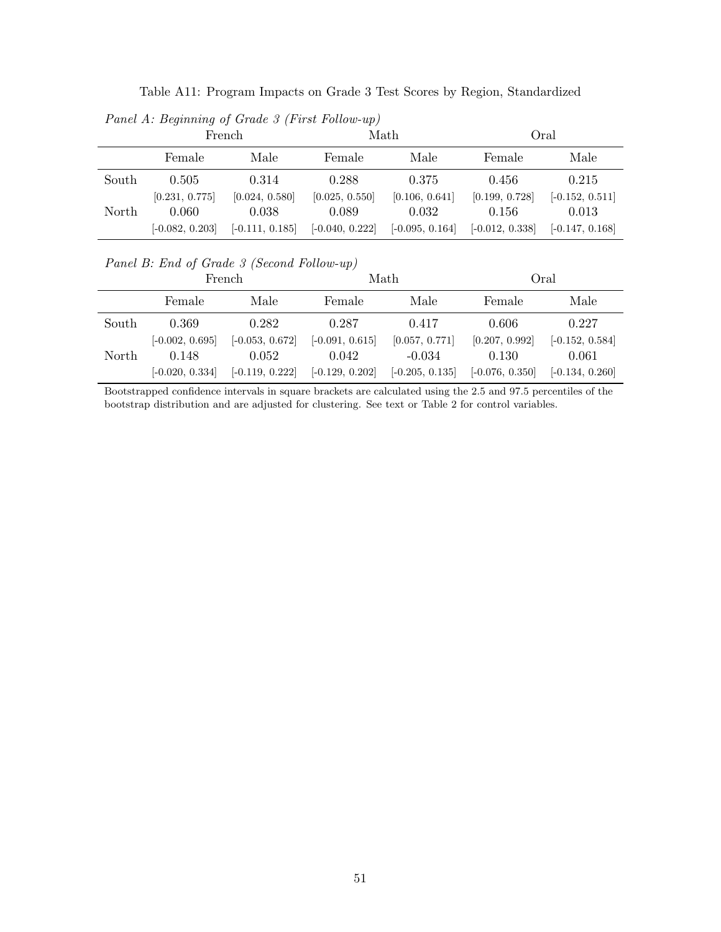| Table A11: Program Impacts on Grade 3 Test Scores by Region, Standardized |  |  |  |
|---------------------------------------------------------------------------|--|--|--|
|---------------------------------------------------------------------------|--|--|--|

Panel A: Beginning of Grade 3 (First Follow-up)

|       |                   | French            |                   | Math              | Oral              |                   |  |
|-------|-------------------|-------------------|-------------------|-------------------|-------------------|-------------------|--|
|       | Female            | Male              | Female            | Male              | Female            | Male              |  |
| South | 0.505             | 0.314             | 0.288             | 0.375             | 0.456             | 0.215             |  |
|       | [0.231, 0.775]    | [0.024, 0.580]    | [0.025, 0.550]    | [0.106, 0.641]    | [0.199, 0.728]    | $[-0.152, 0.511]$ |  |
| North | 0.060             | 0.038             | 0.089             | 0.032             | 0.156             | 0.013             |  |
|       | $[-0.082, 0.203]$ | $[-0.111, 0.185]$ | $[-0.040, 0.222]$ | $[-0.095, 0.164]$ | $[-0.012, 0.338]$ | $[-0.147, 0.168]$ |  |

Panel B: End of Grade 3 (Second Follow-up)

|       | French            |                   |                   | Math              | Oral              |                   |  |
|-------|-------------------|-------------------|-------------------|-------------------|-------------------|-------------------|--|
|       | Female            | Male              | Female            | Male              | Female            | Male              |  |
| South | 0.369             | 0.282             | 0.287             | 0.417             | 0.606             | 0.227             |  |
|       | $[-0.002, 0.695]$ | $[-0.053, 0.672]$ | $[-0.091, 0.615]$ | [0.057, 0.771]    | [0.207, 0.992]    | $[-0.152, 0.584]$ |  |
| North | 0.148             | 0.052             | 0.042             | $-0.034$          | 0.130             | 0.061             |  |
|       | $[-0.020, 0.334]$ | $[-0.119, 0.222]$ | $[-0.129, 0.202]$ | $[-0.205, 0.135]$ | $[-0.076, 0.350]$ | $[-0.134, 0.260]$ |  |

Bootstrapped confidence intervals in square brackets are calculated using the 2.5 and 97.5 percentiles of the bootstrap distribution and are adjusted for clustering. See text or Table 2 for control variables.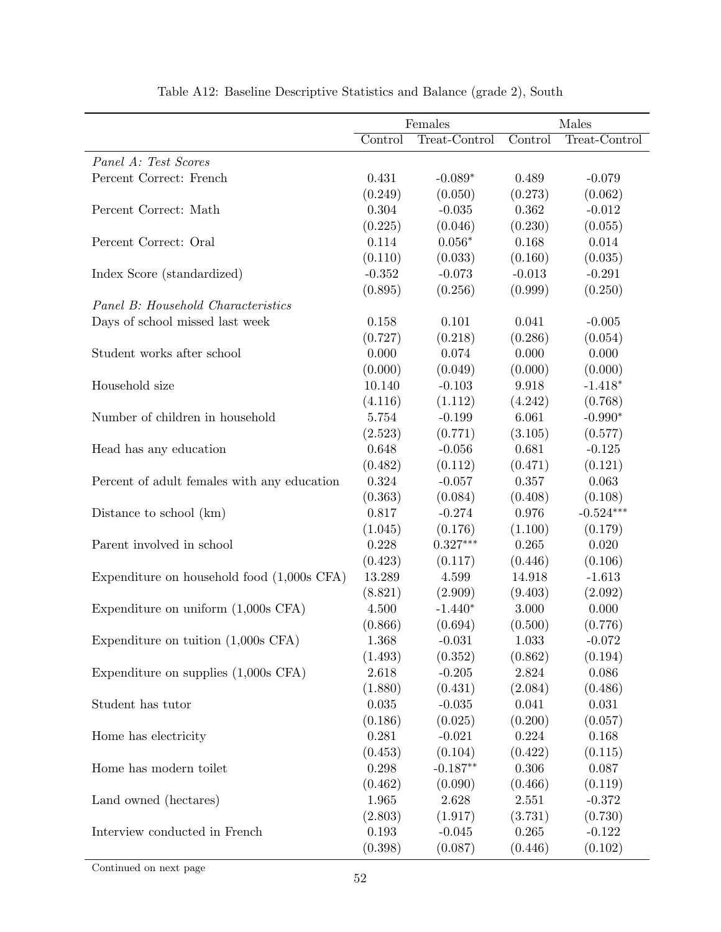|                                              | Females  |               | Males    |               |  |
|----------------------------------------------|----------|---------------|----------|---------------|--|
|                                              | Control  | Treat-Control | Control  | Treat-Control |  |
| Panel A: Test Scores                         |          |               |          |               |  |
| Percent Correct: French                      | 0.431    | $-0.089*$     | 0.489    | $-0.079$      |  |
|                                              | (0.249)  | (0.050)       | (0.273)  | (0.062)       |  |
| Percent Correct: Math                        | 0.304    | $-0.035$      | 0.362    | $-0.012$      |  |
|                                              | (0.225)  | (0.046)       | (0.230)  | (0.055)       |  |
| Percent Correct: Oral                        | 0.114    | $0.056*$      | 0.168    | 0.014         |  |
|                                              | (0.110)  | (0.033)       | (0.160)  | (0.035)       |  |
| Index Score (standardized)                   | $-0.352$ | $-0.073$      | $-0.013$ | $-0.291$      |  |
|                                              | (0.895)  | (0.256)       | (0.999)  | (0.250)       |  |
| Panel B: Household Characteristics           |          |               |          |               |  |
| Days of school missed last week              | 0.158    | 0.101         | 0.041    | $-0.005$      |  |
|                                              | (0.727)  | (0.218)       | (0.286)  | (0.054)       |  |
| Student works after school                   | 0.000    | 0.074         | 0.000    | 0.000         |  |
|                                              | (0.000)  | (0.049)       | (0.000)  | (0.000)       |  |
| Household size                               | 10.140   | $-0.103$      | 9.918    | $-1.418*$     |  |
|                                              | (4.116)  | (1.112)       | (4.242)  | (0.768)       |  |
| Number of children in household              | 5.754    | $-0.199$      | 6.061    | $-0.990*$     |  |
|                                              | (2.523)  | (0.771)       | (3.105)  | (0.577)       |  |
| Head has any education                       | 0.648    | $-0.056$      | 0.681    | $-0.125$      |  |
|                                              | (0.482)  | (0.112)       | (0.471)  | (0.121)       |  |
| Percent of a dult females with any education | 0.324    | $-0.057$      | 0.357    | 0.063         |  |
|                                              | (0.363)  | (0.084)       | (0.408)  | (0.108)       |  |
| Distance to school (km)                      | 0.817    | $-0.274$      | 0.976    | $-0.524***$   |  |
|                                              | (1.045)  | (0.176)       | (1.100)  | (0.179)       |  |
| Parent involved in school                    | 0.228    | $0.327***$    | 0.265    | 0.020         |  |
|                                              | (0.423)  | (0.117)       | (0.446)  | (0.106)       |  |
| Expenditure on household food $(1,000s$ CFA) | 13.289   | 4.599         | 14.918   | $-1.613$      |  |
|                                              | (8.821)  | (2.909)       | (9.403)  | (2.092)       |  |
| Expenditure on uniform $(1,000s$ CFA)        | 4.500    | $-1.440*$     | 3.000    | 0.000         |  |
|                                              | (0.866)  | (0.694)       | (0.500)  | (0.776)       |  |
| Expenditure on tuition $(1,000s$ CFA)        | 1.368    | $-0.031$      | 1.033    | $-0.072$      |  |
|                                              | (1.493)  | (0.352)       | (0.862)  | (0.194)       |  |
| Expenditure on supplies $(1,000s$ CFA)       | 2.618    | $-0.205$      | 2.824    | 0.086         |  |
|                                              | (1.880)  | (0.431)       | (2.084)  | (0.486)       |  |
| Student has tutor                            | 0.035    | $-0.035$      | 0.041    | 0.031         |  |
|                                              | (0.186)  | (0.025)       | (0.200)  | (0.057)       |  |
| Home has electricity                         | 0.281    | $-0.021$      | 0.224    | 0.168         |  |
|                                              | (0.453)  | (0.104)       | (0.422)  | (0.115)       |  |
| Home has modern toilet                       | 0.298    | $-0.187**$    | 0.306    | 0.087         |  |
|                                              | (0.462)  | (0.090)       | (0.466)  | (0.119)       |  |
| Land owned (hectares)                        | 1.965    | 2.628         | 2.551    | $-0.372$      |  |
|                                              | (2.803)  | (1.917)       | (3.731)  | (0.730)       |  |
| Interview conducted in French                | 0.193    | $-0.045$      | 0.265    | $-0.122$      |  |
|                                              | (0.398)  | (0.087)       | (0.446)  | (0.102)       |  |

Table A12: Baseline Descriptive Statistics and Balance (grade 2), South

Continued on next page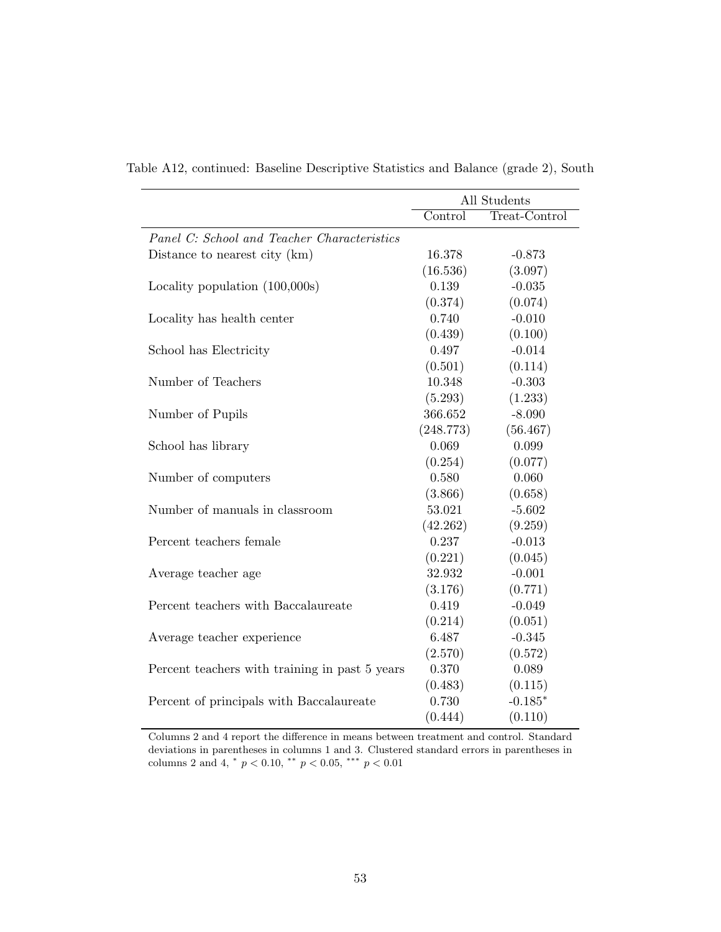|                                                | All Students |               |  |
|------------------------------------------------|--------------|---------------|--|
|                                                | Control      | Treat-Control |  |
| Panel C: School and Teacher Characteristics    |              |               |  |
| Distance to nearest city (km)                  | 16.378       | $-0.873$      |  |
|                                                | (16.536)     | (3.097)       |  |
| Locality population (100,000s)                 | 0.139        | $-0.035$      |  |
|                                                | (0.374)      | (0.074)       |  |
| Locality has health center                     | 0.740        | $-0.010$      |  |
|                                                | (0.439)      | (0.100)       |  |
| School has Electricity                         | 0.497        | $-0.014$      |  |
|                                                | (0.501)      | (0.114)       |  |
| Number of Teachers                             | 10.348       | $-0.303$      |  |
|                                                | (5.293)      | (1.233)       |  |
| Number of Pupils                               | 366.652      | $-8.090$      |  |
|                                                | (248.773)    | (56.467)      |  |
| School has library                             | 0.069        | 0.099         |  |
|                                                | (0.254)      | (0.077)       |  |
| Number of computers                            | 0.580        | 0.060         |  |
|                                                | (3.866)      | (0.658)       |  |
| Number of manuals in classroom                 | 53.021       | $-5.602$      |  |
|                                                | (42.262)     | (9.259)       |  |
| Percent teachers female                        | 0.237        | $-0.013$      |  |
|                                                | (0.221)      | (0.045)       |  |
| Average teacher age                            | 32.932       | $-0.001$      |  |
|                                                | (3.176)      | (0.771)       |  |
| Percent teachers with Baccalaureate            | 0.419        | $-0.049$      |  |
|                                                | (0.214)      | (0.051)       |  |
| Average teacher experience                     | 6.487        | $-0.345$      |  |
|                                                | (2.570)      | (0.572)       |  |
| Percent teachers with training in past 5 years | 0.370        | 0.089         |  |
|                                                | (0.483)      | (0.115)       |  |
| Percent of principals with Baccalaureate       | 0.730        | $-0.185*$     |  |
|                                                | (0.444)      | (0.110)       |  |

Table A12, continued: Baseline Descriptive Statistics and Balance (grade 2), South

Columns 2 and 4 report the difference in means between treatment and control. Standard deviations in parentheses in columns 1 and 3. Clustered standard errors in parentheses in columns 2 and 4,  $*$   $p < 0.10$ ,  $**$   $p < 0.05$ ,  $**$   $p < 0.01$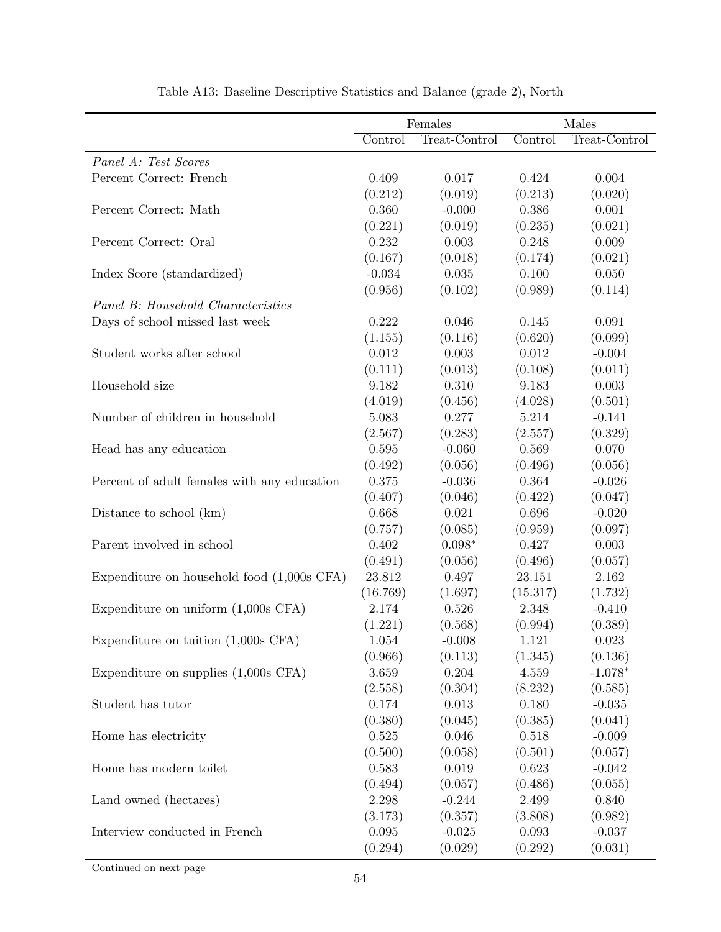|                                              | Females   |               | Males     |               |
|----------------------------------------------|-----------|---------------|-----------|---------------|
|                                              | Control   | Treat-Control | Control   | Treat-Control |
| Panel A: Test Scores                         |           |               |           |               |
| Percent Correct: French                      | 0.409     | 0.017         | 0.424     | 0.004         |
|                                              | (0.212)   | (0.019)       | (0.213)   | (0.020)       |
| Percent Correct: Math                        | 0.360     | $-0.000$      | 0.386     | 0.001         |
|                                              | (0.221)   | (0.019)       | (0.235)   | (0.021)       |
| Percent Correct: Oral                        | 0.232     | 0.003         | 0.248     | 0.009         |
|                                              | (0.167)   | (0.018)       | (0.174)   | (0.021)       |
| Index Score (standardized)                   | $-0.034$  | 0.035         | $0.100\,$ | 0.050         |
|                                              | (0.956)   | (0.102)       | (0.989)   | (0.114)       |
| Panel B: Household Characteristics           |           |               |           |               |
| Days of school missed last week              | 0.222     | 0.046         | 0.145     | 0.091         |
|                                              | (1.155)   | (0.116)       | (0.620)   | (0.099)       |
| Student works after school                   | 0.012     | 0.003         | 0.012     | $-0.004$      |
|                                              | (0.111)   | (0.013)       | (0.108)   | (0.011)       |
| Household size                               | 9.182     | 0.310         | 9.183     | 0.003         |
|                                              | (4.019)   | (0.456)       | (4.028)   | (0.501)       |
| Number of children in household              | 5.083     | 0.277         | 5.214     | $-0.141$      |
|                                              | (2.567)   | (0.283)       | (2.557)   | (0.329)       |
| Head has any education                       | 0.595     | $-0.060$      | 0.569     | 0.070         |
|                                              | (0.492)   | (0.056)       | (0.496)   | (0.056)       |
| Percent of adult females with any education  | 0.375     | $-0.036$      | 0.364     | $-0.026$      |
|                                              | (0.407)   | (0.046)       | (0.422)   | (0.047)       |
| Distance to school (km)                      | 0.668     | 0.021         | 0.696     | $-0.020$      |
|                                              | (0.757)   | (0.085)       | (0.959)   | (0.097)       |
| Parent involved in school                    | 0.402     | $0.098*$      | 0.427     | 0.003         |
|                                              | (0.491)   | (0.056)       | (0.496)   | (0.057)       |
| Expenditure on household food $(1,000s$ CFA) | 23.812    | 0.497         | 23.151    | 2.162         |
|                                              | (16.769)  | (1.697)       | (15.317)  | (1.732)       |
| Expenditure on uniform $(1,000s$ CFA)        | 2.174     | 0.526         | 2.348     | $-0.410$      |
|                                              | (1.221)   | (0.568)       | (0.994)   | (0.389)       |
| Expenditure on tuition $(1,000s$ CFA)        | $1.054\,$ | $-0.008$      | $1.121\,$ | 0.023         |
|                                              | (0.966)   | (0.113)       | (1.345)   | (0.136)       |
| Expenditure on supplies $(1,000s$ CFA)       | 3.659     | 0.204         | 4.559     | $-1.078*$     |
|                                              | (2.558)   | (0.304)       | (8.232)   | (0.585)       |
| Student has tutor                            | 0.174     | 0.013         | 0.180     | $-0.035$      |
|                                              | (0.380)   | (0.045)       | (0.385)   | (0.041)       |
| Home has electricity                         | 0.525     | 0.046         | 0.518     | $-0.009$      |
|                                              | (0.500)   | (0.058)       | (0.501)   | (0.057)       |
| Home has modern toilet                       | 0.583     | 0.019         | 0.623     | $-0.042$      |
|                                              | (0.494)   | (0.057)       | (0.486)   | (0.055)       |
| Land owned (hectares)                        | 2.298     | $-0.244$      | 2.499     | 0.840         |
|                                              | (3.173)   | (0.357)       | (3.808)   | (0.982)       |
| Interview conducted in French                | 0.095     | $-0.025$      | 0.093     | $-0.037$      |
|                                              | (0.294)   | (0.029)       | (0.292)   | (0.031)       |

Table A13: Baseline Descriptive Statistics and Balance (grade 2), North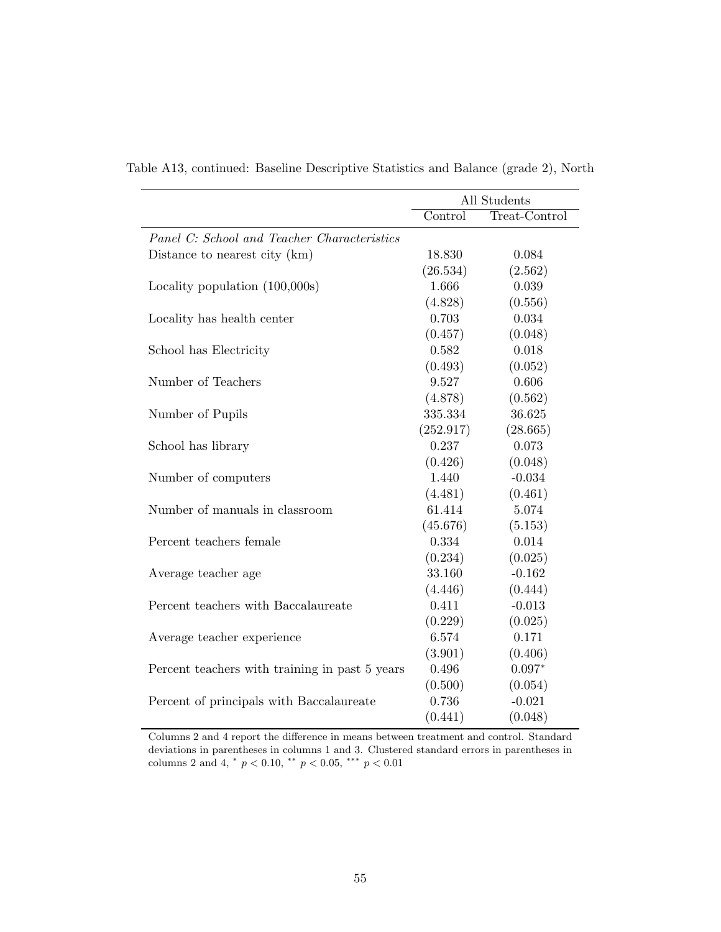|                                                | All Students |               |  |
|------------------------------------------------|--------------|---------------|--|
|                                                | Control      | Treat-Control |  |
| Panel C: School and Teacher Characteristics    |              |               |  |
| Distance to nearest city (km)                  | 18.830       | 0.084         |  |
|                                                | (26.534)     | (2.562)       |  |
| Locality population (100,000s)                 | 1.666        | 0.039         |  |
|                                                | (4.828)      | (0.556)       |  |
| Locality has health center                     | 0.703        | 0.034         |  |
|                                                | (0.457)      | (0.048)       |  |
| School has Electricity                         | 0.582        | 0.018         |  |
|                                                | (0.493)      | (0.052)       |  |
| Number of Teachers                             | 9.527        | 0.606         |  |
|                                                | (4.878)      | (0.562)       |  |
| Number of Pupils                               | 335.334      | 36.625        |  |
|                                                | (252.917)    | (28.665)      |  |
| School has library                             | 0.237        | 0.073         |  |
|                                                | (0.426)      | (0.048)       |  |
| Number of computers                            | 1.440        | $-0.034$      |  |
|                                                | (4.481)      | (0.461)       |  |
| Number of manuals in classroom                 | 61.414       | 5.074         |  |
|                                                | (45.676)     | (5.153)       |  |
| Percent teachers female                        | 0.334        | 0.014         |  |
|                                                | (0.234)      | (0.025)       |  |
| Average teacher age                            | 33.160       | $-0.162$      |  |
|                                                | (4.446)      | (0.444)       |  |
| Percent teachers with Baccalaureate            | 0.411        | $-0.013$      |  |
|                                                | (0.229)      | (0.025)       |  |
| Average teacher experience                     | 6.574        | 0.171         |  |
|                                                | (3.901)      | (0.406)       |  |
| Percent teachers with training in past 5 years | 0.496        | $0.097*$      |  |
|                                                | (0.500)      | (0.054)       |  |
| Percent of principals with Baccalaureate       | 0.736        | $-0.021$      |  |
|                                                | (0.441)      | (0.048)       |  |

Table A13, continued: Baseline Descriptive Statistics and Balance (grade 2), North

Columns 2 and 4 report the difference in means between treatment and control. Standard deviations in parentheses in columns 1 and 3. Clustered standard errors in parentheses in columns 2 and 4,  $*$   $p < 0.10$ ,  $**$   $p < 0.05$ ,  $**$   $p < 0.01$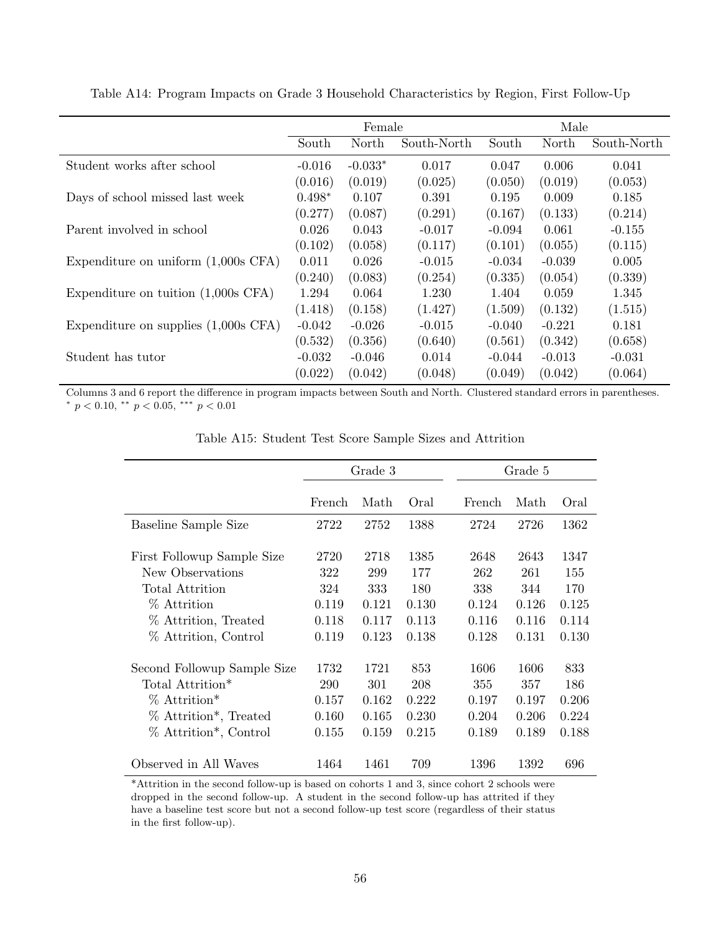| Female   |           |             | Male     |          |             |
|----------|-----------|-------------|----------|----------|-------------|
| South    | North     | South-North | South    | North    | South-North |
| $-0.016$ | $-0.033*$ | 0.017       | 0.047    | 0.006    | 0.041       |
| (0.016)  | (0.019)   | (0.025)     | (0.050)  | (0.019)  | (0.053)     |
| $0.498*$ | 0.107     | 0.391       | 0.195    | 0.009    | 0.185       |
| (0.277)  | (0.087)   | (0.291)     | (0.167)  | (0.133)  | (0.214)     |
| 0.026    | 0.043     | $-0.017$    | $-0.094$ | 0.061    | $-0.155$    |
| (0.102)  | (0.058)   | (0.117)     | (0.101)  | (0.055)  | (0.115)     |
| 0.011    | 0.026     | $-0.015$    | $-0.034$ | $-0.039$ | 0.005       |
| (0.240)  | (0.083)   | (0.254)     | (0.335)  | (0.054)  | (0.339)     |
| 1.294    | 0.064     | 1.230       | 1.404    | 0.059    | 1.345       |
| (1.418)  | (0.158)   | (1.427)     | (1.509)  | (0.132)  | (1.515)     |
| $-0.042$ | $-0.026$  | $-0.015$    | $-0.040$ | $-0.221$ | 0.181       |
| (0.532)  | (0.356)   | (0.640)     | (0.561)  | (0.342)  | (0.658)     |
| $-0.032$ | $-0.046$  | 0.014       | $-0.044$ | $-0.013$ | $-0.031$    |
| (0.022)  | (0.042)   | (0.048)     | (0.049)  | (0.042)  | (0.064)     |
|          |           |             |          |          |             |

Table A14: Program Impacts on Grade 3 Household Characteristics by Region, First Follow-Up

Columns 3 and 6 report the difference in program impacts between South and North. Clustered standard errors in parentheses. \*  $p < 0.10,$  \*\*  $p < 0.05,$  \*\*\*  $p < 0.01$ 

|                                                                                                                                                                       | Grade 3                                       |                                               |                                               | Grade 5                                       |                                               |                                               |
|-----------------------------------------------------------------------------------------------------------------------------------------------------------------------|-----------------------------------------------|-----------------------------------------------|-----------------------------------------------|-----------------------------------------------|-----------------------------------------------|-----------------------------------------------|
|                                                                                                                                                                       | French                                        | Math                                          | Oral                                          | French                                        | Math                                          | Oral                                          |
| Baseline Sample Size                                                                                                                                                  | 2722                                          | 2752                                          | 1388                                          | 2724                                          | 2726                                          | 1362                                          |
| First Followup Sample Size<br>New Observations<br>Total Attrition<br>% Attrition<br>% Attrition, Treated<br>% Attrition, Control                                      | 2720<br>322<br>324<br>0.119<br>0.118<br>0.119 | 2718<br>299<br>333<br>0.121<br>0.117<br>0.123 | 1385<br>177<br>180<br>0.130<br>0.113<br>0.138 | 2648<br>262<br>338<br>0.124<br>0.116<br>0.128 | 2643<br>261<br>344<br>0.126<br>0.116<br>0.131 | 1347<br>155<br>170<br>0.125<br>0.114<br>0.130 |
| Second Followup Sample Size<br>Total Attrition <sup>*</sup><br>$%$ Attrition <sup>*</sup><br>% Attrition <sup>*</sup> , Treated<br>% Attrition <sup>*</sup> , Control | 1732<br>290<br>0.157<br>0.160<br>0.155        | 1721<br>301<br>0.162<br>0.165<br>0.159        | 853<br>208<br>0.222<br>0.230<br>0.215         | 1606<br>355<br>0.197<br>0.204<br>0.189        | 1606<br>357<br>0.197<br>0.206<br>0.189        | 833<br>186<br>0.206<br>0.224<br>0.188         |
| Observed in All Waves                                                                                                                                                 | 1464                                          | 1461                                          | 709                                           | 1396                                          | 1392                                          | 696                                           |

Table A15: Student Test Score Sample Sizes and Attrition

\*Attrition in the second follow-up is based on cohorts 1 and 3, since cohort 2 schools were dropped in the second follow-up. A student in the second follow-up has attrited if they have a baseline test score but not a second follow-up test score (regardless of their status in the first follow-up).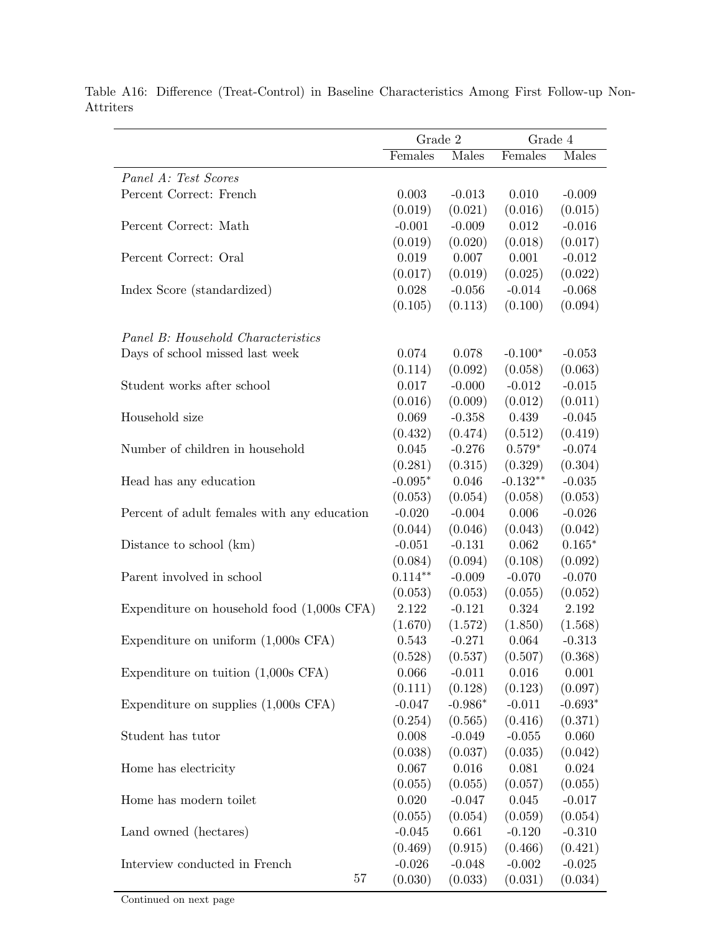|                                              | Grade 2          |                     | Grade 4          |                     |
|----------------------------------------------|------------------|---------------------|------------------|---------------------|
|                                              | Females          | Males               | Females          | Males               |
| Panel A: Test Scores                         |                  |                     |                  |                     |
| Percent Correct: French                      | 0.003            | $-0.013$            | 0.010            | $-0.009$            |
|                                              | (0.019)          | (0.021)             | (0.016)          | (0.015)             |
| Percent Correct: Math                        | $-0.001$         | $-0.009$            | 0.012            | $-0.016$            |
|                                              | (0.019)          | (0.020)             | (0.018)          | (0.017)             |
| Percent Correct: Oral                        | 0.019            | 0.007               | 0.001            | $-0.012$            |
|                                              | (0.017)          | (0.019)             | (0.025)          | (0.022)             |
| Index Score (standardized)                   | 0.028            | $-0.056$            | $-0.014$         | $-0.068$            |
|                                              | (0.105)          | (0.113)             | (0.100)          | (0.094)             |
|                                              |                  |                     |                  |                     |
| Panel B: Household Characteristics           |                  |                     |                  |                     |
| Days of school missed last week              | 0.074            | 0.078               | $-0.100*$        | $-0.053$            |
|                                              | (0.114)          | (0.092)             | (0.058)          | (0.063)             |
| Student works after school                   | 0.017            | $-0.000$            | $-0.012$         | $-0.015$            |
|                                              | (0.016)          | (0.009)             | (0.012)          | (0.011)             |
| Household size                               | 0.069            | $-0.358$            | 0.439            | $-0.045$            |
|                                              | (0.432)          | (0.474)             | (0.512)          | (0.419)             |
| Number of children in household              | 0.045            | $-0.276$            | $0.579*$         | $-0.074$            |
|                                              | (0.281)          | (0.315)             | (0.329)          | (0.304)             |
| Head has any education                       | $-0.095*$        | 0.046               | $-0.132**$       | $-0.035$            |
|                                              | (0.053)          | (0.054)             | (0.058)          | (0.053)             |
| Percent of adult females with any education  | $-0.020$         | $-0.004$            | 0.006            | $-0.026$            |
|                                              | (0.044)          | (0.046)             | (0.043)          | (0.042)             |
| Distance to school (km)                      | $-0.051$         | $-0.131$            | 0.062            | $0.165*$            |
|                                              | (0.084)          | (0.094)             | (0.108)          | (0.092)             |
| Parent involved in school                    | $0.114**$        | $-0.009$            | $-0.070$         | $-0.070$            |
|                                              | (0.053)          | (0.053)             | (0.055)          | (0.052)             |
| Expenditure on household food $(1,000s$ CFA) | 2.122            | $-0.121$            | 0.324            | 2.192               |
|                                              | (1.670)<br>0.543 | (1.572)<br>$-0.271$ | (1.850)<br>0.064 | (1.568)<br>$-0.313$ |
| Expenditure on uniform $(1,000s$ CFA)        | (0.528)          |                     |                  |                     |
|                                              | 0.066            | (0.537)             | (0.507)<br>0.016 | (0.368)<br>0.001    |
| Expenditure on tuition $(1,000s$ CFA)        | (0.111)          | $-0.011$<br>(0.128) | (0.123)          | (0.097)             |
| Expenditure on supplies $(1,000s$ CFA)       | $-0.047$         | $-0.986*$           | $-0.011$         | $-0.693*$           |
|                                              | (0.254)          | (0.565)             | (0.416)          | (0.371)             |
| Student has tutor                            | 0.008            | $-0.049$            | $-0.055$         | 0.060               |
|                                              | (0.038)          | (0.037)             | (0.035)          | (0.042)             |
| Home has electricity                         | 0.067            | 0.016               | 0.081            | 0.024               |
|                                              | (0.055)          | (0.055)             | (0.057)          | (0.055)             |
| Home has modern toilet                       | 0.020            | $-0.047$            | 0.045            | $-0.017$            |
|                                              | (0.055)          | (0.054)             | (0.059)          | (0.054)             |
| Land owned (hectares)                        | $-0.045$         | 0.661               | $-0.120$         | $-0.310$            |
|                                              | (0.469)          | (0.915)             | (0.466)          | (0.421)             |
| Interview conducted in French                | $-0.026$         | $-0.048$            | $-0.002$         | $-0.025$            |
| 57                                           | (0.030)          | (0.033)             | (0.031)          | (0.034)             |
|                                              |                  |                     |                  |                     |

Table A16: Difference (Treat-Control) in Baseline Characteristics Among First Follow-up Non-Attriters

Continued on next page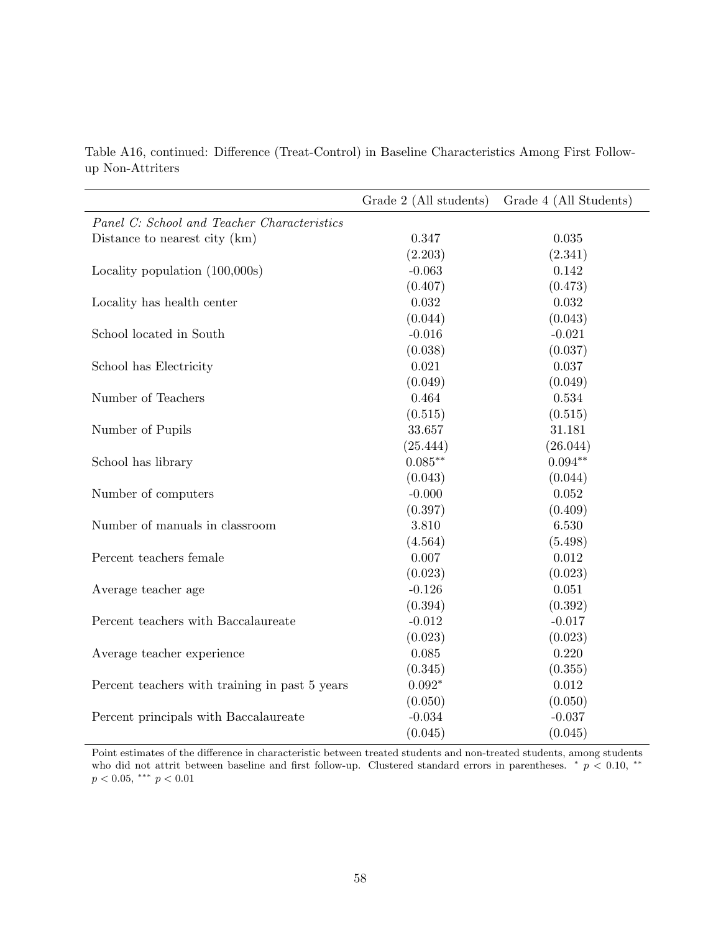|                                                | Grade 2 (All students) | Grade 4 (All Students) |
|------------------------------------------------|------------------------|------------------------|
| Panel C: School and Teacher Characteristics    |                        |                        |
| Distance to nearest city (km)                  | 0.347                  | 0.035                  |
|                                                | (2.203)                | (2.341)                |
| Locality population (100,000s)                 | $-0.063$               | 0.142                  |
|                                                | (0.407)                | (0.473)                |
| Locality has health center                     | 0.032                  | 0.032                  |
|                                                | (0.044)                | (0.043)                |
| School located in South                        | $-0.016$               | $-0.021$               |
|                                                | (0.038)                | (0.037)                |
| School has Electricity                         | 0.021                  | 0.037                  |
|                                                | (0.049)                | (0.049)                |
| Number of Teachers                             | 0.464                  | 0.534                  |
|                                                | (0.515)                | (0.515)                |
| Number of Pupils                               | 33.657                 | 31.181                 |
|                                                | (25.444)               | (26.044)               |
| School has library                             | $0.085**$              | $0.094**$              |
|                                                | (0.043)                | (0.044)                |
| Number of computers                            | $-0.000$               | 0.052                  |
|                                                | (0.397)                | (0.409)                |
| Number of manuals in classroom                 | 3.810                  | 6.530                  |
|                                                | (4.564)                | (5.498)                |
| Percent teachers female                        | 0.007                  | 0.012                  |
|                                                | (0.023)                | (0.023)                |
| Average teacher age                            | $-0.126$               | 0.051                  |
|                                                | (0.394)                | (0.392)                |
| Percent teachers with Baccalaureate            | $-0.012$               | $-0.017$               |
|                                                | (0.023)                | (0.023)                |
| Average teacher experience                     | 0.085                  | 0.220                  |
|                                                | (0.345)                | (0.355)                |
| Percent teachers with training in past 5 years | $0.092*$               | 0.012                  |
|                                                | (0.050)                | (0.050)                |
| Percent principals with Baccalaureate          | $-0.034$               | $-0.037$               |
|                                                | (0.045)                | (0.045)                |

Table A16, continued: Difference (Treat-Control) in Baseline Characteristics Among First Followup Non-Attriters

Point estimates of the difference in characteristic between treated students and non-treated students, among students who did not attrit between baseline and first follow-up. Clustered standard errors in parentheses.  $* \neq 0.10, **$  $p < 0.05$ , \*\*\*  $p < 0.01$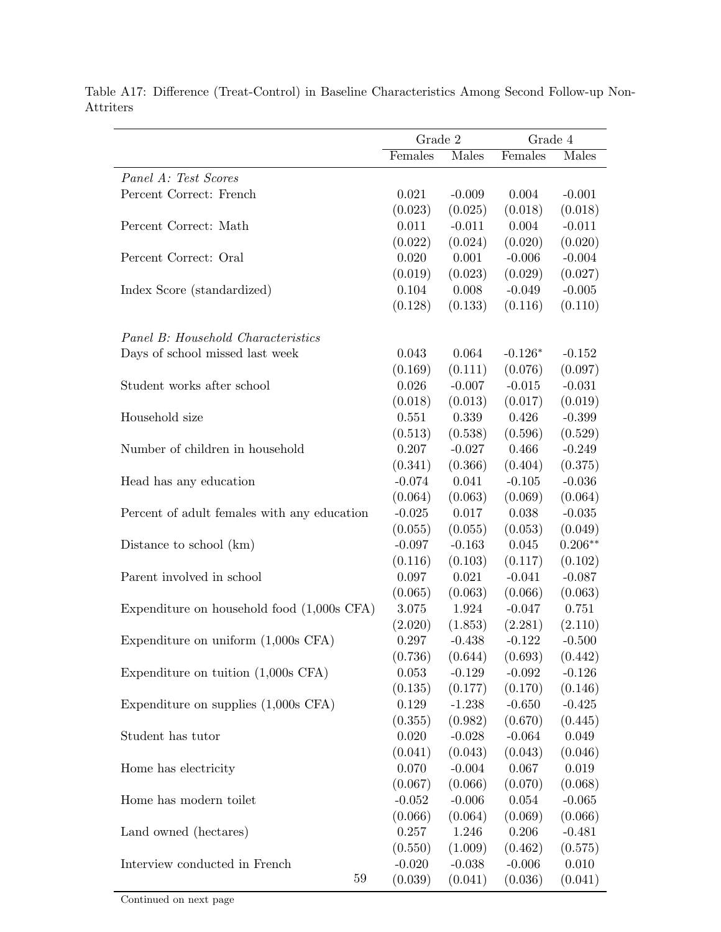|                                              | Grade 2          |                     | Grade 4             |                     |
|----------------------------------------------|------------------|---------------------|---------------------|---------------------|
|                                              | Females          | Males               | Females             | Males               |
| Panel A: Test Scores                         |                  |                     |                     |                     |
| Percent Correct: French                      | 0.021            | $-0.009$            | 0.004               | $-0.001$            |
|                                              | (0.023)          | (0.025)             | (0.018)             | (0.018)             |
| Percent Correct: Math                        | 0.011            | $-0.011$            | 0.004               | $-0.011$            |
|                                              | (0.022)          | (0.024)             | (0.020)             | (0.020)             |
| Percent Correct: Oral                        | 0.020            | 0.001               | $-0.006$            | $-0.004$            |
|                                              | (0.019)          | (0.023)             | (0.029)             | (0.027)             |
| Index Score (standardized)                   | 0.104            | 0.008               | $-0.049$            | $-0.005$            |
|                                              | (0.128)          | (0.133)             | (0.116)             | (0.110)             |
| Panel B: Household Characteristics           |                  |                     |                     |                     |
| Days of school missed last week              | 0.043            | 0.064               | $-0.126*$           | $-0.152$            |
|                                              | (0.169)          | (0.111)             | (0.076)             | (0.097)             |
| Student works after school                   | 0.026            | $-0.007$            | $-0.015$            | $-0.031$            |
|                                              | (0.018)          | (0.013)             | (0.017)             | (0.019)             |
| Household size                               | 0.551            | 0.339               | 0.426               | $-0.399$            |
|                                              | (0.513)          | (0.538)             | (0.596)             | (0.529)             |
| Number of children in household              | 0.207            | $-0.027$            | 0.466               | $-0.249$            |
|                                              | (0.341)          | (0.366)             | (0.404)             | (0.375)             |
| Head has any education                       | $-0.074$         | 0.041               | $-0.105$            | $-0.036$            |
|                                              | (0.064)          | (0.063)             | (0.069)             | (0.064)             |
| Percent of adult females with any education  | $-0.025$         | 0.017               | 0.038               | $-0.035$            |
|                                              | (0.055)          | (0.055)             | (0.053)             | (0.049)             |
| Distance to school (km)                      | $-0.097$         | $-0.163$            | 0.045               | $0.206**$           |
|                                              | (0.116)          | (0.103)             | (0.117)             | (0.102)             |
| Parent involved in school                    | 0.097            | 0.021               | $-0.041$            | $-0.087$            |
|                                              | (0.065)          | (0.063)             | (0.066)             | (0.063)             |
| Expenditure on household food $(1,000s$ CFA) | 3.075            | 1.924               | $-0.047$            | 0.751               |
|                                              | (2.020)          | (1.853)             | (2.281)             | (2.110)             |
| Expenditure on uniform $(1,000s$ CFA)        | 0.297            | $-0.438$            | $-0.122$            | $-0.500$            |
|                                              | (0.736)          | (0.644)             | (0.693)             | (0.442)             |
| Expenditure on tuition $(1,000s$ CFA)        | 0.053<br>(0.135) | $-0.129$<br>(0.177) | $-0.092$<br>(0.170) | $-0.126$<br>(0.146) |
| Expenditure on supplies $(1,000s$ CFA)       | 0.129            | $-1.238$            | $-0.650$            | $-0.425$            |
|                                              | (0.355)          | (0.982)             | (0.670)             | (0.445)             |
| Student has tutor                            | 0.020            | $-0.028$            | $-0.064$            | 0.049               |
|                                              | (0.041)          | (0.043)             | (0.043)             | (0.046)             |
| Home has electricity                         | 0.070            | $-0.004$            | 0.067               | 0.019               |
|                                              | (0.067)          | (0.066)             | (0.070)             | (0.068)             |
| Home has modern toilet                       | $-0.052$         | $-0.006$            | 0.054               | $-0.065$            |
|                                              | (0.066)          | (0.064)             | (0.069)             | (0.066)             |
| Land owned (hectares)                        | 0.257            | 1.246               | 0.206               | $-0.481$            |
|                                              | (0.550)          | (1.009)             | (0.462)             | (0.575)             |
| Interview conducted in French                | $-0.020$         | $-0.038$            | $-0.006$            | 0.010               |
| 59                                           | (0.039)          | (0.041)             | (0.036)             | (0.041)             |

Table A17: Difference (Treat-Control) in Baseline Characteristics Among Second Follow-up Non-Attriters

Continued on next page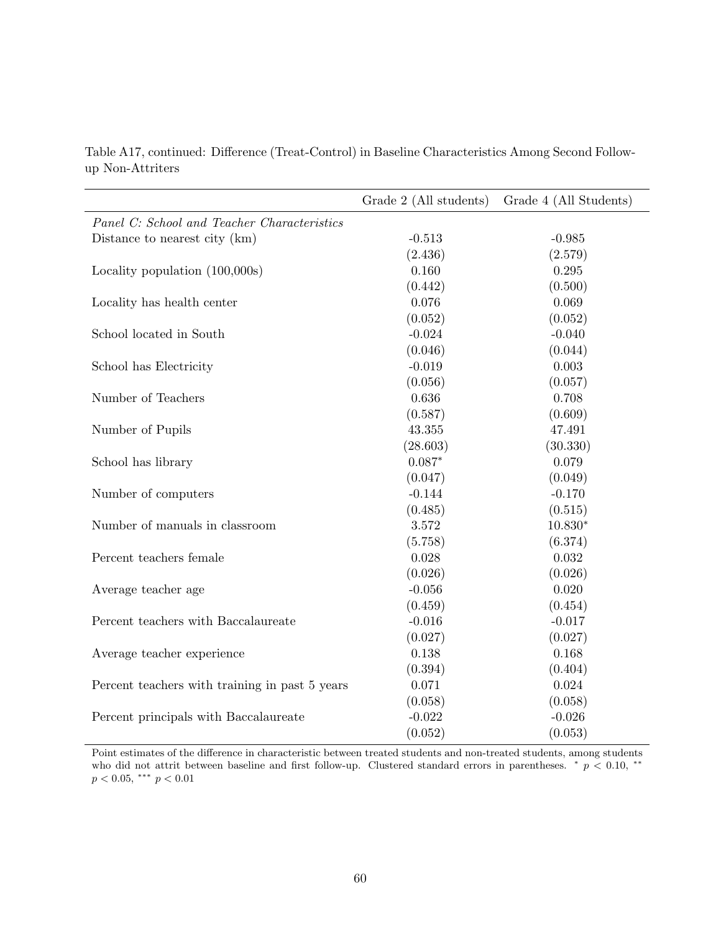|                                                | Grade 2 (All students) | Grade 4 (All Students) |
|------------------------------------------------|------------------------|------------------------|
| Panel C: School and Teacher Characteristics    |                        |                        |
| Distance to nearest city (km)                  | $-0.513$               | $-0.985$               |
|                                                | (2.436)                | (2.579)                |
| Locality population (100,000s)                 | 0.160                  | 0.295                  |
|                                                | (0.442)                | (0.500)                |
| Locality has health center                     | 0.076                  | 0.069                  |
|                                                | (0.052)                | (0.052)                |
| School located in South                        | $-0.024$               | $-0.040$               |
|                                                | (0.046)                | (0.044)                |
| School has Electricity                         | $-0.019$               | 0.003                  |
|                                                | (0.056)                | (0.057)                |
| Number of Teachers                             | 0.636                  | 0.708                  |
|                                                | (0.587)                | (0.609)                |
| Number of Pupils                               | 43.355                 | 47.491                 |
|                                                | (28.603)               | (30.330)               |
| School has library                             | $0.087*$               | 0.079                  |
|                                                | (0.047)                | (0.049)                |
| Number of computers                            | $-0.144$               | $-0.170$               |
|                                                | (0.485)                | (0.515)                |
| Number of manuals in classroom                 | 3.572                  | $10.830*$              |
|                                                | (5.758)                | (6.374)                |
| Percent teachers female                        | 0.028                  | 0.032                  |
|                                                | (0.026)                | (0.026)                |
| Average teacher age                            | $-0.056$               | 0.020                  |
|                                                | (0.459)                | (0.454)                |
| Percent teachers with Baccalaureate            | $-0.016$               | $-0.017$               |
|                                                | (0.027)                | (0.027)                |
| Average teacher experience                     | 0.138                  | 0.168                  |
|                                                | (0.394)                | (0.404)                |
| Percent teachers with training in past 5 years | 0.071                  | 0.024                  |
|                                                | (0.058)                | (0.058)                |
| Percent principals with Baccalaureate          | $-0.022$               | $-0.026$               |
|                                                | (0.052)                | (0.053)                |

Table A17, continued: Difference (Treat-Control) in Baseline Characteristics Among Second Followup Non-Attriters

Point estimates of the difference in characteristic between treated students and non-treated students, among students who did not attrit between baseline and first follow-up. Clustered standard errors in parentheses.  $* \neq 0.10, **$  $p < 0.05$ , \*\*\*  $p < 0.01$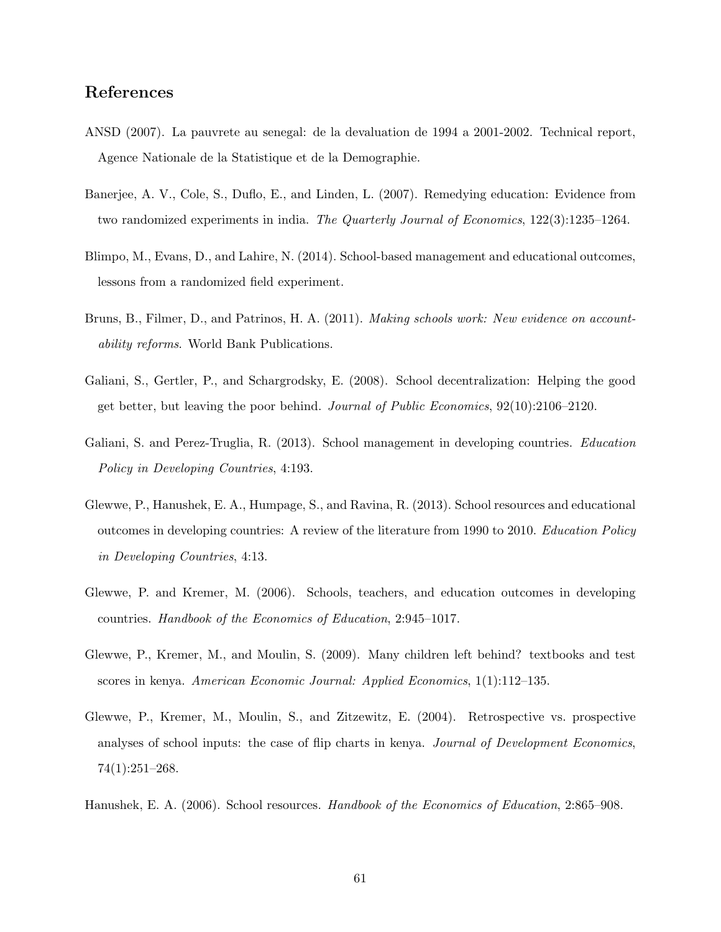### References

- ANSD (2007). La pauvrete au senegal: de la devaluation de 1994 a 2001-2002. Technical report, Agence Nationale de la Statistique et de la Demographie.
- Banerjee, A. V., Cole, S., Duflo, E., and Linden, L. (2007). Remedying education: Evidence from two randomized experiments in india. The Quarterly Journal of Economics, 122(3):1235–1264.
- Blimpo, M., Evans, D., and Lahire, N. (2014). School-based management and educational outcomes, lessons from a randomized field experiment.
- Bruns, B., Filmer, D., and Patrinos, H. A. (2011). Making schools work: New evidence on accountability reforms. World Bank Publications.
- Galiani, S., Gertler, P., and Schargrodsky, E. (2008). School decentralization: Helping the good get better, but leaving the poor behind. Journal of Public Economics, 92(10):2106–2120.
- Galiani, S. and Perez-Truglia, R. (2013). School management in developing countries. Education Policy in Developing Countries, 4:193.
- Glewwe, P., Hanushek, E. A., Humpage, S., and Ravina, R. (2013). School resources and educational outcomes in developing countries: A review of the literature from 1990 to 2010. Education Policy in Developing Countries, 4:13.
- Glewwe, P. and Kremer, M. (2006). Schools, teachers, and education outcomes in developing countries. Handbook of the Economics of Education, 2:945–1017.
- Glewwe, P., Kremer, M., and Moulin, S. (2009). Many children left behind? textbooks and test scores in kenya. American Economic Journal: Applied Economics, 1(1):112–135.
- Glewwe, P., Kremer, M., Moulin, S., and Zitzewitz, E. (2004). Retrospective vs. prospective analyses of school inputs: the case of flip charts in kenya. Journal of Development Economics, 74(1):251–268.
- Hanushek, E. A. (2006). School resources. Handbook of the Economics of Education, 2:865–908.